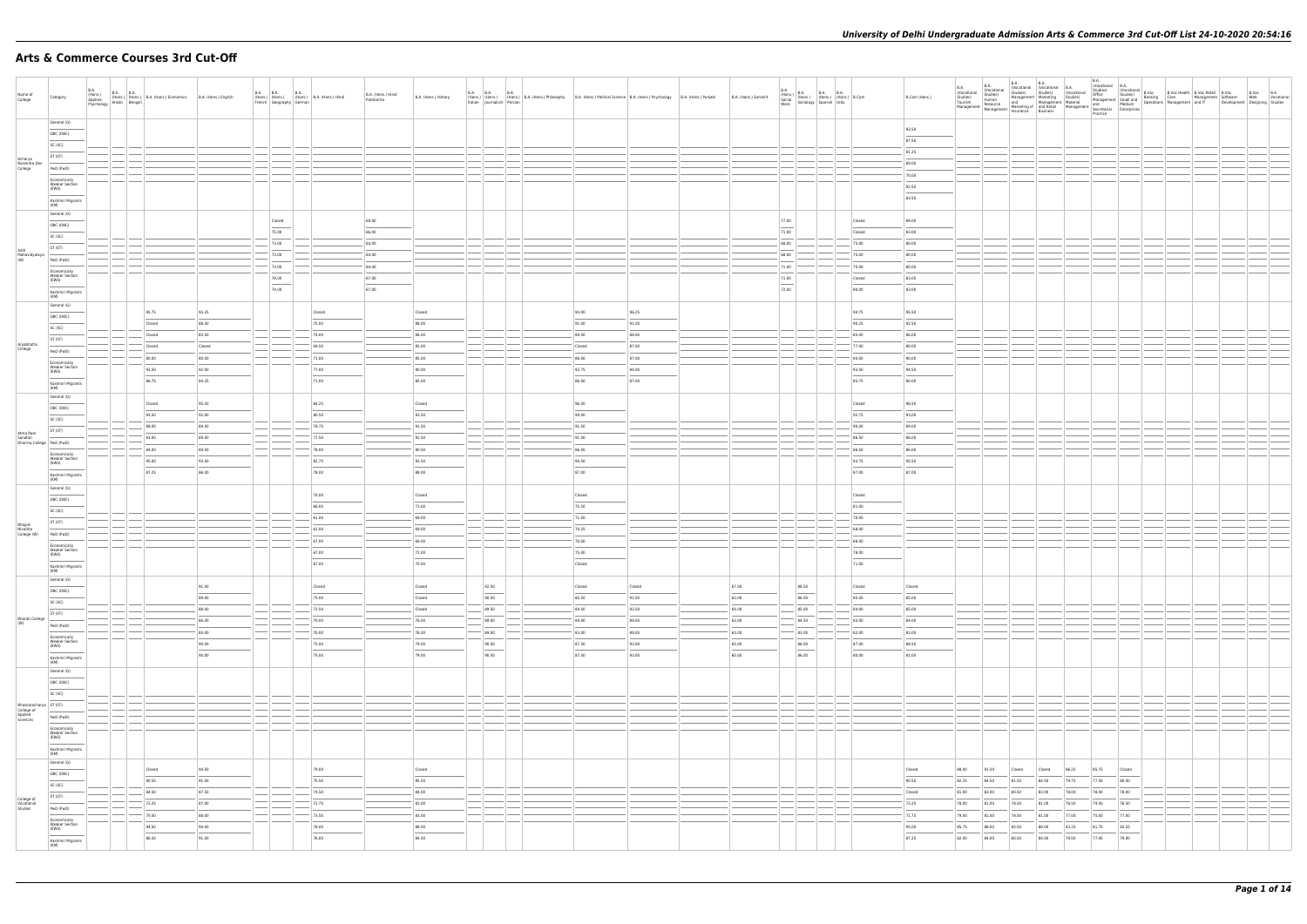### **Arts & Commerce Courses 3rd Cut-Off**

| Name of<br>College                  | Category                                                                                                                                                                                                                                                                                                                                                                                                                                                                                                                                  | B.A. B.A. B.A. B.A. (Hons.) (Hons.) Economics<br>(Hons.) (Hons.) (Hons.) B.A. (Hons.) Economics<br>Psychology Arabic Bengali | B.A. (Hons.) English     | French Geography German                                                                                                                                                                                                                                                                                                                                                                                                                                                    | B.A. B.A. B.A. B.A. (Hons.) B.A. (Hons.) Hindi | B.A. (Hons.) Hindi<br>Patrikarita | B.A. (Hons.) History                        |                                                                                                                                                                                                                                                                                                                                                                                                                                                                                                       | B.A. B.A. B.A. B.A. B.A. B.A. (Hons.) Philosophy B.A. (Hons.) Political Science B.A. (Hons.) Psychology B.A. (Hons.) Punjabi<br>Italian Journalism Persian |                          |                          | B.A. (Hons.) Sanskrit      | B.A. (Hons.) B.A. B.A. B.A. (Hons.) B.Com<br>Social (Hons.) (Hons.) (Hons.) B.Com<br>Work Sociology Spanish Urdu<br>Work |  |                            | B.Com (Hons.)            | B.A.<br>(Vocational<br>Studies)<br>Tourism<br>Management |                         |                         |                         |                         |                         | B.Voc B.A<br>Web Vocational<br>Development Designing Studies |
|-------------------------------------|-------------------------------------------------------------------------------------------------------------------------------------------------------------------------------------------------------------------------------------------------------------------------------------------------------------------------------------------------------------------------------------------------------------------------------------------------------------------------------------------------------------------------------------------|------------------------------------------------------------------------------------------------------------------------------|--------------------------|----------------------------------------------------------------------------------------------------------------------------------------------------------------------------------------------------------------------------------------------------------------------------------------------------------------------------------------------------------------------------------------------------------------------------------------------------------------------------|------------------------------------------------|-----------------------------------|---------------------------------------------|-------------------------------------------------------------------------------------------------------------------------------------------------------------------------------------------------------------------------------------------------------------------------------------------------------------------------------------------------------------------------------------------------------------------------------------------------------------------------------------------------------|------------------------------------------------------------------------------------------------------------------------------------------------------------|--------------------------|--------------------------|----------------------------|--------------------------------------------------------------------------------------------------------------------------|--|----------------------------|--------------------------|----------------------------------------------------------|-------------------------|-------------------------|-------------------------|-------------------------|-------------------------|--------------------------------------------------------------|
|                                     | General (G)<br>OBC (OBC)                                                                                                                                                                                                                                                                                                                                                                                                                                                                                                                  |                                                                                                                              |                          |                                                                                                                                                                                                                                                                                                                                                                                                                                                                            |                                                |                                   |                                             |                                                                                                                                                                                                                                                                                                                                                                                                                                                                                                       |                                                                                                                                                            |                          |                          |                            |                                                                                                                          |  |                            | 93.50<br>87.50           |                                                          |                         |                         |                         |                         |                         |                                                              |
| Acharya<br>Narendra Dev<br>College  | SC (SC)<br>ST (ST)<br>PwD (PwD)                                                                                                                                                                                                                                                                                                                                                                                                                                                                                                           |                                                                                                                              |                          |                                                                                                                                                                                                                                                                                                                                                                                                                                                                            |                                                |                                   |                                             |                                                                                                                                                                                                                                                                                                                                                                                                                                                                                                       |                                                                                                                                                            |                          |                          |                            | $\sim$                                                                                                                   |  |                            | 81.25<br>69.00<br>70.00  |                                                          |                         |                         |                         |                         |                         |                                                              |
|                                     | Economically<br><b>Weaker Section</b><br>(EWS)<br>Kashmiri Migrants<br>(KM)                                                                                                                                                                                                                                                                                                                                                                                                                                                               |                                                                                                                              |                          |                                                                                                                                                                                                                                                                                                                                                                                                                                                                            |                                                |                                   |                                             |                                                                                                                                                                                                                                                                                                                                                                                                                                                                                                       |                                                                                                                                                            |                          |                          |                            |                                                                                                                          |  |                            | 92.50<br>83.50           |                                                          |                         |                         |                         |                         |                         |                                                              |
|                                     | General (G)<br>OBC (OBC)<br>SC (SC)                                                                                                                                                                                                                                                                                                                                                                                                                                                                                                       |                                                                                                                              |                          | Closed<br>75.00                                                                                                                                                                                                                                                                                                                                                                                                                                                            |                                                | 69.00<br>66.00                    |                                             |                                                                                                                                                                                                                                                                                                                                                                                                                                                                                                       |                                                                                                                                                            |                          |                          |                            | 77.00<br>71.00                                                                                                           |  | Closed<br>Closed           | 89.00<br>83.00           |                                                          |                         |                         |                         |                         |                         |                                                              |
| Aditi<br>Mahavidyalaya<br>(W)       | ST (ST)<br>PwD (PwD)<br>Economically                                                                                                                                                                                                                                                                                                                                                                                                                                                                                                      |                                                                                                                              |                          | 73.00<br>73.00<br>73.00                                                                                                                                                                                                                                                                                                                                                                                                                                                    |                                                | 64.00<br>64.00<br>64.00           |                                             |                                                                                                                                                                                                                                                                                                                                                                                                                                                                                                       |                                                                                                                                                            |                          |                          |                            | 68.00<br>68.00<br>71.00                                                                                                  |  | 75.00<br>75.00<br>75.00    | 80.00<br>80.00<br>80.00  |                                                          |                         |                         |                         |                         |                         |                                                              |
|                                     | <b>Weaker Section</b><br>(EWS)<br>Kashmiri Migrants<br>(KM)<br>General (G)                                                                                                                                                                                                                                                                                                                                                                                                                                                                |                                                                                                                              |                          | 78.00<br>$\overline{\phantom{a}}$<br>74.00                                                                                                                                                                                                                                                                                                                                                                                                                                 |                                                | 67.00<br>67.00                    |                                             |                                                                                                                                                                                                                                                                                                                                                                                                                                                                                                       |                                                                                                                                                            |                          |                          |                            | 71.00<br>72.00                                                                                                           |  | Closed<br>80.00            | 83.00<br>83.00           |                                                          |                         |                         |                         |                         |                         |                                                              |
|                                     | OBC (OBC)<br>SC (SC)<br>ST (ST)                                                                                                                                                                                                                                                                                                                                                                                                                                                                                                           | 95.75<br>Closed<br>Closed                                                                                                    | 93.25<br>88.50<br>83.50  |                                                                                                                                                                                                                                                                                                                                                                                                                                                                            | Closed<br>75.00<br>74.00                       |                                   | Closed<br>88.00<br>86.00                    |                                                                                                                                                                                                                                                                                                                                                                                                                                                                                                       |                                                                                                                                                            | 94.00<br>91.00<br>89.00  | 96.25<br>91.00<br>88.00  |                            |                                                                                                                          |  | 94.75<br>90.25<br>85.00    | 95.50<br>92.50<br>86.00  |                                                          |                         |                         |                         |                         |                         |                                                              |
| Aryabhatta<br>College               | PwD (PwD)<br>Economically<br><b>Weaker Section</b><br>(EWS)                                                                                                                                                                                                                                                                                                                                                                                                                                                                               | Closed<br>80.00<br>93.50                                                                                                     | Closed<br>80.00<br>92.00 |                                                                                                                                                                                                                                                                                                                                                                                                                                                                            | 69.50<br>71.00<br>77.00                        |                                   | 85.00<br>85.00<br>90.00                     |                                                                                                                                                                                                                                                                                                                                                                                                                                                                                                       |                                                                                                                                                            | Closed<br>86.00<br>92.75 | 87.50<br>87.00<br>94.00  |                            |                                                                                                                          |  | 77.00<br>85.00<br>93.50    | 80.00<br>90.00<br>94.50  |                                                          |                         |                         |                         |                         |                         |                                                              |
|                                     | Kashmiri Migrants<br>(KM)<br>General (G)<br>OBC (OBC)                                                                                                                                                                                                                                                                                                                                                                                                                                                                                     | 86.75<br>Closed                                                                                                              | 84.25<br>95.50           |                                                                                                                                                                                                                                                                                                                                                                                                                                                                            | 71.00<br>84.25                                 |                                   | 85.00<br>Closed                             |                                                                                                                                                                                                                                                                                                                                                                                                                                                                                                       |                                                                                                                                                            | 86.00<br>96.00           | 87.00                    |                            |                                                                                                                          |  | 85.75<br>Closed            | 90.00<br>96.50           |                                                          |                         |                         |                         |                         |                         |                                                              |
| Atma Ram<br>Sanatan                 | SC (SC)<br>ST (ST)<br>Dharma College   PwD (PwD)                                                                                                                                                                                                                                                                                                                                                                                                                                                                                          | 93.50<br>88.00<br>83.00                                                                                                      | 92.00<br>89.50<br>89.50  |                                                                                                                                                                                                                                                                                                                                                                                                                                                                            | 80.50<br>78.75<br>77.50                        |                                   | 93.50<br>91.50<br>92.50                     |                                                                                                                                                                                                                                                                                                                                                                                                                                                                                                       |                                                                                                                                                            | 94.00<br>91.50<br>91.00  |                          |                            |                                                                                                                          |  | 92.75<br>90.00<br>86.50    | 93.00<br>89.00<br>86.00  |                                                          |                         |                         |                         |                         |                         |                                                              |
|                                     | Economically<br><b>Weaker Section</b><br>(EWS)<br>Kashmiri Migrants                                                                                                                                                                                                                                                                                                                                                                                                                                                                       | 84.00<br>95.00<br>87.25                                                                                                      | 89.50<br>93.50<br>86.00  |                                                                                                                                                                                                                                                                                                                                                                                                                                                                            | 78.00<br>82.75<br>78.00                        |                                   | 90.00<br>93.50<br>88.00                     |                                                                                                                                                                                                                                                                                                                                                                                                                                                                                                       |                                                                                                                                                            | 86.00<br>94.50<br>87.00  |                          |                            |                                                                                                                          |  | 86.50<br>93.75<br>87.00    | 86.00<br>95.50<br>87.00  |                                                          |                         |                         |                         |                         |                         |                                                              |
|                                     | (KM)<br>General (G)<br>OBC (OBC)<br>SC (SC)                                                                                                                                                                                                                                                                                                                                                                                                                                                                                               |                                                                                                                              |                          |                                                                                                                                                                                                                                                                                                                                                                                                                                                                            | 70.00<br>66.00                                 |                                   | Closed<br>73.00                             |                                                                                                                                                                                                                                                                                                                                                                                                                                                                                                       |                                                                                                                                                            | Closed<br>75.50          |                          |                            |                                                                                                                          |  | Closed<br>81.00            |                          |                                                          |                         |                         |                         |                         |                         |                                                              |
| Bhagini<br>Nivedita<br>College (W)  | ST (ST)<br>PwD (PwD)<br>Economically                                                                                                                                                                                                                                                                                                                                                                                                                                                                                                      |                                                                                                                              |                          |                                                                                                                                                                                                                                                                                                                                                                                                                                                                            | 61.00<br>61.00<br>$-67.00$                     |                                   | 69.00<br>69.00<br>69.00                     |                                                                                                                                                                                                                                                                                                                                                                                                                                                                                                       |                                                                                                                                                            | 71.50<br>70.25<br>70.00  |                          |                            |                                                                                                                          |  | 70.00<br>68.00<br>$-68.00$ |                          |                                                          |                         |                         |                         |                         |                         |                                                              |
|                                     | <b>Weaker Section</b><br>(EWS)<br>Kashmiri Migrants<br>(KM)<br>General (G)                                                                                                                                                                                                                                                                                                                                                                                                                                                                |                                                                                                                              |                          |                                                                                                                                                                                                                                                                                                                                                                                                                                                                            | 67.00<br>67.00                                 |                                   | 72.00<br>70.00                              |                                                                                                                                                                                                                                                                                                                                                                                                                                                                                                       |                                                                                                                                                            | 75.00<br>Closed          |                          |                            |                                                                                                                          |  | 78.00<br>71.00             |                          |                                                          |                         |                         |                         |                         |                         |                                                              |
|                                     | OBC (OBC)<br>SC (SC)<br>ST (ST)                                                                                                                                                                                                                                                                                                                                                                                                                                                                                                           |                                                                                                                              | 91.00<br>89.00<br>88.00  |                                                                                                                                                                                                                                                                                                                                                                                                                                                                            | Closed<br>75.00<br>$- 72.50$                   |                                   | Closed<br>Closed<br>Closed                  | 92.50<br>$\frac{1}{2} \left( \frac{1}{2} \right) \left( \frac{1}{2} \right) \left( \frac{1}{2} \right) \left( \frac{1}{2} \right) \left( \frac{1}{2} \right) \left( \frac{1}{2} \right) \left( \frac{1}{2} \right) \left( \frac{1}{2} \right) \left( \frac{1}{2} \right) \left( \frac{1}{2} \right) \left( \frac{1}{2} \right) \left( \frac{1}{2} \right) \left( \frac{1}{2} \right) \left( \frac{1}{2} \right) \left( \frac{1}{2} \right) \left( \frac{1}{2} \right) \left( \frac$<br>90.50<br>89.50 |                                                                                                                                                            | Closed<br>85.50<br>84.50 | Closed<br>91.50<br>92.50 | 67.00<br>63.00<br>$-64.00$ | 88.50<br>86.00<br>85.00                                                                                                  |  | Closed<br>85.00<br>84.00   | Closed<br>85.00<br>85.00 |                                                          |                         |                         |                         |                         |                         |                                                              |
| Bharati College<br>(W)              | PwD (PwD)<br>Economically<br>Weaker Section<br>(EWS)                                                                                                                                                                                                                                                                                                                                                                                                                                                                                      |                                                                                                                              | 86.00<br>85.00<br>90.00  | $\frac{1}{2} \left( \frac{1}{2} \right) \left( \frac{1}{2} \right) \left( \frac{1}{2} \right) \left( \frac{1}{2} \right) \left( \frac{1}{2} \right) \left( \frac{1}{2} \right) \left( \frac{1}{2} \right) \left( \frac{1}{2} \right) \left( \frac{1}{2} \right) \left( \frac{1}{2} \right) \left( \frac{1}{2} \right) \left( \frac{1}{2} \right) \left( \frac{1}{2} \right) \left( \frac{1}{2} \right) \left( \frac{1}{2} \right) \left( \frac{1}{2} \right) \left( \frac$ | 70.00<br>70.00<br>75.00                        |                                   | 76.00<br>76.00<br>79.00                     | 89.00<br>89.00<br>90.50                                                                                                                                                                                                                                                                                                                                                                                                                                                                               |                                                                                                                                                            | 84.00<br>83.00<br>87.50  | 89.00<br>89.00<br>93.00  | 63.00<br>63.00<br>65.00    | 84.50<br> 83.00 <br>86.00                                                                                                |  | 83.00<br>82.00<br>87.00    | 84.00<br>83.00<br>88.50  |                                                          |                         |                         |                         |                         |                         |                                                              |
|                                     | $\frac{1}{2}$<br>Kashmiri Migrants<br>(KM)<br>General (G)<br>OBC (OBC)                                                                                                                                                                                                                                                                                                                                                                                                                                                                    |                                                                                                                              | 90.00                    |                                                                                                                                                                                                                                                                                                                                                                                                                                                                            | 75.00                                          |                                   | 79.00                                       | $\overline{\phantom{a}}$<br>90.50                                                                                                                                                                                                                                                                                                                                                                                                                                                                     |                                                                                                                                                            | 87.00                    | 93.00                    | 65.00                      | $\overline{\phantom{a}}$<br>86.00                                                                                        |  | 80.00                      | 81.00                    |                                                          |                         |                         |                         |                         |                         |                                                              |
|                                     | SC (SC)<br>Bhaskaracharya ST (ST)<br>College of<br>Applied<br>Sciences<br>College PWD (PWE                                                                                                                                                                                                                                                                                                                                                                                                                                                |                                                                                                                              |                          |                                                                                                                                                                                                                                                                                                                                                                                                                                                                            |                                                |                                   |                                             |                                                                                                                                                                                                                                                                                                                                                                                                                                                                                                       |                                                                                                                                                            |                          |                          |                            |                                                                                                                          |  |                            |                          |                                                          |                         |                         |                         |                         |                         |                                                              |
|                                     | PwD (PwD)<br>Economically<br>Weaker Section<br>(EWS)<br>Kashmiri Migrants<br>(KM)                                                                                                                                                                                                                                                                                                                                                                                                                                                         |                                                                                                                              |                          |                                                                                                                                                                                                                                                                                                                                                                                                                                                                            |                                                |                                   |                                             |                                                                                                                                                                                                                                                                                                                                                                                                                                                                                                       |                                                                                                                                                            |                          |                          |                            |                                                                                                                          |  |                            |                          |                                                          |                         |                         |                         |                         |                         |                                                              |
|                                     | General (G)<br>OBC (OBC)<br>SC (SC)                                                                                                                                                                                                                                                                                                                                                                                                                                                                                                       | Closed<br>90.50                                                                                                              | 94.50<br>91.00           |                                                                                                                                                                                                                                                                                                                                                                                                                                                                            | 79.00<br>75.50                                 |                                   | Closed<br>$\overline{\phantom{a}}$<br>85.50 |                                                                                                                                                                                                                                                                                                                                                                                                                                                                                                       |                                                                                                                                                            |                          |                          |                            |                                                                                                                          |  |                            | Closed<br>90.50          | 91.50<br>88.00<br>82.25<br>84.50                         | Closed<br>81.50         | Closed<br>84.50         | 86.25<br>79.75          | 85.75<br>77.50          | Closed<br>80.00         |                                                              |
| College of<br>Vocational<br>Studies | ST (ST)<br>PwD (PwD)<br>Economically                                                                                                                                                                                                                                                                                                                                                                                                                                                                                                      | 84.50<br>72.25<br>70.50                                                                                                      | 87.50<br>87.00<br>88.00  |                                                                                                                                                                                                                                                                                                                                                                                                                                                                            | 74.50<br>72.75<br>73.50                        |                                   | 84.00<br>83.00<br>83.00                     |                                                                                                                                                                                                                                                                                                                                                                                                                                                                                                       |                                                                                                                                                            |                          |                          |                            |                                                                                                                          |  |                            | Closed<br>73.25<br>71.75 | 81.00<br>83.00<br>78.00<br>81.00<br>79.00<br>81.00       | 80.50<br>78.50<br>78.50 | 83.00<br>81.00<br>81.00 | 78.00<br>76.50<br>77.00 | 78.00<br>74.50<br>75.00 | 78.00<br>76.50<br>77.00 |                                                              |
|                                     | <b>Weaker Section</b><br>(EWS)<br>$\frac{1}{2} \left( \frac{1}{2} \right) \left( \frac{1}{2} \right) \left( \frac{1}{2} \right) \left( \frac{1}{2} \right) \left( \frac{1}{2} \right) \left( \frac{1}{2} \right) \left( \frac{1}{2} \right) \left( \frac{1}{2} \right) \left( \frac{1}{2} \right) \left( \frac{1}{2} \right) \left( \frac{1}{2} \right) \left( \frac{1}{2} \right) \left( \frac{1}{2} \right) \left( \frac{1}{2} \right) \left( \frac{1}{2} \right) \left( \frac{1}{2} \right) \left( \frac$<br>Kashmiri Migrants<br>(KM) | 94.50<br>86.50                                                                                                               | 94.00<br>91.00           |                                                                                                                                                                                                                                                                                                                                                                                                                                                                            | 78.00<br>76.00                                 |                                   | 88.00<br>84.50                              |                                                                                                                                                                                                                                                                                                                                                                                                                                                                                                       |                                                                                                                                                            |                          |                          |                            |                                                                                                                          |  |                            | 95.00<br>87.25           | 85.75<br>88.00<br>82.00<br>84.00                         | 85.50<br>80.50          | 88.00<br>84.00          | 83.25<br>79.00          | 81.75<br>77.00          | 83.25<br>79.00          |                                                              |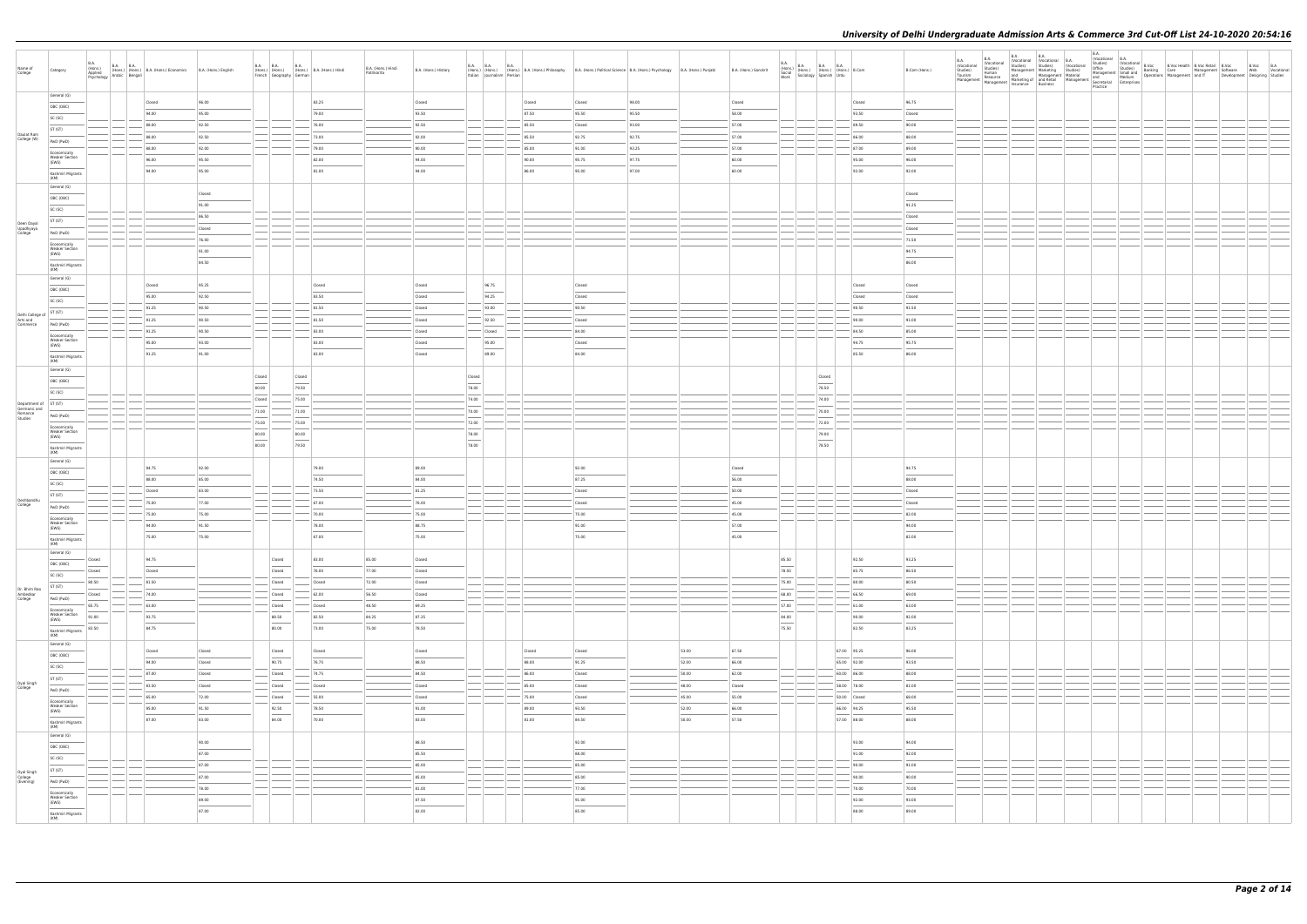| Name of<br>College                    | Category                                                                                                                                                                                                                                                                                                                                                                                                                                                                                        | B.A.<br>(Hons.)<br>Applied<br>Psychology Arabic Bengali | <b>B.A. B.A.</b> | (Hons.) (Hons.) B.A. (Hons.) Economics B.A. (Hons.) English |                | B.A. B.A.<br>French Geography German       | <b>B.A.</b><br>(Hons.) (Hons.) (Hons.) B.A. (Hons.) Hindi | B.A. (Hons.) Hindi<br>Patrikarita | B.A. (Hons.) History | B.A. B.A. B.A.                    | Italian Journalism Persian |                |                 | (Hons.) (Hons.) (Hons.) B.A. (Hons.) Philosophy B.A. (Hons.) Political Science B.A. (Hons.) Psychology B.A. (Hons.) Punjabi |                | B.A. (Hons.) Sanskrit | B.A. (Hons.) B.A. B.A. B.A. (Hons.) B.Com<br>Social (Hons.) (Hons.) (Hons.) B.Com<br>Work Sociology Spanish Urdu |        |                            | B.Com (Hons.)  | B.A.<br>B.A.<br>(Vocational<br>Studies)<br>Human<br>(Vocational<br>Studies)<br>Tourism<br>Management | <b>B.A.</b> | <b>B.A.</b><br>(Vocational (Vocational B.A. | Vocational Costationis (Vocational Diversional Studies) (Vocational Buddies)<br>Studies) Studies (Vocational Diffice Studies)<br>Human Management Material and<br>Human and Management Material and Medium<br>Rangement Material of an | <b>B.A.</b> |  | B.A.<br>I Studies) B.A.<br>I Studies) B.Voc Health B.Voc Retail B.Voc Policy B.Voc B.A.<br>I Minear Studies) B.A.<br>Management Small and Banking Care Management and IT Development Designing Studies<br>and Medium Operations Manageme |  |
|---------------------------------------|-------------------------------------------------------------------------------------------------------------------------------------------------------------------------------------------------------------------------------------------------------------------------------------------------------------------------------------------------------------------------------------------------------------------------------------------------------------------------------------------------|---------------------------------------------------------|------------------|-------------------------------------------------------------|----------------|--------------------------------------------|-----------------------------------------------------------|-----------------------------------|----------------------|-----------------------------------|----------------------------|----------------|-----------------|-----------------------------------------------------------------------------------------------------------------------------|----------------|-----------------------|------------------------------------------------------------------------------------------------------------------|--------|----------------------------|----------------|------------------------------------------------------------------------------------------------------|-------------|---------------------------------------------|----------------------------------------------------------------------------------------------------------------------------------------------------------------------------------------------------------------------------------------|-------------|--|------------------------------------------------------------------------------------------------------------------------------------------------------------------------------------------------------------------------------------------|--|
|                                       | General (G)<br>OBC (OBC)                                                                                                                                                                                                                                                                                                                                                                                                                                                                        |                                                         |                  | Closed                                                      | 96.00          |                                            | 83.25                                                     |                                   | Closed               |                                   |                            | Closed         | Closed          | 98.00                                                                                                                       |                | Closed                |                                                                                                                  |        | Closed                     | 96.75          |                                                                                                      |             |                                             |                                                                                                                                                                                                                                        | Practice    |  |                                                                                                                                                                                                                                          |  |
|                                       | SC (SC)                                                                                                                                                                                                                                                                                                                                                                                                                                                                                         |                                                         |                  | 94.00                                                       | 95.00          |                                            | 79.00                                                     |                                   | 93.50                |                                   |                            | 87.50          | 95.50           | 95.50                                                                                                                       |                | 58.00                 |                                                                                                                  |        | 93.50                      | Closed         |                                                                                                      |             |                                             |                                                                                                                                                                                                                                        |             |  |                                                                                                                                                                                                                                          |  |
|                                       | ST (ST)                                                                                                                                                                                                                                                                                                                                                                                                                                                                                         |                                                         |                  | 88.00                                                       | 92.50          |                                            | 76.00                                                     |                                   | 92.50                |                                   |                            | 85.50          | Closed          | 93.00                                                                                                                       |                | 57.00                 |                                                                                                                  |        | 89.50                      | 90.00          |                                                                                                      |             |                                             |                                                                                                                                                                                                                                        |             |  |                                                                                                                                                                                                                                          |  |
| Daulat Ram<br>College (W)             | PwD (PwD)                                                                                                                                                                                                                                                                                                                                                                                                                                                                                       |                                                         |                  | 88.00                                                       | 92.50          |                                            | 73.00                                                     |                                   | 92.00                |                                   |                            | 85.50          | 92.75           | 92.75                                                                                                                       |                | 57.00                 |                                                                                                                  |        | 86.00                      | 88.00          |                                                                                                      |             |                                             |                                                                                                                                                                                                                                        |             |  |                                                                                                                                                                                                                                          |  |
|                                       | Economically                                                                                                                                                                                                                                                                                                                                                                                                                                                                                    |                                                         |                  | 88.00                                                       | 92.00          |                                            | 79.00                                                     |                                   | 90.00                |                                   |                            | 85.00          | 91.00           | 93.25                                                                                                                       |                | 57.00                 |                                                                                                                  |        | 87.00                      | 89.00          |                                                                                                      |             |                                             |                                                                                                                                                                                                                                        |             |  |                                                                                                                                                                                                                                          |  |
|                                       | <b>Weaker Section</b><br>(EWS)                                                                                                                                                                                                                                                                                                                                                                                                                                                                  |                                                         |                  | 96.00                                                       | 95.50          |                                            | 82.00                                                     |                                   | 94.00                |                                   |                            | 90.00          | 95.75           | 97.75                                                                                                                       |                | 60.00                 |                                                                                                                  |        | 95.00                      | 96.00          |                                                                                                      |             |                                             |                                                                                                                                                                                                                                        |             |  |                                                                                                                                                                                                                                          |  |
|                                       | Kashmiri Migrants<br>(KM)<br>General (G)                                                                                                                                                                                                                                                                                                                                                                                                                                                        |                                                         |                  | 94.00                                                       | 95.00          |                                            | 81.00                                                     |                                   | 94.00                |                                   |                            | 86.00          | 95.00           | 97.00                                                                                                                       |                | 60.00                 |                                                                                                                  |        | 92.00                      | 92.00          |                                                                                                      |             |                                             |                                                                                                                                                                                                                                        |             |  |                                                                                                                                                                                                                                          |  |
|                                       | OBC (OBC)                                                                                                                                                                                                                                                                                                                                                                                                                                                                                       |                                                         |                  |                                                             | Closed         |                                            |                                                           |                                   |                      |                                   |                            |                |                 |                                                                                                                             |                |                       |                                                                                                                  |        |                            | Closed         |                                                                                                      |             |                                             |                                                                                                                                                                                                                                        |             |  |                                                                                                                                                                                                                                          |  |
|                                       | SC (SC)                                                                                                                                                                                                                                                                                                                                                                                                                                                                                         |                                                         |                  |                                                             | 91.00          |                                            |                                                           |                                   |                      |                                   |                            |                |                 |                                                                                                                             |                |                       |                                                                                                                  |        |                            | 91.25          |                                                                                                      |             |                                             |                                                                                                                                                                                                                                        |             |  |                                                                                                                                                                                                                                          |  |
|                                       | ST (ST)                                                                                                                                                                                                                                                                                                                                                                                                                                                                                         |                                                         |                  |                                                             | 86.50          |                                            |                                                           |                                   |                      |                                   |                            |                |                 |                                                                                                                             |                |                       |                                                                                                                  |        |                            | Closed         |                                                                                                      |             |                                             |                                                                                                                                                                                                                                        |             |  |                                                                                                                                                                                                                                          |  |
| Deen Dayal<br>Upadhyaya<br>College    |                                                                                                                                                                                                                                                                                                                                                                                                                                                                                                 |                                                         |                  |                                                             | Closed         |                                            |                                                           |                                   |                      |                                   |                            |                |                 |                                                                                                                             |                |                       |                                                                                                                  |        |                            | Closed         |                                                                                                      |             |                                             |                                                                                                                                                                                                                                        |             |  |                                                                                                                                                                                                                                          |  |
|                                       | PwD (PwD)                                                                                                                                                                                                                                                                                                                                                                                                                                                                                       |                                                         |                  |                                                             | 76.00          |                                            |                                                           |                                   |                      |                                   |                            |                |                 |                                                                                                                             |                |                       |                                                                                                                  |        |                            | 71.50          |                                                                                                      |             |                                             |                                                                                                                                                                                                                                        |             |  |                                                                                                                                                                                                                                          |  |
|                                       | Economically<br><b>Weaker Section</b><br>(EWS)                                                                                                                                                                                                                                                                                                                                                                                                                                                  |                                                         |                  |                                                             | 91.00          |                                            |                                                           |                                   |                      |                                   |                            |                |                 |                                                                                                                             |                |                       |                                                                                                                  |        |                            | 94.75          |                                                                                                      |             |                                             |                                                                                                                                                                                                                                        |             |  |                                                                                                                                                                                                                                          |  |
|                                       | $\frac{1}{2} \left( \frac{1}{2} \right) \left( \frac{1}{2} \right) \left( \frac{1}{2} \right) \left( \frac{1}{2} \right) \left( \frac{1}{2} \right) \left( \frac{1}{2} \right) \left( \frac{1}{2} \right) \left( \frac{1}{2} \right) \left( \frac{1}{2} \right) \left( \frac{1}{2} \right) \left( \frac{1}{2} \right) \left( \frac{1}{2} \right) \left( \frac{1}{2} \right) \left( \frac{1}{2} \right) \left( \frac{1}{2} \right) \left( \frac{1}{2} \right) \left( \frac$<br>Kashmiri Migrants |                                                         |                  |                                                             | 84.50          |                                            |                                                           |                                   |                      |                                   |                            |                |                 |                                                                                                                             |                |                       |                                                                                                                  |        |                            | 86.00          |                                                                                                      |             |                                             |                                                                                                                                                                                                                                        |             |  |                                                                                                                                                                                                                                          |  |
|                                       | (KM)                                                                                                                                                                                                                                                                                                                                                                                                                                                                                            |                                                         |                  |                                                             |                |                                            |                                                           |                                   |                      |                                   |                            |                |                 |                                                                                                                             |                |                       |                                                                                                                  |        |                            |                |                                                                                                      |             |                                             |                                                                                                                                                                                                                                        |             |  |                                                                                                                                                                                                                                          |  |
|                                       | General (G)                                                                                                                                                                                                                                                                                                                                                                                                                                                                                     |                                                         |                  | Closed                                                      | 95.25          |                                            | Closed                                                    |                                   | Closed               | 96.75                             |                            |                | Closed          |                                                                                                                             |                |                       |                                                                                                                  |        | Closed                     | Closed         |                                                                                                      |             |                                             |                                                                                                                                                                                                                                        |             |  |                                                                                                                                                                                                                                          |  |
|                                       | OBC (OBC)                                                                                                                                                                                                                                                                                                                                                                                                                                                                                       |                                                         |                  | 95.00                                                       | 92.50          |                                            | 83.50                                                     |                                   | Closed               | 94.25                             |                            |                | Closed          |                                                                                                                             |                |                       |                                                                                                                  |        | Closed                     | Closed         |                                                                                                      |             |                                             |                                                                                                                                                                                                                                        |             |  |                                                                                                                                                                                                                                          |  |
|                                       | SC (SC)                                                                                                                                                                                                                                                                                                                                                                                                                                                                                         |                                                         |                  | 91.25                                                       | 90.50          |                                            | 81.50                                                     |                                   | Closed               | 93.00                             |                            |                | 90.50           |                                                                                                                             |                |                       |                                                                                                                  |        | 90.50                      | 91.50          |                                                                                                      |             |                                             |                                                                                                                                                                                                                                        |             |  |                                                                                                                                                                                                                                          |  |
| Delhi College of ST (ST)<br>Arts and  |                                                                                                                                                                                                                                                                                                                                                                                                                                                                                                 |                                                         |                  | 91.25                                                       | 90.50          |                                            | 81.50                                                     |                                   | Closed               | 92.50                             |                            |                | Closed          |                                                                                                                             |                |                       |                                                                                                                  |        | 90.00                      | 91.00          |                                                                                                      |             |                                             |                                                                                                                                                                                                                                        |             |  |                                                                                                                                                                                                                                          |  |
| Commerce                              | PwD (PwD)                                                                                                                                                                                                                                                                                                                                                                                                                                                                                       |                                                         |                  | 91.25                                                       | 90.50          |                                            | 83.00                                                     |                                   |                      | Closed                            |                            |                | 84.00           |                                                                                                                             |                |                       |                                                                                                                  |        | 84.50                      | 85.00          |                                                                                                      |             |                                             |                                                                                                                                                                                                                                        |             |  |                                                                                                                                                                                                                                          |  |
|                                       | Economically<br><b>Weaker Section</b>                                                                                                                                                                                                                                                                                                                                                                                                                                                           |                                                         |                  |                                                             |                |                                            |                                                           |                                   | Closed               |                                   |                            |                |                 |                                                                                                                             |                |                       |                                                                                                                  |        |                            |                |                                                                                                      |             |                                             |                                                                                                                                                                                                                                        |             |  |                                                                                                                                                                                                                                          |  |
|                                       | (EWS)                                                                                                                                                                                                                                                                                                                                                                                                                                                                                           |                                                         |                  | 95.00                                                       | 93.00          |                                            | 83.00                                                     |                                   | Closed               | 95.00                             |                            |                | Closed          |                                                                                                                             |                |                       |                                                                                                                  |        | 94.75                      | 95.75          |                                                                                                      |             |                                             |                                                                                                                                                                                                                                        |             |  |                                                                                                                                                                                                                                          |  |
|                                       | Kashmiri Migrants<br>(KM)                                                                                                                                                                                                                                                                                                                                                                                                                                                                       |                                                         |                  | 91.25                                                       | 91.00          |                                            | 83.00                                                     |                                   | Closed               | 89.00                             |                            |                | 84.00           |                                                                                                                             |                |                       |                                                                                                                  |        | 85.50                      | 86.00          |                                                                                                      |             |                                             |                                                                                                                                                                                                                                        |             |  |                                                                                                                                                                                                                                          |  |
|                                       | General (G)                                                                                                                                                                                                                                                                                                                                                                                                                                                                                     |                                                         |                  |                                                             |                | Closed                                     | Closed                                                    |                                   |                      | Closed                            |                            |                |                 |                                                                                                                             |                |                       |                                                                                                                  | Closed |                            |                |                                                                                                      |             |                                             |                                                                                                                                                                                                                                        |             |  |                                                                                                                                                                                                                                          |  |
|                                       | OBC (OBC)                                                                                                                                                                                                                                                                                                                                                                                                                                                                                       |                                                         |                  |                                                             |                | $\overline{\phantom{a}}$<br>80.00          | $\frac{1}{2}$<br>79.50                                    |                                   |                      | 78.00                             |                            |                |                 |                                                                                                                             |                |                       |                                                                                                                  | 78.50  |                            |                |                                                                                                      |             |                                             |                                                                                                                                                                                                                                        |             |  |                                                                                                                                                                                                                                          |  |
|                                       | SC (SC)                                                                                                                                                                                                                                                                                                                                                                                                                                                                                         |                                                         |                  |                                                             |                | Closed                                     | 75.00                                                     |                                   |                      | 74.00                             |                            |                |                 |                                                                                                                             |                |                       |                                                                                                                  | 74.00  |                            |                |                                                                                                      |             |                                             |                                                                                                                                                                                                                                        |             |  |                                                                                                                                                                                                                                          |  |
| Department of ST (ST)<br>Germanic and |                                                                                                                                                                                                                                                                                                                                                                                                                                                                                                 |                                                         |                  |                                                             |                | 71.00                                      | 71.00                                                     |                                   |                      | 70.00                             |                            |                |                 |                                                                                                                             |                |                       |                                                                                                                  | 70.00  |                            |                |                                                                                                      |             |                                             |                                                                                                                                                                                                                                        |             |  |                                                                                                                                                                                                                                          |  |
| Romance<br>Studies                    | PwD (PwD)                                                                                                                                                                                                                                                                                                                                                                                                                                                                                       |                                                         |                  |                                                             |                | 75.00                                      | 75.00                                                     |                                   |                      | 72.00                             |                            |                |                 |                                                                                                                             |                |                       |                                                                                                                  | 72.00  |                            |                |                                                                                                      |             |                                             |                                                                                                                                                                                                                                        |             |  |                                                                                                                                                                                                                                          |  |
|                                       | Economically<br><b>Weaker Section</b>                                                                                                                                                                                                                                                                                                                                                                                                                                                           |                                                         |                  |                                                             |                | 80.00                                      | 80.00                                                     |                                   |                      | 78.00                             |                            |                |                 |                                                                                                                             |                |                       |                                                                                                                  | 79.00  |                            |                |                                                                                                      |             |                                             |                                                                                                                                                                                                                                        |             |  |                                                                                                                                                                                                                                          |  |
|                                       | (EWS)                                                                                                                                                                                                                                                                                                                                                                                                                                                                                           |                                                         |                  |                                                             |                | $\sim$<br>80.00                            | 79.50                                                     |                                   |                      | $\overline{\phantom{a}}$<br>78.00 |                            |                |                 |                                                                                                                             |                |                       |                                                                                                                  | 78.50  |                            |                |                                                                                                      |             |                                             |                                                                                                                                                                                                                                        |             |  |                                                                                                                                                                                                                                          |  |
|                                       | Kashmiri Migrants<br>(KM)                                                                                                                                                                                                                                                                                                                                                                                                                                                                       |                                                         |                  |                                                             |                |                                            |                                                           |                                   |                      |                                   |                            |                |                 |                                                                                                                             |                |                       |                                                                                                                  |        |                            |                |                                                                                                      |             |                                             |                                                                                                                                                                                                                                        |             |  |                                                                                                                                                                                                                                          |  |
|                                       | General (G)                                                                                                                                                                                                                                                                                                                                                                                                                                                                                     |                                                         |                  | 94.75                                                       | 92.00          |                                            | 79.00                                                     |                                   | 89.00                |                                   |                            |                | 92.00           |                                                                                                                             |                | Closed                |                                                                                                                  |        |                            | 94.75          |                                                                                                      |             |                                             |                                                                                                                                                                                                                                        |             |  |                                                                                                                                                                                                                                          |  |
|                                       | OBC (OBC)                                                                                                                                                                                                                                                                                                                                                                                                                                                                                       |                                                         |                  | 88.00                                                       | 85.00          |                                            | 74.50                                                     |                                   | 84.00                |                                   |                            |                | 87.25           |                                                                                                                             |                | 56.00                 |                                                                                                                  |        |                            | 88.00          |                                                                                                      |             |                                             |                                                                                                                                                                                                                                        |             |  |                                                                                                                                                                                                                                          |  |
|                                       | SC (SC)                                                                                                                                                                                                                                                                                                                                                                                                                                                                                         |                                                         |                  | Closed                                                      | 83.00          |                                            | 73.50                                                     |                                   | 81.25                |                                   |                            |                | Closed          |                                                                                                                             |                | 50.00                 |                                                                                                                  |        |                            | Closed         |                                                                                                      |             |                                             |                                                                                                                                                                                                                                        |             |  |                                                                                                                                                                                                                                          |  |
| Deshbandhu                            | ST (ST)                                                                                                                                                                                                                                                                                                                                                                                                                                                                                         |                                                         |                  |                                                             |                |                                            |                                                           |                                   |                      |                                   |                            |                |                 |                                                                                                                             |                |                       |                                                                                                                  |        |                            |                |                                                                                                      |             |                                             |                                                                                                                                                                                                                                        |             |  |                                                                                                                                                                                                                                          |  |
| College                               | PwD (PwD)                                                                                                                                                                                                                                                                                                                                                                                                                                                                                       |                                                         |                  | 75.00                                                       | 77.00          |                                            | 67.00                                                     |                                   | 76.00                |                                   |                            |                | Closed          |                                                                                                                             |                | 45.00                 |                                                                                                                  |        |                            | Closed         |                                                                                                      |             |                                             |                                                                                                                                                                                                                                        |             |  |                                                                                                                                                                                                                                          |  |
|                                       | Economically<br><b>Weaker Section</b>                                                                                                                                                                                                                                                                                                                                                                                                                                                           |                                                         |                  | 75.00                                                       | 75.00          |                                            | 70.00                                                     |                                   | 75.00                |                                   |                            |                | 75.00           |                                                                                                                             |                | 45.00                 |                                                                                                                  |        |                            | 82.00          |                                                                                                      |             |                                             |                                                                                                                                                                                                                                        |             |  |                                                                                                                                                                                                                                          |  |
|                                       | (EWS)<br>Kashmiri Migrants                                                                                                                                                                                                                                                                                                                                                                                                                                                                      |                                                         |                  | 94.00<br>75.00                                              | 91.50<br>75.00 |                                            | 78.00<br>67.00                                            |                                   | 88.75<br>75.00       |                                   |                            |                | 91.00<br>75.00  |                                                                                                                             |                | 57.00                 |                                                                                                                  |        |                            | 94.00<br>82.00 |                                                                                                      |             |                                             |                                                                                                                                                                                                                                        |             |  |                                                                                                                                                                                                                                          |  |
|                                       | (KM)<br>General (G)                                                                                                                                                                                                                                                                                                                                                                                                                                                                             |                                                         |                  | 94.75                                                       |                | Closed                                     | 83.00                                                     | 85.00                             | Closed               |                                   |                            |                |                 |                                                                                                                             |                |                       | 85.50                                                                                                            |        | 92.50                      | 93.25          |                                                                                                      |             |                                             |                                                                                                                                                                                                                                        |             |  |                                                                                                                                                                                                                                          |  |
|                                       | OBC (OBC)                                                                                                                                                                                                                                                                                                                                                                                                                                                                                       | Closed<br><b>Contract Contract Contract Contract</b>    |                  | $\sim$<br>Closed                                            |                | Closed                                     | 76.00                                                     | 77.00                             | Closed               |                                   |                            |                |                 |                                                                                                                             |                |                       | <b>Contract Contract Contract Contract</b>                                                                       |        | 85.75                      |                |                                                                                                      |             |                                             |                                                                                                                                                                                                                                        |             |  |                                                                                                                                                                                                                                          |  |
|                                       | SC (SC)                                                                                                                                                                                                                                                                                                                                                                                                                                                                                         | Closed                                                  |                  |                                                             |                |                                            |                                                           |                                   |                      |                                   |                            |                |                 |                                                                                                                             |                |                       | 78.50                                                                                                            |        |                            | 86.50          |                                                                                                      |             |                                             |                                                                                                                                                                                                                                        |             |  |                                                                                                                                                                                                                                          |  |
|                                       | ST (ST)                                                                                                                                                                                                                                                                                                                                                                                                                                                                                         | 80.50<br>$\overline{\phantom{a}}$                       |                  | 81.50                                                       |                | <b>Closed</b>                              | Closed                                                    | 72.00                             | Closed               |                                   |                            |                |                 |                                                                                                                             |                |                       | 75.00                                                                                                            |        | 80.00                      | 80.50          |                                                                                                      |             |                                             |                                                                                                                                                                                                                                        |             |  |                                                                                                                                                                                                                                          |  |
| Dr. Bhim Rao<br>Ambedkar<br>College   | PwD (PwD)                                                                                                                                                                                                                                                                                                                                                                                                                                                                                       | Closed                                                  |                  | 74.00                                                       |                | Closed                                     | 62.00                                                     | 56.50                             | Closed               |                                   |                            |                |                 |                                                                                                                             |                |                       | 68.00                                                                                                            |        | 66.50                      | 69.00          |                                                                                                      |             |                                             |                                                                                                                                                                                                                                        |             |  |                                                                                                                                                                                                                                          |  |
|                                       | Economically                                                                                                                                                                                                                                                                                                                                                                                                                                                                                    | 65.75                                                   |                  | 63.00                                                       |                | Closed                                     | Closed                                                    | 48.50                             | 69.25                |                                   |                            |                |                 |                                                                                                                             |                |                       | $-57.00$                                                                                                         |        | 61.00                      | 63.00          |                                                                                                      |             |                                             |                                                                                                                                                                                                                                        |             |  |                                                                                                                                                                                                                                          |  |
|                                       | Weaker Section<br>(EWS)<br>Kashmiri Migrants                                                                                                                                                                                                                                                                                                                                                                                                                                                    | 91.00<br>83.50                                          |                  | 93.75<br>84.75                                              |                | 88.50<br>$\overline{\phantom{a}}$<br>80.00 | 82.50<br>73.00                                            | 84.25<br>75.00                    | 87.25<br>78.50       |                                   |                            |                |                 |                                                                                                                             |                |                       | 84.00<br>$\overline{\phantom{a}}$<br>75.50                                                                       |        | 90.00<br>82.50             | 92.00<br>83.25 |                                                                                                      |             |                                             |                                                                                                                                                                                                                                        |             |  |                                                                                                                                                                                                                                          |  |
|                                       | (KM)                                                                                                                                                                                                                                                                                                                                                                                                                                                                                            |                                                         |                  |                                                             |                |                                            |                                                           |                                   |                      |                                   |                            |                |                 |                                                                                                                             |                |                       |                                                                                                                  |        |                            |                |                                                                                                      |             |                                             |                                                                                                                                                                                                                                        |             |  |                                                                                                                                                                                                                                          |  |
|                                       | General (G)                                                                                                                                                                                                                                                                                                                                                                                                                                                                                     |                                                         |                  | Closed                                                      | Closed         | Closed                                     | Closed                                                    |                                   | Closed               |                                   |                            | Closed         | Closed          |                                                                                                                             | 53.00          | 67.50                 |                                                                                                                  |        | 67.00 95.25                | 96.00          |                                                                                                      |             |                                             |                                                                                                                                                                                                                                        |             |  |                                                                                                                                                                                                                                          |  |
|                                       | OBC (OBC)                                                                                                                                                                                                                                                                                                                                                                                                                                                                                       |                                                         |                  | $\overline{\phantom{a}}$<br>94.00                           | Closed         | $\sim$<br>90.75                            | 76.75                                                     |                                   | 88.50                |                                   |                            | 88.00          | 91.25           |                                                                                                                             | 52.00          | 66.00                 |                                                                                                                  |        | 65.00 92.00                | 93.50          |                                                                                                      |             |                                             |                                                                                                                                                                                                                                        |             |  |                                                                                                                                                                                                                                          |  |
|                                       | SC (SC)                                                                                                                                                                                                                                                                                                                                                                                                                                                                                         |                                                         |                  | 87.00                                                       | Closed         | $\overline{\phantom{a}}$ Closed            | 74.75                                                     |                                   | 84.50                |                                   |                            | 86.00          | Closed          |                                                                                                                             | 50.00          | 62.00                 |                                                                                                                  |        | $60.00$ 86.00              | 88.00          |                                                                                                      |             |                                             |                                                                                                                                                                                                                                        |             |  |                                                                                                                                                                                                                                          |  |
| Dyal Singh                            | ST (ST)                                                                                                                                                                                                                                                                                                                                                                                                                                                                                         |                                                         |                  | 83.50                                                       | Closed         | Closed                                     | Closed                                                    |                                   | Closed               |                                   |                            | 85.00          | Closed          |                                                                                                                             | 48.00          | Closed                |                                                                                                                  |        | 58.00 78.00                | 81.00          |                                                                                                      |             |                                             |                                                                                                                                                                                                                                        |             |  |                                                                                                                                                                                                                                          |  |
| College                               | PwD (PwD)                                                                                                                                                                                                                                                                                                                                                                                                                                                                                       |                                                         |                  | 65.00                                                       | 72.00          | Closed                                     | 55.00                                                     |                                   | Closed               |                                   |                            | 75.00          | Closed          |                                                                                                                             | 45.00          | 55.00                 |                                                                                                                  |        | $50.00$ Closed             | 68.00          |                                                                                                      |             |                                             |                                                                                                                                                                                                                                        |             |  |                                                                                                                                                                                                                                          |  |
|                                       | Economically<br><b>Weaker Section</b>                                                                                                                                                                                                                                                                                                                                                                                                                                                           |                                                         |                  |                                                             |                |                                            |                                                           |                                   |                      |                                   |                            |                |                 |                                                                                                                             |                |                       |                                                                                                                  |        |                            |                |                                                                                                      |             |                                             |                                                                                                                                                                                                                                        |             |  |                                                                                                                                                                                                                                          |  |
|                                       | (EWS)<br>$\frac{1}{2} \left( \frac{1}{2} \right) \left( \frac{1}{2} \right) \left( \frac{1}{2} \right) \left( \frac{1}{2} \right) \left( \frac{1}{2} \right) \left( \frac{1}{2} \right) \left( \frac{1}{2} \right) \left( \frac{1}{2} \right) \left( \frac{1}{2} \right) \left( \frac{1}{2} \right) \left( \frac{1}{2} \right) \left( \frac{1}{2} \right) \left( \frac{1}{2} \right) \left( \frac{1}{2} \right) \left( \frac{1}{2} \right) \left( \frac{1}{2} \right) \left( \frac$             |                                                         |                  | 95.00<br>87.00                                              | 91.50<br>83.00 | 92.50<br>$\overline{\phantom{a}}$<br>84.00 | 78.50<br>70.00                                            |                                   | 91.00<br>83.00       |                                   |                            | 89.00<br>81.00 | 93.50<br>84.50  |                                                                                                                             | 52.00<br>50.00 | 66.00<br>57.50        |                                                                                                                  |        | 66.00 94.25<br>57.00 88.00 | 95.50<br>88.00 |                                                                                                      |             |                                             |                                                                                                                                                                                                                                        |             |  |                                                                                                                                                                                                                                          |  |
|                                       | Kashmiri Migrants<br>(KM)<br>General (G)                                                                                                                                                                                                                                                                                                                                                                                                                                                        |                                                         |                  |                                                             |                |                                            |                                                           |                                   |                      |                                   |                            |                |                 |                                                                                                                             |                |                       |                                                                                                                  |        |                            |                |                                                                                                      |             |                                             |                                                                                                                                                                                                                                        |             |  |                                                                                                                                                                                                                                          |  |
|                                       | OBC (OBC)                                                                                                                                                                                                                                                                                                                                                                                                                                                                                       |                                                         |                  |                                                             | 90.00          |                                            |                                                           |                                   | 88.50                |                                   |                            |                | 92.00           |                                                                                                                             |                |                       |                                                                                                                  |        | 93.00                      | 94.00          |                                                                                                      |             |                                             |                                                                                                                                                                                                                                        |             |  |                                                                                                                                                                                                                                          |  |
|                                       |                                                                                                                                                                                                                                                                                                                                                                                                                                                                                                 |                                                         |                  |                                                             | 87.00          |                                            |                                                           |                                   | 85.50                |                                   |                            |                | 88.00           |                                                                                                                             |                |                       |                                                                                                                  |        | 91.00                      | 92.00          |                                                                                                      |             |                                             |                                                                                                                                                                                                                                        |             |  |                                                                                                                                                                                                                                          |  |
|                                       | SC (SC)                                                                                                                                                                                                                                                                                                                                                                                                                                                                                         |                                                         |                  |                                                             | 87.00          |                                            |                                                           |                                   | 85.00                |                                   |                            |                | 85.00           |                                                                                                                             |                |                       |                                                                                                                  |        | 90.00                      | 91.00          |                                                                                                      |             |                                             |                                                                                                                                                                                                                                        |             |  |                                                                                                                                                                                                                                          |  |
| Dyal Singh<br>College<br>(Evening)    | ST (ST)                                                                                                                                                                                                                                                                                                                                                                                                                                                                                         |                                                         |                  |                                                             | 87.00          |                                            |                                                           |                                   | 85.00                |                                   |                            |                | 85.00           |                                                                                                                             |                |                       |                                                                                                                  |        | 90.00                      | 90.00          |                                                                                                      |             |                                             |                                                                                                                                                                                                                                        |             |  |                                                                                                                                                                                                                                          |  |
|                                       | PwD (PwD)                                                                                                                                                                                                                                                                                                                                                                                                                                                                                       |                                                         |                  |                                                             | 78.00          |                                            |                                                           |                                   | 81.00                |                                   |                            |                | 77.00           |                                                                                                                             |                |                       |                                                                                                                  |        | 70.00                      | 70.00          |                                                                                                      |             |                                             |                                                                                                                                                                                                                                        |             |  |                                                                                                                                                                                                                                          |  |
|                                       | Economically<br><b>Weaker Section</b>                                                                                                                                                                                                                                                                                                                                                                                                                                                           |                                                         |                  |                                                             | 89.00          |                                            |                                                           |                                   | 87.50                |                                   |                            |                | 91.00           |                                                                                                                             |                |                       |                                                                                                                  |        | 92.00                      | 93.00          |                                                                                                      |             |                                             |                                                                                                                                                                                                                                        |             |  |                                                                                                                                                                                                                                          |  |
|                                       | (EWS)<br>Kashmiri Migrants                                                                                                                                                                                                                                                                                                                                                                                                                                                                      |                                                         |                  |                                                             | 87.00          |                                            |                                                           |                                   | 82.00                |                                   |                            |                | $\sim$<br>85.00 |                                                                                                                             |                |                       |                                                                                                                  |        | 88.00                      | 89.00          |                                                                                                      |             |                                             |                                                                                                                                                                                                                                        |             |  |                                                                                                                                                                                                                                          |  |
|                                       | (KM)                                                                                                                                                                                                                                                                                                                                                                                                                                                                                            |                                                         |                  |                                                             |                |                                            |                                                           |                                   |                      |                                   |                            |                |                 |                                                                                                                             |                |                       |                                                                                                                  |        |                            |                |                                                                                                      |             |                                             |                                                                                                                                                                                                                                        |             |  |                                                                                                                                                                                                                                          |  |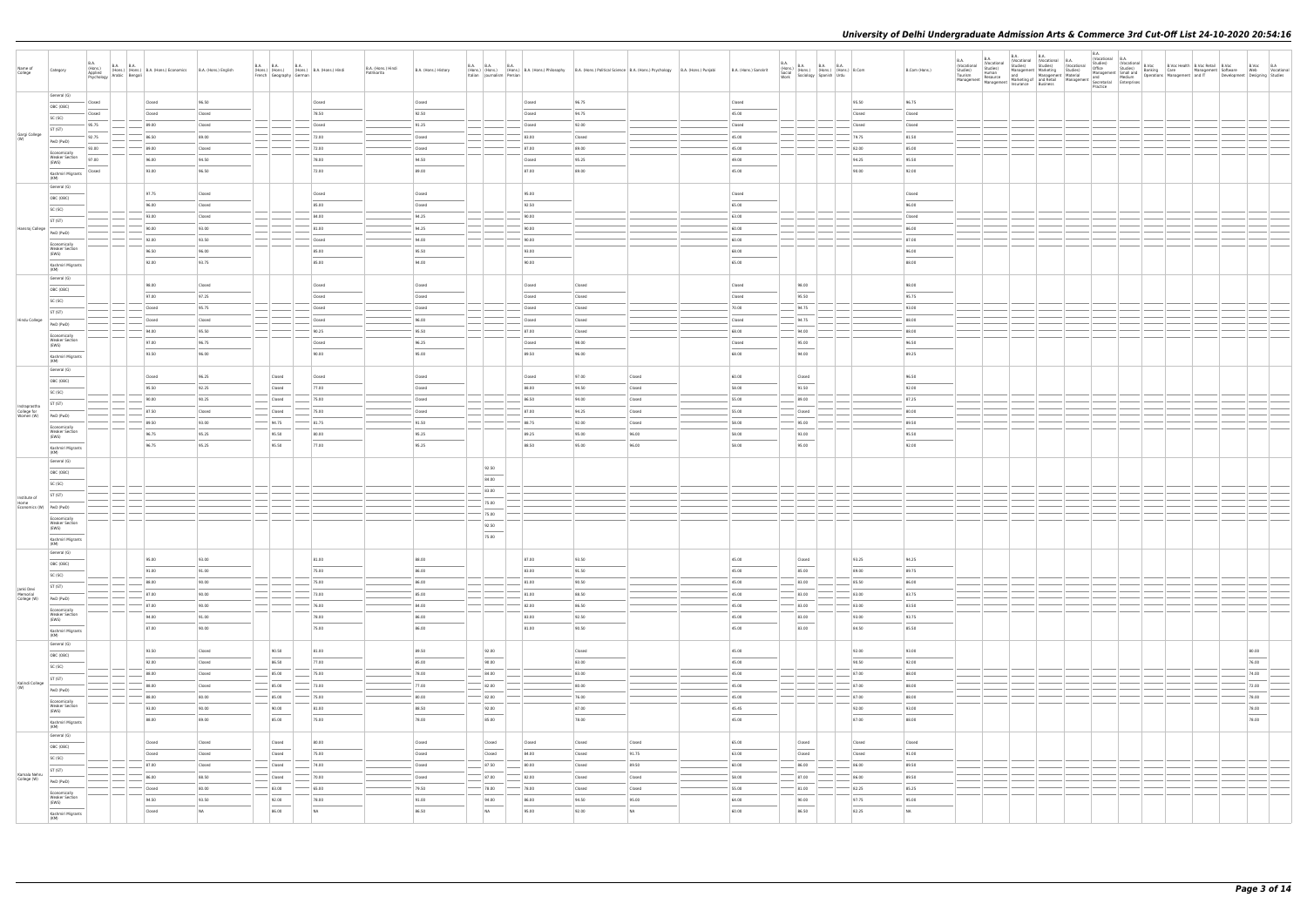| Name of<br>College                              | Category                                                    | <b>B.A.</b><br>(Hons.)<br>Applied<br>Psychology | <b>B.A. B.A.</b><br>(Hons.) (Hons.) B.A. (Hons.) Economics<br>Arabic Bengali | B.A. (Hons.) English | B.A. B.A.<br>French Geography German | <b>B.A.</b><br>(Hons.) (Hons.) (Hons.) B.A. (Hons.) Hindi | B.A. (Hons.) Hindi<br>Patrikarita | B.A. (Hons.) History | B.A. B.A. B.A.<br>Italian Journalism Persian                                                                                                                                                                                                                                                                                                                                                                                                                                        |                  | (Hons.) (Hons.) (Hons.) B.A. (Hons.) Philosophy B.A. (Hons.) Political Science B.A. (Hons.) Psychology B.A. (Hons.) Punjabi |        | B.A. (Hons.) Sanskrit  | <b>B.A.</b> | $\begin{array}{ l l } \hline \text{B.A.} & \text{B.A.} & \text{B.A.} & \text{B.A.} \\ \hline \text{Hons.)} & \text{(Hons.)} & \text{(Hons.)} & \text{(Hons.)} \\ \hline \text{Social} & \text{Sociology} & \text{Spanish} & \text{Urdu} & \text{B.Com} \\ \hline \end{array}$ |          | B.Com (Hons.)  | B.A.<br>(Vocational<br>Studies)<br>Tourism<br>Management | <b>B.A.</b> | B.A. | B.A. |  | I (Vocational ISO, Indies) Studies<br>Studies) Studies Studies (Vocational B.A. Internet Material Studies) (Vocational B.Voc<br>Human and Management Material Material Material Management Small Different Studies) and<br>Human and |                                   |  |
|-------------------------------------------------|-------------------------------------------------------------|-------------------------------------------------|------------------------------------------------------------------------------|----------------------|--------------------------------------|-----------------------------------------------------------|-----------------------------------|----------------------|-------------------------------------------------------------------------------------------------------------------------------------------------------------------------------------------------------------------------------------------------------------------------------------------------------------------------------------------------------------------------------------------------------------------------------------------------------------------------------------|------------------|-----------------------------------------------------------------------------------------------------------------------------|--------|------------------------|-------------|-------------------------------------------------------------------------------------------------------------------------------------------------------------------------------------------------------------------------------------------------------------------------------|----------|----------------|----------------------------------------------------------|-------------|------|------|--|--------------------------------------------------------------------------------------------------------------------------------------------------------------------------------------------------------------------------------------|-----------------------------------|--|
|                                                 | General (G)                                                 |                                                 |                                                                              |                      |                                      |                                                           |                                   |                      |                                                                                                                                                                                                                                                                                                                                                                                                                                                                                     |                  |                                                                                                                             |        |                        |             |                                                                                                                                                                                                                                                                               |          |                |                                                          |             |      |      |  |                                                                                                                                                                                                                                      |                                   |  |
|                                                 | OBC (OBC)                                                   | Closed                                          | Closed                                                                       | 96.50                |                                      | Closed                                                    |                                   | Closed               |                                                                                                                                                                                                                                                                                                                                                                                                                                                                                     | Closed           | 96.75                                                                                                                       |        | Closed                 |             |                                                                                                                                                                                                                                                                               | 95.50    | 96.75          |                                                          |             |      |      |  |                                                                                                                                                                                                                                      |                                   |  |
|                                                 | SC (SC)                                                     | Closed                                          | Closed                                                                       | Closed               |                                      | 78.50                                                     |                                   | 92.50                |                                                                                                                                                                                                                                                                                                                                                                                                                                                                                     | Closed           | 94.75                                                                                                                       |        | 45.00                  |             |                                                                                                                                                                                                                                                                               | Closed   | Closed         |                                                          |             |      |      |  |                                                                                                                                                                                                                                      |                                   |  |
| Gargi College                                   | ST (ST)                                                     | 95.75                                           | 89.00                                                                        | Closed               |                                      | Closed                                                    |                                   | 91.25                |                                                                                                                                                                                                                                                                                                                                                                                                                                                                                     | Closed           | 92.00                                                                                                                       |        | Closed                 |             |                                                                                                                                                                                                                                                                               | Closed   | Closed         |                                                          |             |      |      |  |                                                                                                                                                                                                                                      |                                   |  |
| (W)                                             | PwD (PwD)                                                   | 92.75                                           | 86.50                                                                        | 89.00                |                                      | 72.00                                                     |                                   | Closed               |                                                                                                                                                                                                                                                                                                                                                                                                                                                                                     | 83.00            | Closed                                                                                                                      |        | 45.00                  |             |                                                                                                                                                                                                                                                                               | 79.75    | 81.50          |                                                          |             |      |      |  |                                                                                                                                                                                                                                      |                                   |  |
|                                                 | Economically<br><b>Weaker Section</b>                       | 93.00                                           | 89.00                                                                        | Closed               |                                      | 72.00                                                     |                                   | Closed               |                                                                                                                                                                                                                                                                                                                                                                                                                                                                                     | 87.00            | 89.00                                                                                                                       |        | 45.00                  |             |                                                                                                                                                                                                                                                                               | 82.00    | 85.00          |                                                          |             |      |      |  |                                                                                                                                                                                                                                      |                                   |  |
|                                                 | (EWS)                                                       | 97.00                                           | 96.00                                                                        | 94.50                |                                      | 78.00                                                     |                                   | 94.50                |                                                                                                                                                                                                                                                                                                                                                                                                                                                                                     | Closed           | 95.25                                                                                                                       |        | 49.00                  |             |                                                                                                                                                                                                                                                                               | 94.25    | 95.50          |                                                          |             |      |      |  |                                                                                                                                                                                                                                      |                                   |  |
|                                                 | Kashmiri Migrants<br>(KM)                                   | Closed                                          | 93.00                                                                        | 96.50                |                                      | 72.00                                                     |                                   | 89.00                |                                                                                                                                                                                                                                                                                                                                                                                                                                                                                     | 87.00            | 89.00                                                                                                                       |        | 45.00                  |             |                                                                                                                                                                                                                                                                               | 90.00    | 92.00          |                                                          |             |      |      |  |                                                                                                                                                                                                                                      |                                   |  |
|                                                 | General (G)                                                 |                                                 |                                                                              |                      |                                      |                                                           |                                   |                      |                                                                                                                                                                                                                                                                                                                                                                                                                                                                                     |                  |                                                                                                                             |        |                        |             |                                                                                                                                                                                                                                                                               |          |                |                                                          |             |      |      |  |                                                                                                                                                                                                                                      |                                   |  |
|                                                 | OBC (OBC)                                                   |                                                 | 97.75                                                                        | Closed               |                                      | Closed                                                    |                                   | Closed               |                                                                                                                                                                                                                                                                                                                                                                                                                                                                                     | 95.00            |                                                                                                                             |        | Closed                 |             |                                                                                                                                                                                                                                                                               |          | Closed         |                                                          |             |      |      |  |                                                                                                                                                                                                                                      |                                   |  |
|                                                 | SC (SC)                                                     |                                                 | 96.00                                                                        | Closed               |                                      | 85.00                                                     |                                   | Closed               |                                                                                                                                                                                                                                                                                                                                                                                                                                                                                     | 92.50            |                                                                                                                             |        | 65.00                  |             |                                                                                                                                                                                                                                                                               |          | 96.00          |                                                          |             |      |      |  |                                                                                                                                                                                                                                      |                                   |  |
|                                                 | ST (ST)                                                     |                                                 | 93.00                                                                        | Closed               |                                      | 84.00                                                     |                                   | 94.25                |                                                                                                                                                                                                                                                                                                                                                                                                                                                                                     | 90.00            |                                                                                                                             |        | 63.00                  |             |                                                                                                                                                                                                                                                                               |          | Closed         |                                                          |             |      |      |  |                                                                                                                                                                                                                                      |                                   |  |
| Hansraj College                                 | PwD (PwD)                                                   |                                                 | 90.00                                                                        | 93.00                |                                      | 81.00                                                     |                                   | 94.25                |                                                                                                                                                                                                                                                                                                                                                                                                                                                                                     | 90.00            |                                                                                                                             |        | 60.00                  |             |                                                                                                                                                                                                                                                                               |          | 86.00          |                                                          |             |      |      |  |                                                                                                                                                                                                                                      |                                   |  |
|                                                 | Economically<br><b>Weaker Section</b>                       |                                                 | 92.00                                                                        | 93.50                |                                      | Closed                                                    |                                   | 94.00                |                                                                                                                                                                                                                                                                                                                                                                                                                                                                                     | 90.00            |                                                                                                                             |        | 60.00                  |             |                                                                                                                                                                                                                                                                               |          | 87.00          |                                                          |             |      |      |  |                                                                                                                                                                                                                                      |                                   |  |
|                                                 | (EWS)                                                       |                                                 | 96.50                                                                        | 96.00                |                                      | 85.00                                                     |                                   | 95.50                |                                                                                                                                                                                                                                                                                                                                                                                                                                                                                     | 93.00            |                                                                                                                             |        | 68.00                  |             |                                                                                                                                                                                                                                                                               |          | 96.00          |                                                          |             |      |      |  |                                                                                                                                                                                                                                      |                                   |  |
|                                                 | Kashmiri Migrants<br>(KM)                                   |                                                 | 92.00                                                                        | 93.75                |                                      | 85.00                                                     |                                   | 94.00                |                                                                                                                                                                                                                                                                                                                                                                                                                                                                                     | 90.00            |                                                                                                                             |        | 65.00                  |             |                                                                                                                                                                                                                                                                               |          | 88.00          |                                                          |             |      |      |  |                                                                                                                                                                                                                                      |                                   |  |
|                                                 | General (G)                                                 |                                                 |                                                                              |                      |                                      |                                                           |                                   |                      |                                                                                                                                                                                                                                                                                                                                                                                                                                                                                     |                  |                                                                                                                             |        |                        |             |                                                                                                                                                                                                                                                                               |          |                |                                                          |             |      |      |  |                                                                                                                                                                                                                                      |                                   |  |
|                                                 | OBC (OBC)                                                   |                                                 | 98.00                                                                        | Closed               |                                      | Closed                                                    |                                   | Closed               |                                                                                                                                                                                                                                                                                                                                                                                                                                                                                     | Closed           | Closed                                                                                                                      |        | Closed                 |             | 98.00                                                                                                                                                                                                                                                                         |          | 98.00          |                                                          |             |      |      |  |                                                                                                                                                                                                                                      |                                   |  |
|                                                 | SC (SC)                                                     |                                                 | 97.00                                                                        | 97.25                |                                      | Closed                                                    |                                   | Closed               |                                                                                                                                                                                                                                                                                                                                                                                                                                                                                     | Closed           | Closed                                                                                                                      |        | Closed                 |             | 95.50                                                                                                                                                                                                                                                                         |          | 95.75          |                                                          |             |      |      |  |                                                                                                                                                                                                                                      |                                   |  |
|                                                 | ST (ST)                                                     |                                                 | Closed<br>Closed                                                             | 95.75<br>Closed      |                                      | Closed                                                    |                                   | Closed<br>96.00      |                                                                                                                                                                                                                                                                                                                                                                                                                                                                                     | Closed<br>Closed | Closed<br>Closed                                                                                                            |        | 70.00<br>Closed        |             | 94.75<br>94.75                                                                                                                                                                                                                                                                |          | 93.00<br>88.00 |                                                          |             |      |      |  |                                                                                                                                                                                                                                      |                                   |  |
| Hindu College                                   | PwD (PwD)                                                   |                                                 | 94.00                                                                        | 95.50                |                                      | Closed<br>90.25                                           |                                   | 95.50                |                                                                                                                                                                                                                                                                                                                                                                                                                                                                                     | 87.00            | Closed                                                                                                                      |        | 68.00                  |             | $-94.00$                                                                                                                                                                                                                                                                      |          | 88.00          |                                                          |             |      |      |  |                                                                                                                                                                                                                                      |                                   |  |
|                                                 | Economically<br><b>Weaker Section</b>                       |                                                 | 97.00                                                                        | 96.75                |                                      | Closed                                                    |                                   | 96.25                |                                                                                                                                                                                                                                                                                                                                                                                                                                                                                     | Closed           | 98.00                                                                                                                       |        | Closed                 |             | 95.00                                                                                                                                                                                                                                                                         |          | 96.50          |                                                          |             |      |      |  |                                                                                                                                                                                                                                      |                                   |  |
|                                                 | (EWS)                                                       |                                                 | 93.50                                                                        | 96.00                |                                      | 90.00                                                     |                                   | 95.00                |                                                                                                                                                                                                                                                                                                                                                                                                                                                                                     | 89.50            | 96.00                                                                                                                       |        | 68.00                  |             | 94.00                                                                                                                                                                                                                                                                         |          | 89.25          |                                                          |             |      |      |  |                                                                                                                                                                                                                                      |                                   |  |
|                                                 | Kashmiri Migrants<br>(KM)                                   |                                                 |                                                                              |                      |                                      |                                                           |                                   |                      |                                                                                                                                                                                                                                                                                                                                                                                                                                                                                     |                  |                                                                                                                             |        |                        |             |                                                                                                                                                                                                                                                                               |          |                |                                                          |             |      |      |  |                                                                                                                                                                                                                                      |                                   |  |
|                                                 | General (G)                                                 |                                                 | Closed                                                                       | 96.25                | Closed                               | Closed                                                    |                                   | Closed               |                                                                                                                                                                                                                                                                                                                                                                                                                                                                                     | Closed           | 97.00                                                                                                                       | Closed | 60.00                  |             | Closed                                                                                                                                                                                                                                                                        |          | 96.50          |                                                          |             |      |      |  |                                                                                                                                                                                                                                      |                                   |  |
|                                                 | OBC (OBC)                                                   |                                                 | 95.50                                                                        | 92.25                | Closed                               | 77.00                                                     |                                   | Closed               |                                                                                                                                                                                                                                                                                                                                                                                                                                                                                     | 88.00            | 94.50                                                                                                                       | Closed | 58.00                  |             | 91.50                                                                                                                                                                                                                                                                         |          | 92.00          |                                                          |             |      |      |  |                                                                                                                                                                                                                                      |                                   |  |
|                                                 | SC (SC)                                                     |                                                 | 90.00                                                                        | 90.25                | Closed                               | 75.00                                                     |                                   | Closed               |                                                                                                                                                                                                                                                                                                                                                                                                                                                                                     | 86.50            | 94.00                                                                                                                       | Closed | 55.00                  |             | 89.00                                                                                                                                                                                                                                                                         |          | 87.25          |                                                          |             |      |      |  |                                                                                                                                                                                                                                      |                                   |  |
| Indraprastha<br>College for                     | ST (ST)                                                     |                                                 | 87.50                                                                        | Closed               | Closed                               | 75.00                                                     |                                   | Closed               |                                                                                                                                                                                                                                                                                                                                                                                                                                                                                     | 87.00            | 94.25                                                                                                                       | Closed | 55.00                  |             | Closed                                                                                                                                                                                                                                                                        |          | 80.00          |                                                          |             |      |      |  |                                                                                                                                                                                                                                      |                                   |  |
| Women (W)                                       | PwD (PwD)                                                   |                                                 | 89.50                                                                        | 93.00                | 94.75                                | 81.75                                                     |                                   | 91.50                |                                                                                                                                                                                                                                                                                                                                                                                                                                                                                     | 88.75            | 92.00                                                                                                                       | Closed | 58.00                  |             | $-95.00$                                                                                                                                                                                                                                                                      |          | 89.50          |                                                          |             |      |      |  |                                                                                                                                                                                                                                      |                                   |  |
|                                                 | Economically<br><b>Weaker Section</b><br>(EWS)              |                                                 | 96.75                                                                        | 95.25                | 95.50                                | 80.00                                                     |                                   | 95.25                |                                                                                                                                                                                                                                                                                                                                                                                                                                                                                     | 89.25            | 95.00                                                                                                                       | 96.00  | 58.00                  |             | 93.00                                                                                                                                                                                                                                                                         |          | 95.50          |                                                          |             |      |      |  |                                                                                                                                                                                                                                      |                                   |  |
|                                                 | Kashmiri Migrants                                           |                                                 | 96.75                                                                        | 95.25                | 95.50                                | 77.00                                                     |                                   | 95.25                |                                                                                                                                                                                                                                                                                                                                                                                                                                                                                     | 88.50            | 95.00                                                                                                                       | 96.00  | 58.00                  |             | $\sim$<br>95.00                                                                                                                                                                                                                                                               |          | 92.00          |                                                          |             |      |      |  |                                                                                                                                                                                                                                      |                                   |  |
|                                                 | (KM)                                                        |                                                 |                                                                              |                      |                                      |                                                           |                                   |                      |                                                                                                                                                                                                                                                                                                                                                                                                                                                                                     |                  |                                                                                                                             |        |                        |             |                                                                                                                                                                                                                                                                               |          |                |                                                          |             |      |      |  |                                                                                                                                                                                                                                      |                                   |  |
|                                                 | General (G)<br>OBC (OBC)                                    |                                                 |                                                                              |                      |                                      |                                                           |                                   |                      | 92.50                                                                                                                                                                                                                                                                                                                                                                                                                                                                               |                  |                                                                                                                             |        |                        |             |                                                                                                                                                                                                                                                                               |          |                |                                                          |             |      |      |  |                                                                                                                                                                                                                                      |                                   |  |
|                                                 | SC (SC)                                                     |                                                 |                                                                              |                      |                                      |                                                           |                                   |                      | $\frac{1}{2} \left( \frac{1}{2} \right) \left( \frac{1}{2} \right) \left( \frac{1}{2} \right) \left( \frac{1}{2} \right) \left( \frac{1}{2} \right) \left( \frac{1}{2} \right) \left( \frac{1}{2} \right) \left( \frac{1}{2} \right) \left( \frac{1}{2} \right) \left( \frac{1}{2} \right) \left( \frac{1}{2} \right) \left( \frac{1}{2} \right) \left( \frac{1}{2} \right) \left( \frac{1}{2} \right) \left( \frac{1}{2} \right) \left( \frac{1}{2} \right) \left( \frac$<br>84.00 |                  |                                                                                                                             |        |                        |             |                                                                                                                                                                                                                                                                               |          |                |                                                          |             |      |      |  |                                                                                                                                                                                                                                      |                                   |  |
|                                                 | ST (ST)                                                     |                                                 |                                                                              |                      |                                      |                                                           |                                   |                      | 83.00                                                                                                                                                                                                                                                                                                                                                                                                                                                                               |                  |                                                                                                                             |        |                        |             |                                                                                                                                                                                                                                                                               |          |                |                                                          |             |      |      |  |                                                                                                                                                                                                                                      |                                   |  |
| Institute of<br>Home<br>Economics (W) PwD (PwD) |                                                             |                                                 |                                                                              |                      |                                      |                                                           |                                   |                      | 75.00                                                                                                                                                                                                                                                                                                                                                                                                                                                                               |                  |                                                                                                                             |        |                        |             |                                                                                                                                                                                                                                                                               |          |                |                                                          |             |      |      |  |                                                                                                                                                                                                                                      |                                   |  |
|                                                 | Economically                                                |                                                 |                                                                              |                      |                                      |                                                           |                                   |                      | 75.00                                                                                                                                                                                                                                                                                                                                                                                                                                                                               |                  |                                                                                                                             |        |                        |             |                                                                                                                                                                                                                                                                               |          |                |                                                          |             |      |      |  |                                                                                                                                                                                                                                      |                                   |  |
|                                                 | <b>Weaker Section</b><br>(EWS)<br>Kashmiri Migrants<br>(KM) |                                                 |                                                                              |                      |                                      |                                                           |                                   |                      | 92.50<br>75.00                                                                                                                                                                                                                                                                                                                                                                                                                                                                      |                  |                                                                                                                             |        |                        |             |                                                                                                                                                                                                                                                                               |          |                |                                                          |             |      |      |  |                                                                                                                                                                                                                                      |                                   |  |
|                                                 | General (G)                                                 |                                                 |                                                                              |                      |                                      |                                                           |                                   |                      |                                                                                                                                                                                                                                                                                                                                                                                                                                                                                     |                  |                                                                                                                             |        |                        |             |                                                                                                                                                                                                                                                                               |          |                |                                                          |             |      |      |  |                                                                                                                                                                                                                                      |                                   |  |
|                                                 | OBC (OBC)                                                   |                                                 | 95.00                                                                        | 93.00                |                                      | 81.00                                                     |                                   | 88.00                |                                                                                                                                                                                                                                                                                                                                                                                                                                                                                     | 87.00            | 93.50                                                                                                                       |        | 45.00                  |             | Closed<br>$\sim$                                                                                                                                                                                                                                                              | 93.25    | 94.25          |                                                          |             |      |      |  |                                                                                                                                                                                                                                      |                                   |  |
|                                                 | SC (SC)                                                     |                                                 | 91.00                                                                        | 91.00                |                                      | 75.00                                                     |                                   | 86.00                |                                                                                                                                                                                                                                                                                                                                                                                                                                                                                     | 83.00            | 91.50                                                                                                                       |        | 45.00                  |             | 85.00                                                                                                                                                                                                                                                                         | 89.00    | 89.75          |                                                          |             |      |      |  |                                                                                                                                                                                                                                      |                                   |  |
|                                                 | ST (ST)                                                     |                                                 | 88.00                                                                        | 90.00                |                                      | 75.00                                                     |                                   | 86.00                |                                                                                                                                                                                                                                                                                                                                                                                                                                                                                     | 81.00            | 90.50                                                                                                                       |        | 45.00                  |             | 83.00                                                                                                                                                                                                                                                                         | 85.50    | 86.00          |                                                          |             |      |      |  |                                                                                                                                                                                                                                      |                                   |  |
| Janki Devi<br>Memorial<br>College (W)           | PwD (PwD)                                                   |                                                 | 87.00                                                                        | 90.00                |                                      | 73.00                                                     |                                   | 85.00                |                                                                                                                                                                                                                                                                                                                                                                                                                                                                                     | 81.00            | 88.50                                                                                                                       |        | 45.00                  |             | 83.00                                                                                                                                                                                                                                                                         | 83.00    | 83.75          |                                                          |             |      |      |  |                                                                                                                                                                                                                                      |                                   |  |
|                                                 | Economically<br><b>Weaker Section</b>                       |                                                 | 87.00                                                                        | 90.00                |                                      | 76.00                                                     |                                   | 84.00                |                                                                                                                                                                                                                                                                                                                                                                                                                                                                                     | 82.00            | 86.50                                                                                                                       |        | 45.00                  |             | $-83.00$                                                                                                                                                                                                                                                                      | $-83.00$ | 83.50          |                                                          |             |      |      |  |                                                                                                                                                                                                                                      |                                   |  |
|                                                 | (EWS)                                                       |                                                 | 94.00                                                                        | 91.00                |                                      | 78.00                                                     |                                   | 86.00                |                                                                                                                                                                                                                                                                                                                                                                                                                                                                                     | 83.00            | 92.50                                                                                                                       |        | 45.00                  |             | 83.00<br>$\overline{\phantom{a}}$                                                                                                                                                                                                                                             | 93.00    | 93.75          |                                                          |             |      |      |  |                                                                                                                                                                                                                                      |                                   |  |
|                                                 | Kashmiri Migrants<br>(KM)                                   |                                                 | 87.00                                                                        | 90.00                |                                      | 75.00                                                     |                                   | 86.00                |                                                                                                                                                                                                                                                                                                                                                                                                                                                                                     | 81.00            | 90.50                                                                                                                       |        | 45.00                  |             | 83.00                                                                                                                                                                                                                                                                         | 84.50    | 85.50          |                                                          |             |      |      |  |                                                                                                                                                                                                                                      |                                   |  |
|                                                 | General (G)                                                 |                                                 | 93.50                                                                        | Closed               | 90.50                                | 81.00                                                     |                                   | 89.50                | 92.00                                                                                                                                                                                                                                                                                                                                                                                                                                                                               |                  | Closed                                                                                                                      |        | 45.00                  |             |                                                                                                                                                                                                                                                                               | 92.00    | 93.00          |                                                          |             |      |      |  |                                                                                                                                                                                                                                      | 80.00                             |  |
|                                                 | OBC (OBC)                                                   |                                                 | 92.00                                                                        | Closed               | 86.50                                | 77.00                                                     |                                   | 85.00                | $\overline{\phantom{a}}$<br>90.00                                                                                                                                                                                                                                                                                                                                                                                                                                                   |                  | $\overline{\phantom{a}}$<br>83.00                                                                                           |        | 45.00                  |             |                                                                                                                                                                                                                                                                               | 90.50    | 92.00          |                                                          |             |      |      |  |                                                                                                                                                                                                                                      | $\overline{\phantom{a}}$<br>76.00 |  |
|                                                 | SC (SC)                                                     |                                                 | 88.00                                                                        | Closed               | $- 85.00$                            | 75.00                                                     |                                   | 78.00                | 84.00                                                                                                                                                                                                                                                                                                                                                                                                                                                                               |                  | 83.00                                                                                                                       |        | 45.00                  |             |                                                                                                                                                                                                                                                                               | 87.00    | 88.00          |                                                          |             |      |      |  |                                                                                                                                                                                                                                      | 74.00                             |  |
| Kalindi College                                 | ST (ST)                                                     |                                                 | 88.00                                                                        | Closed               | 85.00                                | 73.00                                                     |                                   | 77.00                | 82.00                                                                                                                                                                                                                                                                                                                                                                                                                                                                               |                  | 80.00                                                                                                                       |        | 45.00                  |             |                                                                                                                                                                                                                                                                               | 87.00    | 88.00          |                                                          |             |      |      |  |                                                                                                                                                                                                                                      | 72.00                             |  |
| (W)                                             | PwD (PwD)                                                   |                                                 | 88.00                                                                        | 80.00                | $- 85.00$                            | 75.00                                                     |                                   | 80.00                | 82.00                                                                                                                                                                                                                                                                                                                                                                                                                                                                               |                  | 76.00                                                                                                                       |        | 45.00                  |             |                                                                                                                                                                                                                                                                               | 87.00    | 88.00          |                                                          |             |      |      |  |                                                                                                                                                                                                                                      | 78.00                             |  |
|                                                 | Economically<br><b>Weaker Section</b>                       |                                                 | 93.00                                                                        | 90.00                | 90.00                                | 81.00                                                     |                                   | 88.50                | 92.00                                                                                                                                                                                                                                                                                                                                                                                                                                                                               |                  | 87.00                                                                                                                       |        | 45.45                  |             |                                                                                                                                                                                                                                                                               | 92.00    | 93.00          |                                                          |             |      |      |  |                                                                                                                                                                                                                                      | 78.00                             |  |
|                                                 | (EWS)<br>Kashmiri Migrants                                  |                                                 | 88.00                                                                        | 89.00                | 85.00                                | 75.00                                                     |                                   | 78.00                | $\sim$<br>85.00                                                                                                                                                                                                                                                                                                                                                                                                                                                                     |                  | 78.00                                                                                                                       |        | $\frac{1}{2}$<br>45.00 |             |                                                                                                                                                                                                                                                                               | 87.00    | 88.00          |                                                          |             |      |      |  |                                                                                                                                                                                                                                      | 78.00                             |  |
|                                                 | (KM)                                                        |                                                 |                                                                              |                      |                                      |                                                           |                                   |                      |                                                                                                                                                                                                                                                                                                                                                                                                                                                                                     |                  |                                                                                                                             |        |                        |             |                                                                                                                                                                                                                                                                               |          |                |                                                          |             |      |      |  |                                                                                                                                                                                                                                      |                                   |  |
|                                                 | General (G)<br>OBC (OBC)                                    |                                                 | Closed                                                                       | Closed               | Closed                               | 80.00                                                     |                                   | Closed               | Closed                                                                                                                                                                                                                                                                                                                                                                                                                                                                              | Closed           | Closed                                                                                                                      | Closed | 65.00                  |             | Closed                                                                                                                                                                                                                                                                        | Closed   | Closed         |                                                          |             |      |      |  |                                                                                                                                                                                                                                      |                                   |  |
|                                                 | SC (SC)                                                     |                                                 | Closed                                                                       | Closed               | Closed                               | 75.00                                                     |                                   | Closed               | ___<br>Closed                                                                                                                                                                                                                                                                                                                                                                                                                                                                       | 84.00            | Closed                                                                                                                      | 91.75  | 63.00                  |             | $\overline{\phantom{a}}$<br>Closed                                                                                                                                                                                                                                            | Closed   | 91.00          |                                                          |             |      |      |  |                                                                                                                                                                                                                                      |                                   |  |
|                                                 | ST (ST)                                                     |                                                 | 87.00                                                                        | Closed               | Closed                               | 74.00                                                     |                                   | Closed               | 87.50                                                                                                                                                                                                                                                                                                                                                                                                                                                                               | 80.00            | Closed                                                                                                                      | 89.50  | 60.00                  |             | 86.00                                                                                                                                                                                                                                                                         | 86.00    | 89.50          |                                                          |             |      |      |  |                                                                                                                                                                                                                                      |                                   |  |
| Kamala Nehru<br>College (W)                     | PwD (PwD)                                                   |                                                 | 86.00                                                                        | 88.50                | Closed                               | 70.00                                                     |                                   | Closed               | 87.00                                                                                                                                                                                                                                                                                                                                                                                                                                                                               | 82.00            | Closed                                                                                                                      | Closed | 58.00                  |             | 87.00                                                                                                                                                                                                                                                                         | 86.00    | 89.50          |                                                          |             |      |      |  |                                                                                                                                                                                                                                      |                                   |  |
|                                                 | Economically                                                |                                                 | Closed                                                                       | 80.00                | 83.00                                | 65.00                                                     |                                   | 79.50                | 78.00                                                                                                                                                                                                                                                                                                                                                                                                                                                                               | 78.00            | Closed                                                                                                                      | Closed | 55.00                  |             | 81.00                                                                                                                                                                                                                                                                         | 82.25    | 85.25          |                                                          |             |      |      |  |                                                                                                                                                                                                                                      |                                   |  |
|                                                 | <b>Weaker Section</b><br>(EWS)                              |                                                 | 94.50                                                                        | 93.50                | 92.00                                | 78.00                                                     |                                   | 91.00                | 94.00                                                                                                                                                                                                                                                                                                                                                                                                                                                                               | 86.00            | 94.50                                                                                                                       | 95.00  | 64.00                  |             | 90.00<br>$\overline{\phantom{a}}$                                                                                                                                                                                                                                             | 97.75    | 95.00          |                                                          |             |      |      |  |                                                                                                                                                                                                                                      |                                   |  |
|                                                 | Kashmiri Migrants<br>(KM)                                   |                                                 | Closed                                                                       | NA                   | 86.00                                | NA                                                        |                                   | 86.50                | NA                                                                                                                                                                                                                                                                                                                                                                                                                                                                                  | 95.00            | 92.00                                                                                                                       | NA     | 60.00                  |             | 86.50                                                                                                                                                                                                                                                                         | 82.25    | NA             |                                                          |             |      |      |  |                                                                                                                                                                                                                                      |                                   |  |
|                                                 |                                                             |                                                 |                                                                              |                      |                                      |                                                           |                                   |                      |                                                                                                                                                                                                                                                                                                                                                                                                                                                                                     |                  |                                                                                                                             |        |                        |             |                                                                                                                                                                                                                                                                               |          |                |                                                          |             |      |      |  |                                                                                                                                                                                                                                      |                                   |  |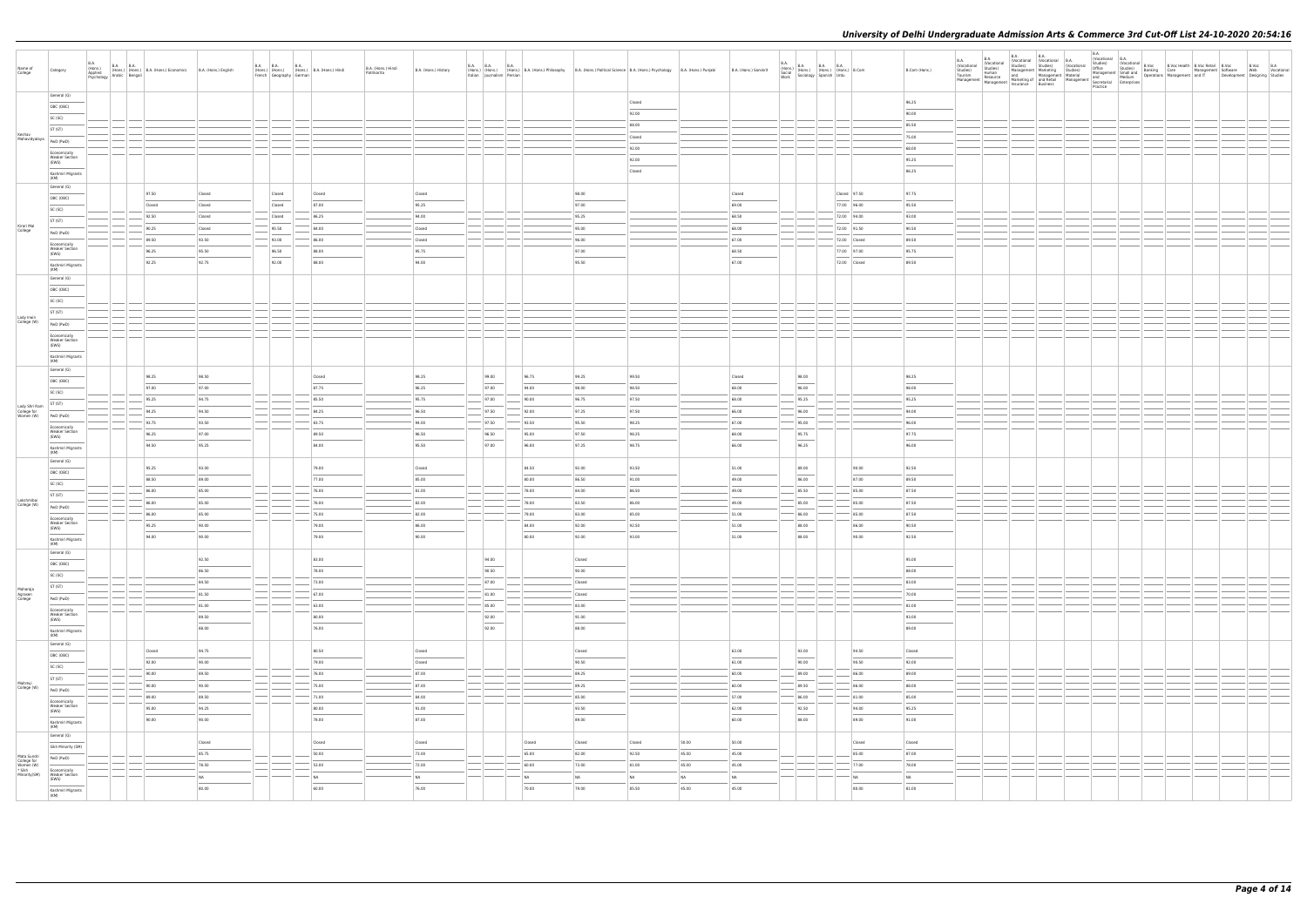| Name of<br>College                                | Category                                       | B.A.<br>(Hons.) B.A. B.A.<br>Applied (Hons.) (Hons.) E<br>Psychology Arabic Bengali | (Hons.) (Hons.) B.A. (Hons.) Economics B.A. (Hons.) English |                | <b>B.A. B.A.</b><br>(Hons.) (Hons.) (Hons.) B.A. (Hons.) Hindi<br>French Geography German | <b>B.A.</b> |                | B.A. (Hons.) Hindi<br>Patrikarita | B.A. (Hons.) History               | B.A. B.A. B.A.<br>Italian Journalism Persian |                | (Hons.) (Hons.) (Hons.) B.A. (Hons.) Philosophy B.A. (Hons.) Political Science B.A. (Hons.) Psychology B.A. (Hons.) Punjabi |                |       | B.A. (Hons.) Sanskrit | B.A. (Hons.) B.A. B.A. B.A. B.A. (Hons.) B.Com<br>Social (Hons.) (Hons.) (Hons.) B.Com<br>Work Sociology Spanish Urdu |               | B.Com (Hons.)                              | B.A.<br>(Vocational<br>Studies)<br>Tourism<br>Management | <b>B.A.</b> | <b>B.A.</b> | <b>B.A.</b> |  |  |  |
|---------------------------------------------------|------------------------------------------------|-------------------------------------------------------------------------------------|-------------------------------------------------------------|----------------|-------------------------------------------------------------------------------------------|-------------|----------------|-----------------------------------|------------------------------------|----------------------------------------------|----------------|-----------------------------------------------------------------------------------------------------------------------------|----------------|-------|-----------------------|-----------------------------------------------------------------------------------------------------------------------|---------------|--------------------------------------------|----------------------------------------------------------|-------------|-------------|-------------|--|--|--|
|                                                   | General (G)                                    |                                                                                     |                                                             |                |                                                                                           |             |                |                                   |                                    |                                              |                |                                                                                                                             | Closed         |       |                       |                                                                                                                       |               | 96.25                                      |                                                          |             |             |             |  |  |  |
|                                                   | OBC (OBC)                                      |                                                                                     |                                                             |                |                                                                                           |             |                |                                   |                                    |                                              |                |                                                                                                                             | 92.00          |       |                       |                                                                                                                       |               | 90.00                                      |                                                          |             |             |             |  |  |  |
|                                                   | SC (SC)                                        |                                                                                     |                                                             |                |                                                                                           |             |                |                                   |                                    |                                              |                |                                                                                                                             | 88.00          |       |                       |                                                                                                                       |               | 85.50                                      |                                                          |             |             |             |  |  |  |
| Keshav<br>Mahavidyalaya                           | ST (ST)                                        |                                                                                     |                                                             |                |                                                                                           |             |                |                                   |                                    |                                              |                |                                                                                                                             | Closed         |       |                       |                                                                                                                       |               | 75.00                                      |                                                          |             |             |             |  |  |  |
|                                                   | PwD (PwD)                                      |                                                                                     |                                                             |                |                                                                                           |             |                |                                   |                                    |                                              |                |                                                                                                                             | 92.00          |       |                       |                                                                                                                       |               | 68.00                                      |                                                          |             |             |             |  |  |  |
|                                                   | Economically<br><b>Weaker Section</b><br>(EWS) |                                                                                     |                                                             |                |                                                                                           |             |                |                                   |                                    |                                              |                |                                                                                                                             | 92.00          |       |                       |                                                                                                                       |               | 95.25                                      |                                                          |             |             |             |  |  |  |
|                                                   | Kashmiri Migrants                              |                                                                                     |                                                             |                |                                                                                           |             |                |                                   |                                    |                                              |                |                                                                                                                             | Closed         |       |                       |                                                                                                                       |               | 86.25                                      |                                                          |             |             |             |  |  |  |
|                                                   | (KM)                                           |                                                                                     |                                                             |                |                                                                                           |             |                |                                   |                                    |                                              |                |                                                                                                                             |                |       |                       |                                                                                                                       |               |                                            |                                                          |             |             |             |  |  |  |
|                                                   | General (G)<br>OBC (OBC)                       |                                                                                     | 97.50                                                       | Closed         | Closed                                                                                    |             | Closed         |                                   | Closed                             |                                              |                | 98.00                                                                                                                       |                |       | Closed                |                                                                                                                       | Closed 97.50  | 97.75                                      |                                                          |             |             |             |  |  |  |
|                                                   | SC (SC)                                        |                                                                                     | Closed                                                      | Closed         | Closed                                                                                    |             | 87.00          |                                   | 95.25                              |                                              |                | 97.00                                                                                                                       |                |       | 69.00                 |                                                                                                                       | 77.00 96.00   | 95.50                                      |                                                          |             |             |             |  |  |  |
|                                                   | ST (ST)                                        |                                                                                     | 92.50                                                       | Closed         | Closed                                                                                    |             | 86.25          |                                   | 94.00                              |                                              |                | 95.25                                                                                                                       |                |       | 68.50                 |                                                                                                                       | $72.00$ 94.00 | 93.00                                      |                                                          |             |             |             |  |  |  |
| Kirori Mal<br>College                             | PwD (PwD)                                      |                                                                                     | 90.25                                                       | Closed         | 95.50                                                                                     |             | 84.00          |                                   | Closed                             |                                              |                | 95.00                                                                                                                       |                |       | 68.00                 |                                                                                                                       | 72.00 91.50   | 90.50                                      |                                                          |             |             |             |  |  |  |
|                                                   | Economically                                   |                                                                                     | 89.50                                                       | 93.50          | 93.00                                                                                     |             | 86.00          |                                   | Closed                             |                                              |                | 96.00                                                                                                                       |                |       | 67.00                 |                                                                                                                       | 72.00 Closed  | 89.50                                      |                                                          |             |             |             |  |  |  |
|                                                   | <b>Weaker Section</b><br>(EWS)                 |                                                                                     | 96.25                                                       | 95.50          | 96.50                                                                                     |             | 88.00          |                                   | 95.75                              |                                              |                | 97.00                                                                                                                       |                |       | 68.50                 |                                                                                                                       | 77.00 97.00   | 95.75                                      |                                                          |             |             |             |  |  |  |
|                                                   | Kashmiri Migrants                              |                                                                                     | 92.25                                                       | 92.75          | 92.00                                                                                     |             | 88.00          |                                   | 94.00                              |                                              |                | 95.50                                                                                                                       |                |       | 67.00                 |                                                                                                                       | 72.00 Closed  | 89.50                                      |                                                          |             |             |             |  |  |  |
|                                                   | (KM)<br>General (G)                            |                                                                                     |                                                             |                |                                                                                           |             |                |                                   |                                    |                                              |                |                                                                                                                             |                |       |                       |                                                                                                                       |               |                                            |                                                          |             |             |             |  |  |  |
|                                                   | OBC (OBC)                                      |                                                                                     |                                                             |                |                                                                                           |             |                |                                   |                                    |                                              |                |                                                                                                                             |                |       |                       |                                                                                                                       |               |                                            |                                                          |             |             |             |  |  |  |
|                                                   | SC (SC)                                        |                                                                                     |                                                             |                |                                                                                           |             |                |                                   |                                    |                                              |                |                                                                                                                             |                |       |                       |                                                                                                                       |               |                                            |                                                          |             |             |             |  |  |  |
|                                                   | ST (ST)                                        |                                                                                     |                                                             |                |                                                                                           |             |                |                                   |                                    |                                              |                |                                                                                                                             |                |       |                       |                                                                                                                       |               |                                            |                                                          |             |             |             |  |  |  |
| Lady Irwin<br>College (W)                         | PwD (PwD)                                      |                                                                                     |                                                             |                |                                                                                           |             |                |                                   |                                    |                                              |                |                                                                                                                             |                |       |                       | — I                                                                                                                   |               |                                            |                                                          |             |             |             |  |  |  |
|                                                   | Economically                                   |                                                                                     |                                                             |                |                                                                                           |             |                |                                   |                                    |                                              |                |                                                                                                                             |                |       |                       |                                                                                                                       |               |                                            |                                                          |             |             |             |  |  |  |
|                                                   | <b>Weaker Section</b><br>(EWS)                 |                                                                                     |                                                             |                |                                                                                           |             |                |                                   |                                    |                                              |                |                                                                                                                             |                |       |                       |                                                                                                                       |               |                                            |                                                          |             |             |             |  |  |  |
|                                                   | Kashmiri Migrants<br>(KM)                      |                                                                                     |                                                             |                |                                                                                           |             |                |                                   |                                    |                                              |                |                                                                                                                             |                |       |                       |                                                                                                                       |               |                                            |                                                          |             |             |             |  |  |  |
|                                                   | General (G)                                    |                                                                                     |                                                             |                |                                                                                           |             |                |                                   |                                    |                                              |                |                                                                                                                             |                |       |                       |                                                                                                                       |               |                                            |                                                          |             |             |             |  |  |  |
|                                                   | OBC (OBC)                                      |                                                                                     | 98.25                                                       | 98.50          |                                                                                           |             | Closed         |                                   | 98.25                              | 99.00                                        | 96.75          | 99.25                                                                                                                       | 99.50          |       | Closed                | 98.00                                                                                                                 |               | 98.25                                      |                                                          |             |             |             |  |  |  |
|                                                   | SC (SC)                                        |                                                                                     | 97.00                                                       | 97.00          |                                                                                           |             | 87.75          |                                   | 96.25                              | 97.00                                        | 94.00          | 98.00                                                                                                                       | 98.50          |       | 68.00                 | 96.00                                                                                                                 |               | 98.00                                      |                                                          |             |             |             |  |  |  |
| Lady Shri Ram $ST (ST)$                           |                                                |                                                                                     | 95.25                                                       | 94.75          |                                                                                           |             | 85.50          |                                   | 95.75                              | 97.00                                        | 90.00          | 96.75                                                                                                                       | 97.50          |       | 68.00                 | 95.25                                                                                                                 |               | 95.25                                      |                                                          |             |             |             |  |  |  |
|                                                   | College for<br>Women (W) PWD (PwD)             |                                                                                     | 94.25<br>93.75                                              | 94.50<br>93.50 |                                                                                           |             | 84.25<br>83.75 |                                   | 96.50<br>94.00                     | 97.50<br>97.50                               | 92.00<br>93.50 | 97.25<br>95.50                                                                                                              | 97.50<br>98.25 |       | 66.00<br>67.00        | 96.00<br>95.00                                                                                                        |               | 94.00<br>96.00                             |                                                          |             |             |             |  |  |  |
|                                                   | Economically<br><b>Weaker Section</b>          |                                                                                     | 96.25                                                       | 97.00          |                                                                                           |             | 89.50          |                                   | 96.50                              | 96.50                                        | 95.00          | 97.50                                                                                                                       | 98.25          |       | 68.00                 | 95.75                                                                                                                 |               | 97.75                                      |                                                          |             |             |             |  |  |  |
|                                                   | (EWS)                                          |                                                                                     | 94.50                                                       | 95.25          |                                                                                           |             | 84.00          |                                   | 95.50                              | 97.00                                        | 96.00          | 97.25                                                                                                                       | 98.75          |       | 66.00                 | 96.25                                                                                                                 |               | 96.00                                      |                                                          |             |             |             |  |  |  |
|                                                   | Kashmiri Migrants<br>(KM)                      |                                                                                     |                                                             |                |                                                                                           |             |                |                                   |                                    |                                              |                |                                                                                                                             |                |       |                       |                                                                                                                       |               |                                            |                                                          |             |             |             |  |  |  |
|                                                   | General (G)                                    |                                                                                     | 95.25                                                       | 93.00          |                                                                                           |             | 79.00          |                                   | Closed                             |                                              | 84.50          | 92.00                                                                                                                       | 93.50          |       | 51.00                 | 89.00                                                                                                                 | 90.00         | 92.50                                      |                                                          |             |             |             |  |  |  |
|                                                   | OBC (OBC)                                      |                                                                                     | 88.50                                                       | 89.00          |                                                                                           |             | 77.00          |                                   | 85.00                              |                                              | 80.00          | 86.50                                                                                                                       | 91.00          |       | 49.00                 | 86.00                                                                                                                 | 87.00         | 89.50                                      |                                                          |             |             |             |  |  |  |
|                                                   | SC (SC)                                        |                                                                                     | 86.00                                                       | 85.00          |                                                                                           |             | 76.00          |                                   | 81.00                              |                                              | 78.00          | 84.00                                                                                                                       | 86.50          |       | 49.00                 | 85.50                                                                                                                 | 85.00         | 87.50                                      |                                                          |             |             |             |  |  |  |
| Lakshmibai<br>College (W)                         | ST (ST)<br>PwD (PwD)                           |                                                                                     | 86.00                                                       | 85.00          |                                                                                           |             | 76.00          |                                   | 82.00                              |                                              | 78.00          | 83.50                                                                                                                       | 86.00          |       | 49.00                 | 85.00                                                                                                                 | 85.00         | 87.50                                      |                                                          |             |             |             |  |  |  |
|                                                   | Economically                                   |                                                                                     | 86.00                                                       | 85.00          |                                                                                           |             | 75.00          |                                   | 82.00                              |                                              | 79.00          | 83.00                                                                                                                       | 85.00          |       | 51.00                 | 86.00                                                                                                                 | 85.00         | 87.50                                      |                                                          |             |             |             |  |  |  |
|                                                   | <b>Weaker Section</b><br>(EWS)                 |                                                                                     | 95.25                                                       | 90.00          |                                                                                           |             | 79.00          |                                   | 86.00                              |                                              | 84.00          | 92.00                                                                                                                       | 92.50          |       | 51.00                 | 88.00                                                                                                                 | 86.00         | 90.50                                      |                                                          |             |             |             |  |  |  |
|                                                   | Kashmiri Migrants                              |                                                                                     | 94.00                                                       | 90.00          |                                                                                           |             | 79.00          |                                   | 90.00                              |                                              | 80.00          | 92.00                                                                                                                       |                |       | 51.00                 | 88.00                                                                                                                 | 90.00         | 92.50                                      |                                                          |             |             |             |  |  |  |
|                                                   | (KM)<br>General (G)                            |                                                                                     |                                                             |                |                                                                                           |             |                |                                   |                                    |                                              |                |                                                                                                                             |                |       |                       |                                                                                                                       |               |                                            |                                                          |             |             |             |  |  |  |
|                                                   | OBC (OBC)                                      |                                                                                     |                                                             | 92.50          |                                                                                           |             | 83.00          |                                   |                                    | 94.00<br>$\overline{\phantom{a}}$            |                | Closed<br>$\sim$                                                                                                            |                |       |                       |                                                                                                                       |               | 95.00                                      |                                                          |             |             |             |  |  |  |
|                                                   | SC (SC)                                        |                                                                                     |                                                             | 86.50          |                                                                                           |             | 78.00          |                                   |                                    | 90.50                                        |                | 90.00                                                                                                                       |                |       |                       |                                                                                                                       |               | 88.00                                      |                                                          |             |             |             |  |  |  |
|                                                   | ST (ST)                                        |                                                                                     |                                                             | 84.50          |                                                                                           |             | $- 73.00$      |                                   |                                    | 87.00                                        |                | Closed                                                                                                                      |                |       |                       |                                                                                                                       |               | 83.00                                      |                                                          |             |             |             |  |  |  |
| Maharaja<br>Agrasen<br>College                    | PwD (PwD)                                      |                                                                                     |                                                             | 81.50          |                                                                                           |             | 67.00          |                                   |                                    | 81.00                                        |                | Closed                                                                                                                      |                |       |                       |                                                                                                                       |               | 70.00                                      |                                                          |             |             |             |  |  |  |
|                                                   | Economically<br><b>Weaker Section</b>          |                                                                                     |                                                             | 81.00          | $\frac{1}{2}$                                                                             |             | 63.00          |                                   |                                    | 85.00                                        |                | 83.00                                                                                                                       |                |       |                       |                                                                                                                       |               | $-81.00$                                   |                                                          |             |             |             |  |  |  |
|                                                   | (EWS)                                          |                                                                                     |                                                             | 89.50          |                                                                                           |             | 80.00          |                                   |                                    | 92.00<br>$\overline{\phantom{a}}$<br>92.00   |                | 91.00<br>$\overline{\phantom{a}}$                                                                                           |                |       |                       |                                                                                                                       |               | 93.00<br>$\overline{\phantom{a}}$<br>89.00 |                                                          |             |             |             |  |  |  |
|                                                   | Kashmiri Migrants<br>(KM)                      |                                                                                     |                                                             | 88.00          |                                                                                           |             | 76.00          |                                   |                                    |                                              |                | 88.00                                                                                                                       |                |       |                       |                                                                                                                       |               |                                            |                                                          |             |             |             |  |  |  |
|                                                   | General (G)                                    |                                                                                     | Closed                                                      | 94.75          |                                                                                           |             | 80.50          |                                   | Closed                             |                                              |                | Closed                                                                                                                      |                |       | 63.00                 | 93.00                                                                                                                 | 94.50         | Closed                                     |                                                          |             |             |             |  |  |  |
|                                                   | OBC (OBC)                                      |                                                                                     | 92.00                                                       | 90.00          |                                                                                           |             | 79.00          |                                   | $\overline{\phantom{m}}$<br>Closed |                                              |                | $\overline{\phantom{a}}$<br>90.50                                                                                           |                |       | 61.00                 | $\sim$<br>90.00                                                                                                       | 90.50         | 92.00                                      |                                                          |             |             |             |  |  |  |
|                                                   | SC (SC)                                        |                                                                                     | 90.00                                                       | 89.50          |                                                                                           |             | 76.00          |                                   | $- 87.00$                          |                                              |                | 89.25                                                                                                                       |                |       | 60.00                 | 89.00                                                                                                                 | 86.00         | 89.00                                      |                                                          |             |             |             |  |  |  |
| Maitreyi                                          | ST (ST)                                        |                                                                                     | 90.00                                                       | 90.00          |                                                                                           |             | 75.00          |                                   | 87.00                              |                                              |                | 89.25                                                                                                                       |                |       | 60.00                 | 89.50                                                                                                                 | 86.00         | 88.00                                      |                                                          |             |             |             |  |  |  |
| College (W)                                       | PwD (PwD)                                      |                                                                                     | 89.00                                                       | 89.50          |                                                                                           |             | 71.00          |                                   | 84.00                              |                                              |                | 85.00                                                                                                                       |                |       | 57.00                 | 86.00                                                                                                                 | 81.00         | 85.00                                      |                                                          |             |             |             |  |  |  |
|                                                   | Economically<br><b>Weaker Section</b><br>(EWS) |                                                                                     | 95.00                                                       | 94.25          |                                                                                           |             | 80.00          |                                   | 91.00                              |                                              |                | 93.50                                                                                                                       |                |       | 62.00                 | 92.50                                                                                                                 | 94.00         | 95.25                                      |                                                          |             |             |             |  |  |  |
|                                                   | $\frac{1}{2}$                                  |                                                                                     | 90.00                                                       | 90.00          |                                                                                           |             | 78.00          |                                   | $\qquad \qquad$<br>87.00           |                                              |                | 89.00                                                                                                                       |                |       | 60.00                 | $\overline{\phantom{a}}$<br>88.00                                                                                     | 89.00         | 91.00                                      |                                                          |             |             |             |  |  |  |
|                                                   | Kashmiri Migrants<br>(KM)                      |                                                                                     |                                                             |                |                                                                                           |             |                |                                   |                                    |                                              |                |                                                                                                                             |                |       |                       |                                                                                                                       |               |                                            |                                                          |             |             |             |  |  |  |
|                                                   | General (G)<br>Sikh Minority (SM)              |                                                                                     |                                                             | Closed         |                                                                                           |             | Closed         |                                   | Closed                             |                                              | Closed         | Closed                                                                                                                      | Closed         | 50.00 | 50.00                 |                                                                                                                       | Closed        | Closed                                     |                                                          |             |             |             |  |  |  |
|                                                   | PwD (PwD)                                      |                                                                                     |                                                             | 85.75          |                                                                                           |             | 50.00          |                                   | 73.00                              |                                              | 65.00          | 82.00                                                                                                                       | 92.50          | 45.00 | 45.00                 |                                                                                                                       | 85.00         | 87.00                                      |                                                          |             |             |             |  |  |  |
| Mata Sundri<br>College for<br>Women (W)<br>* Sikh | Economically                                   |                                                                                     |                                                             | 78.50          |                                                                                           |             | 53.00          |                                   | 72.00                              |                                              | 60.00          | 73.00                                                                                                                       | 81.00          | 45.00 | 45.00                 |                                                                                                                       | 77.00         | 78.00                                      |                                                          |             |             |             |  |  |  |
| Minority(SM)                                      | <b>Weaker Section</b><br>(EWS)                 |                                                                                     |                                                             | NA             |                                                                                           | <b>NA</b>   |                |                                   | NA                                 |                                              | NA             | NA                                                                                                                          | NA             | NA    | NA                    |                                                                                                                       | NA            | NA                                         |                                                          |             |             |             |  |  |  |
|                                                   | Kashmiri Migrants<br>(KM)                      |                                                                                     |                                                             | 80.00          |                                                                                           |             | 60.00          |                                   | 76.00                              |                                              | 70.00          | 79.00                                                                                                                       | 85.50          | 45.00 | 45.00                 |                                                                                                                       | 80.00         | 81.00                                      |                                                          |             |             |             |  |  |  |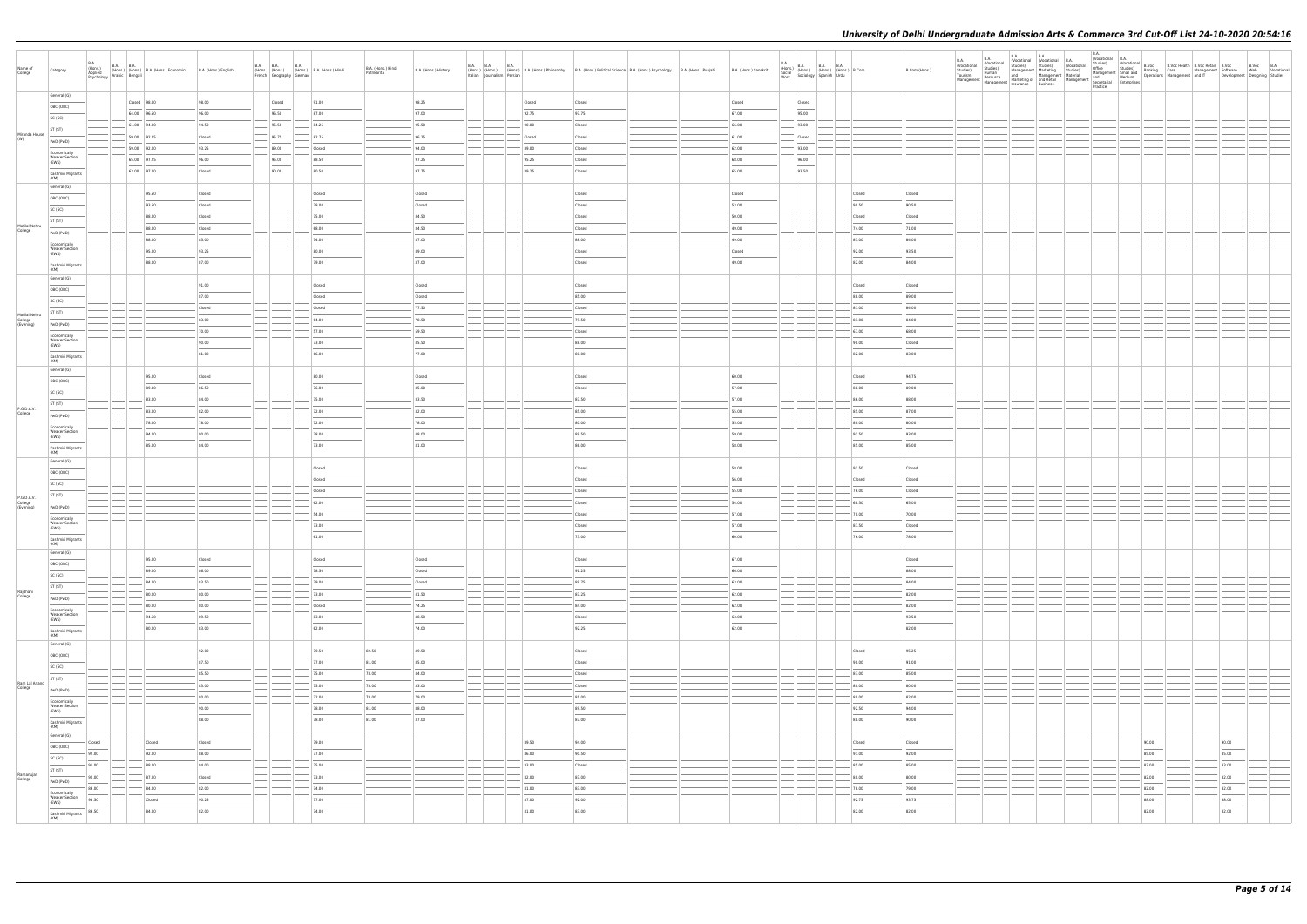| Name of                               | Category                                       | B.A.<br>(Hons.)<br>Applied | <b>B.A. B.A.</b> | (Hons.) (Hons.) B.A. (Hons.) Economics B.A. (Hons.) English |                                   | <b>B.A. B.A.</b>        | <b>B.A.</b><br>(Hons.) (Hons.) (Hons.) B.A. (Hons.) Hindi | B.A. (Hons.) Hindi | B.A. (Hons.) History                                                                                                                                                                                                                                                                                                                                                                                                                                                                | B.A. B.A. B.A.             |        |                  | (Hons.) (Hons.) (Hons.) B.A. (Hons.) Philosophy B.A. (Hons.) Political Science B.A. (Hons.) Psychology B.A. (Hons.) Punjabi | B.A. (Hons.) Sanskrit  |                 | $\begin{tabular}{ l l l l } \hline B.A. & B.A. & B.A. & B.A. & B.A. & B.A. & \\\hline (Hons.) & (Hons.) & (Hons.) & (Hons.) & B. Com & \\\hline \textbf{Social} & Sociology & Spanish & Urdu & \\\hline \end{tabular}$ |                 | B.Com (Hons.)                      | <b>B.A.</b><br>B.A.<br>(Vocational         | <b>B.A.</b><br>(Vocational<br>Studies) | <b>B.A.</b> | (Vocational (Vocational B.A.<br>Studies) Studies) (Vocational<br>Management Marketing Studies)                                                                                                      | <b>B.A.</b><br>Office | (Vocational B.A.<br>Studies) (Vocat |                 | (Vocational B.Voc B.Voc Health B.Voc Retail B.Voc<br>Studies) Banking Caro Management Software                                     |                                   | B.Voc B.A |
|---------------------------------------|------------------------------------------------|----------------------------|------------------|-------------------------------------------------------------|-----------------------------------|-------------------------|-----------------------------------------------------------|--------------------|-------------------------------------------------------------------------------------------------------------------------------------------------------------------------------------------------------------------------------------------------------------------------------------------------------------------------------------------------------------------------------------------------------------------------------------------------------------------------------------|----------------------------|--------|------------------|-----------------------------------------------------------------------------------------------------------------------------|------------------------|-----------------|------------------------------------------------------------------------------------------------------------------------------------------------------------------------------------------------------------------------|-----------------|------------------------------------|--------------------------------------------|----------------------------------------|-------------|-----------------------------------------------------------------------------------------------------------------------------------------------------------------------------------------------------|-----------------------|-------------------------------------|-----------------|------------------------------------------------------------------------------------------------------------------------------------|-----------------------------------|-----------|
| College                               | General (G)                                    | Psychology Arabic Bengali  |                  |                                                             |                                   | French Geography German |                                                           | Patrikarita        |                                                                                                                                                                                                                                                                                                                                                                                                                                                                                     | Italian Journalism Persian |        |                  |                                                                                                                             |                        |                 |                                                                                                                                                                                                                        |                 |                                    | Studies)<br>Tourism<br>Human<br>Management |                                        |             | Human<br>Resource and Management Material Management Medium<br>Management Insurance Business Management Secretarial Enterprises<br>Management Insurance Business Management Secretarial Enterprises | Practice              |                                     |                 | Management Studies)<br>Management Software Web Vocational<br>and Medium Operations Management and IT Development Designing Studies |                                   |           |
|                                       | OBC (OBC)                                      |                            |                  | Closed 98.00                                                | 98.00                             | Closed                  | 91.00                                                     |                    | 98.25                                                                                                                                                                                                                                                                                                                                                                                                                                                                               |                            | Closed | Closed           |                                                                                                                             | Closed                 |                 | Closed<br>$\overline{\phantom{a}}$                                                                                                                                                                                     |                 |                                    |                                            |                                        |             |                                                                                                                                                                                                     |                       |                                     |                 |                                                                                                                                    |                                   |           |
|                                       | SC (SC)                                        |                            |                  | 64.00 96.50                                                 | 96.00                             | 96.50                   | 87.00                                                     |                    | 97.00                                                                                                                                                                                                                                                                                                                                                                                                                                                                               |                            | 92.75  | 97.75            |                                                                                                                             | 67.00                  |                 | 95.00                                                                                                                                                                                                                  |                 |                                    |                                            |                                        |             |                                                                                                                                                                                                     |                       |                                     |                 |                                                                                                                                    |                                   |           |
|                                       | ST (ST)                                        |                            |                  | 61.00 94.00                                                 | 94.50                             | $-95.50$                | 84.25                                                     |                    | 95.50                                                                                                                                                                                                                                                                                                                                                                                                                                                                               |                            | 90.00  | Closed           |                                                                                                                             | 66.00                  |                 | 93.00                                                                                                                                                                                                                  |                 |                                    |                                            |                                        |             |                                                                                                                                                                                                     |                       |                                     |                 |                                                                                                                                    |                                   |           |
| Miranda House<br>(W)                  | PwD (PwD)                                      |                            |                  | 59.00 92.25                                                 | Closed                            | 95.75                   | 82.75                                                     |                    | 96.25                                                                                                                                                                                                                                                                                                                                                                                                                                                                               |                            | Closed | Closed           |                                                                                                                             | 61.00                  |                 | Closed                                                                                                                                                                                                                 |                 |                                    |                                            |                                        |             |                                                                                                                                                                                                     |                       |                                     |                 |                                                                                                                                    |                                   |           |
|                                       | Economically                                   |                            |                  | 59.00 92.00                                                 | 93.25                             | 89.00                   | Closed                                                    |                    | 94.00                                                                                                                                                                                                                                                                                                                                                                                                                                                                               |                            | 89.00  | Closed           |                                                                                                                             | 62.00                  |                 | $-93.00$                                                                                                                                                                                                               |                 |                                    |                                            |                                        |             |                                                                                                                                                                                                     |                       |                                     |                 |                                                                                                                                    |                                   |           |
|                                       | <b>Weaker Section</b><br>(EWS)                 |                            |                  | 65.00 97.25                                                 | 96.00                             | 95.00                   | 88.50                                                     |                    | 97.25                                                                                                                                                                                                                                                                                                                                                                                                                                                                               |                            | 95.25  | Closed           |                                                                                                                             | 68.00                  |                 | 96.00<br><u> 1999 - 1999 - 1999 - 1999 - 1999 - 1999 - 1999 - 1999 - 1999 - 1999 - 1999 - 1999 - 1999 - 1999 - 1999 - 199</u>                                                                                          |                 |                                    |                                            |                                        |             |                                                                                                                                                                                                     |                       |                                     |                 |                                                                                                                                    |                                   |           |
|                                       | Kashmiri Migrants<br>(KM)                      |                            |                  | 63.00 97.00                                                 | Closed                            | 90.00                   | 80.50                                                     |                    | 97.75                                                                                                                                                                                                                                                                                                                                                                                                                                                                               |                            | 89.25  | Closed           |                                                                                                                             | 65.00                  |                 | 93.50                                                                                                                                                                                                                  |                 |                                    |                                            |                                        |             |                                                                                                                                                                                                     |                       |                                     |                 |                                                                                                                                    |                                   |           |
|                                       | General (G)                                    |                            |                  |                                                             |                                   |                         |                                                           |                    |                                                                                                                                                                                                                                                                                                                                                                                                                                                                                     |                            |        |                  |                                                                                                                             |                        |                 |                                                                                                                                                                                                                        |                 |                                    |                                            |                                        |             |                                                                                                                                                                                                     |                       |                                     |                 |                                                                                                                                    |                                   |           |
|                                       | OBC (OBC)                                      |                            |                  | 95.50                                                       | Closed                            |                         | Closed                                                    |                    | Closed                                                                                                                                                                                                                                                                                                                                                                                                                                                                              |                            |        | Closed           |                                                                                                                             | Closed                 |                 |                                                                                                                                                                                                                        | Closed          | Closed                             |                                            |                                        |             |                                                                                                                                                                                                     |                       |                                     |                 |                                                                                                                                    |                                   |           |
|                                       | SC (SC)                                        |                            |                  | 93.50                                                       | Closed                            |                         | 78.00                                                     |                    | Closed                                                                                                                                                                                                                                                                                                                                                                                                                                                                              |                            |        | Closed           |                                                                                                                             | 53.00                  |                 |                                                                                                                                                                                                                        | 90.50           | 90.50                              |                                            |                                        |             |                                                                                                                                                                                                     |                       |                                     |                 |                                                                                                                                    |                                   |           |
| Motilal Nehru                         | ST (ST)                                        |                            |                  | 88.00<br>88.00                                              | Closed                            |                         | 75.00<br>68.00                                            |                    | 84.50<br>84.50                                                                                                                                                                                                                                                                                                                                                                                                                                                                      |                            |        | Closed           |                                                                                                                             | 50.00<br>49.00         |                 |                                                                                                                                                                                                                        | Closed          | Closed<br>71.00                    |                                            |                                        |             |                                                                                                                                                                                                     |                       |                                     |                 |                                                                                                                                    |                                   |           |
| College                               | PwD (PwD)                                      |                            |                  | 88.00                                                       | Closed<br>85.00                   |                         | 74.00                                                     |                    | 87.00                                                                                                                                                                                                                                                                                                                                                                                                                                                                               |                            |        | Closed<br>88.00  |                                                                                                                             | 49.00                  |                 |                                                                                                                                                                                                                        | 74.00<br>83.00  |                                    |                                            |                                        |             |                                                                                                                                                                                                     |                       |                                     |                 |                                                                                                                                    |                                   |           |
|                                       | Economically<br><b>Weaker Section</b>          |                            |                  | 95.00                                                       | 93.25                             |                         | 80.00                                                     |                    | 89.00                                                                                                                                                                                                                                                                                                                                                                                                                                                                               |                            |        | Closed           |                                                                                                                             | Closed                 |                 |                                                                                                                                                                                                                        | 92.00           | 84.00<br>93.50                     |                                            |                                        |             |                                                                                                                                                                                                     |                       |                                     |                 |                                                                                                                                    |                                   |           |
|                                       | (EWS)                                          |                            |                  | 88.00                                                       | 87.00                             |                         | 79.00                                                     |                    | 87.00                                                                                                                                                                                                                                                                                                                                                                                                                                                                               |                            |        | Closed           |                                                                                                                             | 49.00                  |                 |                                                                                                                                                                                                                        | 82.00           | 84.00                              |                                            |                                        |             |                                                                                                                                                                                                     |                       |                                     |                 |                                                                                                                                    |                                   |           |
|                                       | Kashmiri Migrants<br>(KM)                      |                            |                  |                                                             |                                   |                         |                                                           |                    |                                                                                                                                                                                                                                                                                                                                                                                                                                                                                     |                            |        |                  |                                                                                                                             |                        |                 |                                                                                                                                                                                                                        |                 |                                    |                                            |                                        |             |                                                                                                                                                                                                     |                       |                                     |                 |                                                                                                                                    |                                   |           |
|                                       | General (G)                                    |                            |                  |                                                             | 91.00                             |                         | Closed                                                    |                    | Closed                                                                                                                                                                                                                                                                                                                                                                                                                                                                              |                            |        | Closed           |                                                                                                                             |                        |                 |                                                                                                                                                                                                                        | Closed          | Closed                             |                                            |                                        |             |                                                                                                                                                                                                     |                       |                                     |                 |                                                                                                                                    |                                   |           |
|                                       | OBC (OBC)                                      |                            |                  |                                                             | 87.00                             |                         | Closed                                                    |                    | Closed                                                                                                                                                                                                                                                                                                                                                                                                                                                                              |                            |        | 85.00            |                                                                                                                             |                        |                 |                                                                                                                                                                                                                        | 88.00           | 89.00                              |                                            |                                        |             |                                                                                                                                                                                                     |                       |                                     |                 |                                                                                                                                    |                                   |           |
|                                       | SC (SC)                                        |                            |                  |                                                             | Closed                            |                         | Closed                                                    |                    | 77.50                                                                                                                                                                                                                                                                                                                                                                                                                                                                               |                            |        | Closed           |                                                                                                                             |                        |                 |                                                                                                                                                                                                                        | 81.00           | 84.00                              |                                            |                                        |             |                                                                                                                                                                                                     |                       |                                     |                 |                                                                                                                                    |                                   |           |
| Motilal Nehru<br>College<br>(Evening) | ST (ST)                                        |                            |                  |                                                             | 83.00                             |                         | 64.00                                                     |                    | 78.50                                                                                                                                                                                                                                                                                                                                                                                                                                                                               |                            |        | 79.50            |                                                                                                                             |                        |                 |                                                                                                                                                                                                                        | 81.00           | 84.00                              |                                            |                                        |             |                                                                                                                                                                                                     |                       |                                     |                 |                                                                                                                                    |                                   |           |
|                                       | PwD (PwD)                                      |                            |                  |                                                             | 70.00                             |                         | 57.00                                                     |                    | 59.50                                                                                                                                                                                                                                                                                                                                                                                                                                                                               |                            |        | Closed           |                                                                                                                             |                        |                 |                                                                                                                                                                                                                        | 67.00           | 68.00                              |                                            |                                        |             |                                                                                                                                                                                                     |                       |                                     |                 |                                                                                                                                    |                                   |           |
|                                       | Economically<br><b>Weaker Section</b><br>(EWS) |                            |                  |                                                             | 90.00                             |                         | 73.00                                                     |                    | 85.50                                                                                                                                                                                                                                                                                                                                                                                                                                                                               |                            |        | 88.00            |                                                                                                                             |                        |                 |                                                                                                                                                                                                                        | 90.00           | Closed                             |                                            |                                        |             |                                                                                                                                                                                                     |                       |                                     |                 |                                                                                                                                    |                                   |           |
|                                       | Kashmiri Migrants                              |                            |                  |                                                             | 81.00                             |                         | 66.00                                                     |                    | 77.00                                                                                                                                                                                                                                                                                                                                                                                                                                                                               |                            |        | 80.00            |                                                                                                                             |                        |                 |                                                                                                                                                                                                                        | 82.00           | 83.00                              |                                            |                                        |             |                                                                                                                                                                                                     |                       |                                     |                 |                                                                                                                                    |                                   |           |
|                                       | (KM)<br>General (G)                            |                            |                  |                                                             |                                   |                         |                                                           |                    |                                                                                                                                                                                                                                                                                                                                                                                                                                                                                     |                            |        |                  |                                                                                                                             |                        |                 |                                                                                                                                                                                                                        |                 |                                    |                                            |                                        |             |                                                                                                                                                                                                     |                       |                                     |                 |                                                                                                                                    |                                   |           |
|                                       | OBC (OBC)                                      |                            |                  | 95.00                                                       | Closed                            |                         | 80.00                                                     |                    | Closed                                                                                                                                                                                                                                                                                                                                                                                                                                                                              |                            |        | Closed           |                                                                                                                             | 60.00                  |                 |                                                                                                                                                                                                                        | Closed          | 94.75                              |                                            |                                        |             |                                                                                                                                                                                                     |                       |                                     |                 |                                                                                                                                    |                                   |           |
|                                       | SC (SC)                                        |                            |                  | 89.00                                                       | 86.50                             |                         | 76.00                                                     |                    | 85.00                                                                                                                                                                                                                                                                                                                                                                                                                                                                               |                            |        | Closed           |                                                                                                                             | 57.00                  |                 |                                                                                                                                                                                                                        | 88.00           | 89.00                              |                                            |                                        |             |                                                                                                                                                                                                     |                       |                                     |                 |                                                                                                                                    |                                   |           |
|                                       | ST (ST)                                        |                            |                  | 83.00                                                       | 84.00                             |                         | 75.00                                                     |                    | 83.50                                                                                                                                                                                                                                                                                                                                                                                                                                                                               |                            |        | 87.50            |                                                                                                                             | 57.00                  |                 |                                                                                                                                                                                                                        | 86.00           | 88.00                              |                                            |                                        |             |                                                                                                                                                                                                     |                       |                                     |                 |                                                                                                                                    |                                   |           |
| P.G.D.A.V.<br>College                 | PwD (PwD)                                      |                            |                  | 83.00                                                       | 82.00                             |                         | 72.00                                                     |                    | 82.00                                                                                                                                                                                                                                                                                                                                                                                                                                                                               |                            |        | 85.00            |                                                                                                                             | 55.00                  |                 |                                                                                                                                                                                                                        | 85.00           | 87.00                              |                                            |                                        |             |                                                                                                                                                                                                     |                       |                                     |                 |                                                                                                                                    |                                   |           |
|                                       | Economically<br><b>Weaker Section</b>          |                            |                  | 78.00                                                       | 78.00                             |                         | 72.00                                                     |                    | 78.00                                                                                                                                                                                                                                                                                                                                                                                                                                                                               |                            |        | 80.00            |                                                                                                                             | 55.00                  |                 |                                                                                                                                                                                                                        | 80.00           | 80.00                              |                                            |                                        |             |                                                                                                                                                                                                     |                       |                                     |                 |                                                                                                                                    |                                   |           |
|                                       | (EWS)                                          |                            |                  | 94.00                                                       | 90.00                             |                         | 78.00                                                     |                    | 88.00                                                                                                                                                                                                                                                                                                                                                                                                                                                                               |                            |        | 89.50            |                                                                                                                             | 59.00                  |                 |                                                                                                                                                                                                                        | 91.50           | 93.00                              |                                            |                                        |             |                                                                                                                                                                                                     |                       |                                     |                 |                                                                                                                                    |                                   |           |
|                                       | Kashmiri Migrants<br>(KM)                      |                            |                  | 85.00                                                       | 84.00                             |                         | 73.00                                                     |                    | 81.00                                                                                                                                                                                                                                                                                                                                                                                                                                                                               |                            |        | 86.00            |                                                                                                                             | 58.00                  |                 |                                                                                                                                                                                                                        | 85.00           | 85.00                              |                                            |                                        |             |                                                                                                                                                                                                     |                       |                                     |                 |                                                                                                                                    |                                   |           |
|                                       | General (G)                                    |                            |                  |                                                             |                                   |                         |                                                           |                    |                                                                                                                                                                                                                                                                                                                                                                                                                                                                                     |                            |        |                  |                                                                                                                             |                        |                 |                                                                                                                                                                                                                        |                 |                                    |                                            |                                        |             |                                                                                                                                                                                                     |                       |                                     |                 |                                                                                                                                    |                                   |           |
|                                       | OBC (OBC)                                      |                            |                  |                                                             |                                   |                         | Closed<br>Closed                                          |                    |                                                                                                                                                                                                                                                                                                                                                                                                                                                                                     |                            |        | Closed<br>Closed |                                                                                                                             | 58.00<br>56.00         |                 |                                                                                                                                                                                                                        | 91.50<br>Closed | Closed<br>Closed                   |                                            |                                        |             |                                                                                                                                                                                                     |                       |                                     |                 |                                                                                                                                    |                                   |           |
|                                       | SC (SC)                                        |                            |                  |                                                             |                                   |                         | Closed                                                    |                    |                                                                                                                                                                                                                                                                                                                                                                                                                                                                                     |                            |        | Closed           |                                                                                                                             | 55.00                  |                 |                                                                                                                                                                                                                        | 76.00           | Closed                             |                                            |                                        |             |                                                                                                                                                                                                     |                       |                                     |                 |                                                                                                                                    |                                   |           |
| P.G.D.A.V.<br>College<br>(Evening)    | ST (ST)                                        |                            |                  |                                                             |                                   |                         | 62.00                                                     |                    |                                                                                                                                                                                                                                                                                                                                                                                                                                                                                     |                            |        | Closed           |                                                                                                                             | 54.00                  |                 |                                                                                                                                                                                                                        | 68.50           | 65.00                              |                                            |                                        |             |                                                                                                                                                                                                     |                       |                                     |                 |                                                                                                                                    |                                   |           |
|                                       | PwD (PwD)                                      |                            |                  |                                                             |                                   |                         | 54.00                                                     |                    |                                                                                                                                                                                                                                                                                                                                                                                                                                                                                     |                            |        | Closed           |                                                                                                                             | 57.00                  |                 |                                                                                                                                                                                                                        | 70.00           | 70.00                              |                                            |                                        |             |                                                                                                                                                                                                     |                       |                                     |                 |                                                                                                                                    |                                   |           |
|                                       | Economically<br><b>Weaker Section</b><br>(EWS) |                            |                  |                                                             |                                   |                         | 73.00                                                     |                    |                                                                                                                                                                                                                                                                                                                                                                                                                                                                                     |                            |        | Closed           |                                                                                                                             | 57.00                  |                 |                                                                                                                                                                                                                        | 87.50           | Closed                             |                                            |                                        |             |                                                                                                                                                                                                     |                       |                                     |                 |                                                                                                                                    |                                   |           |
|                                       | Kashmiri Migrants                              |                            |                  |                                                             |                                   |                         | 61.00                                                     |                    |                                                                                                                                                                                                                                                                                                                                                                                                                                                                                     |                            |        | 73.00            |                                                                                                                             | 60.00                  |                 |                                                                                                                                                                                                                        | 76.00           | 78.00                              |                                            |                                        |             |                                                                                                                                                                                                     |                       |                                     |                 |                                                                                                                                    |                                   |           |
|                                       | (KM)<br>General (G)                            |                            |                  |                                                             |                                   |                         |                                                           |                    |                                                                                                                                                                                                                                                                                                                                                                                                                                                                                     |                            |        |                  |                                                                                                                             |                        |                 |                                                                                                                                                                                                                        |                 |                                    |                                            |                                        |             |                                                                                                                                                                                                     |                       |                                     |                 |                                                                                                                                    |                                   |           |
|                                       | OBC (OBC)                                      |                            |                  | 95.00                                                       | Closed                            |                         | Closed                                                    |                    | Closed                                                                                                                                                                                                                                                                                                                                                                                                                                                                              |                            |        | Closed<br>$\sim$ |                                                                                                                             | 67.00                  |                 |                                                                                                                                                                                                                        |                 | Closed<br>$\overline{\phantom{m}}$ |                                            |                                        |             |                                                                                                                                                                                                     |                       |                                     |                 |                                                                                                                                    |                                   |           |
|                                       | SC (SC)                                        |                            |                  | 89.00                                                       | 86.00                             |                         | 78.50                                                     |                    | Closed                                                                                                                                                                                                                                                                                                                                                                                                                                                                              |                            |        | 91.25            |                                                                                                                             | 66.00                  |                 |                                                                                                                                                                                                                        |                 | 88.00                              |                                            |                                        |             |                                                                                                                                                                                                     |                       |                                     |                 |                                                                                                                                    |                                   |           |
|                                       | ST (ST)                                        |                            |                  | 84.00                                                       | 83.50                             |                         | 79.00                                                     |                    | Closed                                                                                                                                                                                                                                                                                                                                                                                                                                                                              |                            |        | 89.75            |                                                                                                                             | 63.00                  |                 |                                                                                                                                                                                                                        |                 | 84.00                              |                                            |                                        |             |                                                                                                                                                                                                     |                       |                                     |                 |                                                                                                                                    |                                   |           |
| Rajdhani<br>College                   | PwD (PwD)                                      |                            |                  | 80.00                                                       | 80.00                             |                         | 73.00                                                     |                    | 81.50                                                                                                                                                                                                                                                                                                                                                                                                                                                                               |                            |        | 87.25            |                                                                                                                             | 62.00                  | $\qquad \qquad$ |                                                                                                                                                                                                                        |                 | 82.00                              |                                            |                                        |             |                                                                                                                                                                                                     |                       |                                     |                 |                                                                                                                                    |                                   |           |
|                                       | Economically<br><b>Weaker Section</b>          |                            |                  | 80.00                                                       | 80.00                             |                         | Closed                                                    |                    | 74.25                                                                                                                                                                                                                                                                                                                                                                                                                                                                               |                            |        | 84.00            |                                                                                                                             | 62.00                  | $\qquad \qquad$ |                                                                                                                                                                                                                        |                 | 82.00                              |                                            |                                        |             |                                                                                                                                                                                                     |                       |                                     |                 |                                                                                                                                    |                                   |           |
|                                       | (EWS)                                          |                            |                  | 94.50                                                       | 89.50                             |                         | 83.00                                                     |                    | 88.50<br>$\frac{1}{2} \left( \frac{1}{2} \right) \left( \frac{1}{2} \right) \left( \frac{1}{2} \right) \left( \frac{1}{2} \right) \left( \frac{1}{2} \right) \left( \frac{1}{2} \right) \left( \frac{1}{2} \right) \left( \frac{1}{2} \right) \left( \frac{1}{2} \right) \left( \frac{1}{2} \right) \left( \frac{1}{2} \right) \left( \frac{1}{2} \right) \left( \frac{1}{2} \right) \left( \frac{1}{2} \right) \left( \frac{1}{2} \right) \left( \frac{1}{2} \right) \left( \frac$ |                            |        | Closed           |                                                                                                                             | 63.00<br>$\frac{1}{2}$ |                 |                                                                                                                                                                                                                        |                 | 93.50                              |                                            |                                        |             |                                                                                                                                                                                                     |                       |                                     |                 |                                                                                                                                    |                                   |           |
|                                       | Kashmiri Migrants<br>(KM)                      |                            |                  | 80.00                                                       | 83.00                             |                         | 62.00                                                     |                    | 74.00                                                                                                                                                                                                                                                                                                                                                                                                                                                                               |                            |        | 92.25            |                                                                                                                             | 62.00                  |                 |                                                                                                                                                                                                                        |                 | 82.00                              |                                            |                                        |             |                                                                                                                                                                                                     |                       |                                     |                 |                                                                                                                                    |                                   |           |
|                                       | General (G)                                    |                            |                  |                                                             | 92.00                             |                         | 79.50                                                     | 82.50              | 89.50                                                                                                                                                                                                                                                                                                                                                                                                                                                                               |                            |        | Closed           |                                                                                                                             |                        |                 |                                                                                                                                                                                                                        | Closed          | 95.25                              |                                            |                                        |             |                                                                                                                                                                                                     |                       |                                     |                 |                                                                                                                                    |                                   |           |
|                                       | OBC (OBC)                                      |                            |                  |                                                             | $\overline{\phantom{a}}$<br>87.50 |                         | 77.00                                                     | 81.00              | 85.00                                                                                                                                                                                                                                                                                                                                                                                                                                                                               |                            |        | $\sim$<br>Closed |                                                                                                                             |                        |                 |                                                                                                                                                                                                                        | 90.00           | 91.00                              |                                            |                                        |             |                                                                                                                                                                                                     |                       |                                     |                 |                                                                                                                                    |                                   |           |
|                                       | SC (SC)                                        |                            |                  |                                                             | 85.50                             |                         | 75.00                                                     | 78.00              | 84.00                                                                                                                                                                                                                                                                                                                                                                                                                                                                               |                            |        | Closed           |                                                                                                                             |                        |                 |                                                                                                                                                                                                                        | 83.00           | 85.00                              |                                            |                                        |             |                                                                                                                                                                                                     |                       |                                     |                 |                                                                                                                                    |                                   |           |
| Ram Lal Anand<br>College              | ST (ST)                                        |                            |                  |                                                             | 83.00                             |                         | 75.00                                                     | 78.00              | 83.00                                                                                                                                                                                                                                                                                                                                                                                                                                                                               |                            |        | Closed           |                                                                                                                             |                        |                 |                                                                                                                                                                                                                        | 80.00           | 80.00                              |                                            |                                        |             |                                                                                                                                                                                                     |                       |                                     |                 |                                                                                                                                    |                                   |           |
|                                       | PwD (PwD)                                      |                            |                  |                                                             | 80.00                             |                         | 72.00                                                     | 78.00              | 79.00                                                                                                                                                                                                                                                                                                                                                                                                                                                                               |                            |        | 81.00            |                                                                                                                             |                        |                 |                                                                                                                                                                                                                        | 80.00           | 82.00                              |                                            |                                        |             |                                                                                                                                                                                                     |                       |                                     |                 |                                                                                                                                    |                                   |           |
|                                       | Economically<br>Weaker Section<br>(EWS)        |                            |                  |                                                             | 90.00                             |                         | 78.00                                                     | 81.00              | 88.00                                                                                                                                                                                                                                                                                                                                                                                                                                                                               |                            |        | 89.50            |                                                                                                                             |                        |                 |                                                                                                                                                                                                                        | 92.50           | 94.00                              |                                            |                                        |             |                                                                                                                                                                                                     |                       |                                     |                 |                                                                                                                                    |                                   |           |
|                                       |                                                |                            |                  |                                                             | 88.00                             |                         | 78.00                                                     | 81.00              | 87.00                                                                                                                                                                                                                                                                                                                                                                                                                                                                               |                            |        | 87.00            |                                                                                                                             |                        |                 |                                                                                                                                                                                                                        | 88.00           | 90.00                              |                                            |                                        |             |                                                                                                                                                                                                     |                       |                                     |                 |                                                                                                                                    |                                   |           |
|                                       | Kashmiri Migrants<br>(KM)<br>General (G)       |                            |                  |                                                             |                                   |                         |                                                           |                    |                                                                                                                                                                                                                                                                                                                                                                                                                                                                                     |                            |        |                  |                                                                                                                             |                        |                 |                                                                                                                                                                                                                        |                 |                                    |                                            |                                        |             |                                                                                                                                                                                                     |                       |                                     |                 |                                                                                                                                    |                                   |           |
|                                       | OBC (OBC)                                      | Closed                     |                  | Closed                                                      | Closed                            |                         | 79.00                                                     |                    |                                                                                                                                                                                                                                                                                                                                                                                                                                                                                     |                            | 89.50  | 94.00            |                                                                                                                             |                        |                 |                                                                                                                                                                                                                        | Closed          | Closed                             |                                            |                                        |             |                                                                                                                                                                                                     |                       |                                     | 90.00           |                                                                                                                                    | 90.00                             |           |
|                                       | SC (SC)                                        | 92.00                      |                  | 92.00                                                       | 88.00                             |                         | 77.00                                                     |                    |                                                                                                                                                                                                                                                                                                                                                                                                                                                                                     |                            | 86.00  | 90.50            |                                                                                                                             |                        |                 |                                                                                                                                                                                                                        | 91.00           | 92.00                              |                                            |                                        |             |                                                                                                                                                                                                     |                       |                                     | 85.00           |                                                                                                                                    | 85.00                             |           |
|                                       | ST (ST)                                        | 91.00                      |                  | 88.00                                                       | 84.00                             |                         | 75.00                                                     |                    |                                                                                                                                                                                                                                                                                                                                                                                                                                                                                     |                            | 83.00  | Closed           |                                                                                                                             |                        |                 |                                                                                                                                                                                                                        | 85.00           | 85.00                              |                                            |                                        |             |                                                                                                                                                                                                     |                       |                                     | 83.00           |                                                                                                                                    | 83.00                             |           |
| Ramanujan<br>College                  | PwD (PwD)                                      | 90.00                      |                  | 87.00                                                       | Closed                            |                         | 73.00                                                     |                    |                                                                                                                                                                                                                                                                                                                                                                                                                                                                                     |                            | 82.00  | 87.00            |                                                                                                                             |                        |                 |                                                                                                                                                                                                                        | 80.00           | 80.00                              |                                            |                                        |             |                                                                                                                                                                                                     |                       |                                     | 82.00           |                                                                                                                                    | 82.00                             |           |
|                                       | Economically                                   | 89.00                      |                  | 84.00                                                       | 82.00                             |                         | 74.00                                                     |                    |                                                                                                                                                                                                                                                                                                                                                                                                                                                                                     |                            | 81.00  | 83.00            |                                                                                                                             |                        |                 |                                                                                                                                                                                                                        | 78.00           | 79.00                              |                                            |                                        |             |                                                                                                                                                                                                     |                       |                                     | 82.00           |                                                                                                                                    | 82.00                             |           |
|                                       | <b>Weaker Section</b><br>(EWS)                 | 93.50                      |                  | Closed<br>$\overline{\phantom{a}}$                          | 90.25                             |                         | 77.00<br>$\overline{\phantom{a}}$                         |                    |                                                                                                                                                                                                                                                                                                                                                                                                                                                                                     |                            | 87.00  | 92.00            |                                                                                                                             |                        |                 |                                                                                                                                                                                                                        | 92.75           | 93.75                              |                                            |                                        |             |                                                                                                                                                                                                     |                       |                                     | 88.00<br>$\sim$ |                                                                                                                                    | 88.00<br>$\overline{\phantom{a}}$ |           |
|                                       | Kashmiri Migrants<br>(KM)                      | 89.50                      |                  | 84.00                                                       | 82.00                             |                         | 74.00                                                     |                    |                                                                                                                                                                                                                                                                                                                                                                                                                                                                                     |                            | 81.00  | 83.00            |                                                                                                                             |                        |                 |                                                                                                                                                                                                                        | 82.00           | 82.00                              |                                            |                                        |             |                                                                                                                                                                                                     |                       |                                     | 82.00           |                                                                                                                                    | 82.00                             |           |
|                                       |                                                |                            |                  |                                                             |                                   |                         |                                                           |                    |                                                                                                                                                                                                                                                                                                                                                                                                                                                                                     |                            |        |                  |                                                                                                                             |                        |                 |                                                                                                                                                                                                                        |                 |                                    |                                            |                                        |             |                                                                                                                                                                                                     |                       |                                     |                 |                                                                                                                                    |                                   |           |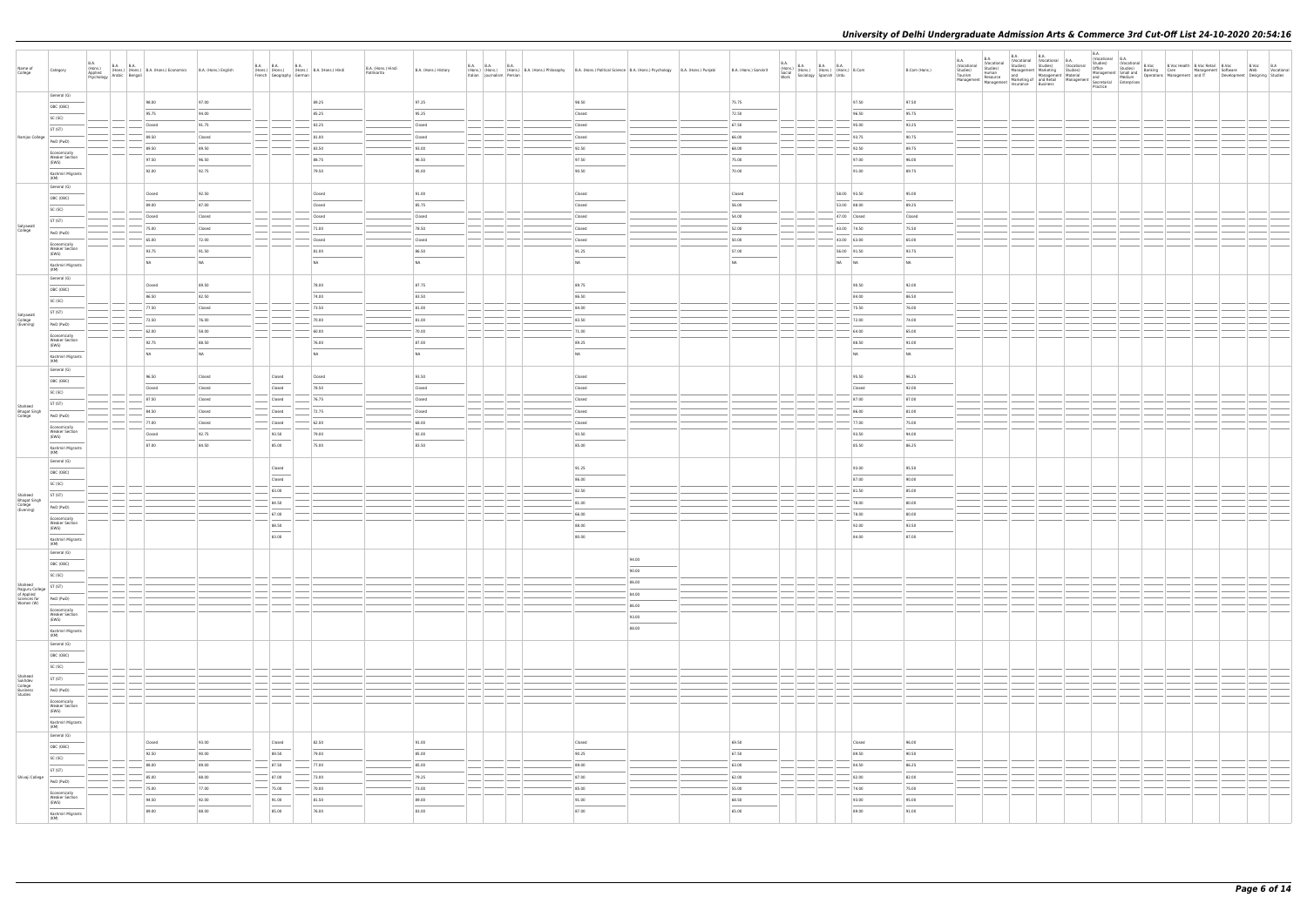| Name of<br>College                                       | Category                                                                                                                                                                                                                                                                                                                                                                                                                                                                                                          | <b>B.A.</b> | B.A.<br>(Hons.) B.A. (Hons.) (Hons.) B.A. (Hons.) Economics B.A. (Hons.) English Applied Arabic Bengali |        | <b>B.A. B.A. B.A.</b><br>(Hons.) (Hons.) (Hons.) B.A. (Hons.) Hindi<br>French   Geography   German |                                   | B.A. (Hons.) Hindi<br>Patrikarita | B.A. (Hons.) History | <b>B.A. B.A. B.A.</b><br>Italian   Journalism   Persian | (Hons.) (Hons.) (Hons.) B.A. (Hons.) Philosophy B.A. (Hons.) Political Science B.A. (Hons.) Psychology B.A. (Hons.) Punjabi |          |                                                                                                                                                                                                                                                                                                                                                                                                                                                                                     | B.A. (Hons.) Sanskrit | B.A. (Hons.) B.A. B.A. B.A. (Hons.) B.Com<br>Social (Hons.) (Hons.) (Hons.) B.Com<br>Work Sociology Spanish Urdu                                                                                                                                                                                                                                                                                                                                                           |              | B.Com (Hons.) |  |  |  |  |  |
|----------------------------------------------------------|-------------------------------------------------------------------------------------------------------------------------------------------------------------------------------------------------------------------------------------------------------------------------------------------------------------------------------------------------------------------------------------------------------------------------------------------------------------------------------------------------------------------|-------------|---------------------------------------------------------------------------------------------------------|--------|----------------------------------------------------------------------------------------------------|-----------------------------------|-----------------------------------|----------------------|---------------------------------------------------------|-----------------------------------------------------------------------------------------------------------------------------|----------|-------------------------------------------------------------------------------------------------------------------------------------------------------------------------------------------------------------------------------------------------------------------------------------------------------------------------------------------------------------------------------------------------------------------------------------------------------------------------------------|-----------------------|----------------------------------------------------------------------------------------------------------------------------------------------------------------------------------------------------------------------------------------------------------------------------------------------------------------------------------------------------------------------------------------------------------------------------------------------------------------------------|--------------|---------------|--|--|--|--|--|
|                                                          | General (G)                                                                                                                                                                                                                                                                                                                                                                                                                                                                                                       |             | 98.00                                                                                                   | 97.00  |                                                                                                    | 89.25                             |                                   | 97.25                |                                                         |                                                                                                                             | 98.50    |                                                                                                                                                                                                                                                                                                                                                                                                                                                                                     | 75.75                 |                                                                                                                                                                                                                                                                                                                                                                                                                                                                            | 97.50        | 97.50         |  |  |  |  |  |
|                                                          | OBC (OBC)                                                                                                                                                                                                                                                                                                                                                                                                                                                                                                         |             | 95.75                                                                                                   | 94.00  |                                                                                                    | 85.25                             |                                   | 95.25                |                                                         |                                                                                                                             | Closed   |                                                                                                                                                                                                                                                                                                                                                                                                                                                                                     | 72.50                 |                                                                                                                                                                                                                                                                                                                                                                                                                                                                            | 96.50        | 95.75         |  |  |  |  |  |
|                                                          | SC (SC)                                                                                                                                                                                                                                                                                                                                                                                                                                                                                                           |             | Closed                                                                                                  | 91.75  |                                                                                                    | 83.25                             |                                   | Closed               |                                                         |                                                                                                                             | Closed   |                                                                                                                                                                                                                                                                                                                                                                                                                                                                                     | 67.50                 |                                                                                                                                                                                                                                                                                                                                                                                                                                                                            | 95.00        | 93.25         |  |  |  |  |  |
| Ramjas College                                           | ST (ST)                                                                                                                                                                                                                                                                                                                                                                                                                                                                                                           |             | 89.50                                                                                                   | Closed |                                                                                                    | 81.00                             |                                   | Closed               |                                                         |                                                                                                                             | Closed   |                                                                                                                                                                                                                                                                                                                                                                                                                                                                                     | 66.00                 |                                                                                                                                                                                                                                                                                                                                                                                                                                                                            | 93.75        | 90.75         |  |  |  |  |  |
|                                                          | PwD (PwD)                                                                                                                                                                                                                                                                                                                                                                                                                                                                                                         |             | 89.50                                                                                                   | 89.50  |                                                                                                    | 83.50                             |                                   | 93.00                |                                                         |                                                                                                                             | 92.50    |                                                                                                                                                                                                                                                                                                                                                                                                                                                                                     | 68.00                 |                                                                                                                                                                                                                                                                                                                                                                                                                                                                            | 92.50        | 89.75         |  |  |  |  |  |
|                                                          | Economically<br><b>Weaker Section</b>                                                                                                                                                                                                                                                                                                                                                                                                                                                                             |             | 97.50                                                                                                   | 96.50  |                                                                                                    | 88.75                             |                                   | 96.50                |                                                         |                                                                                                                             | 97.50    |                                                                                                                                                                                                                                                                                                                                                                                                                                                                                     | 75.00                 |                                                                                                                                                                                                                                                                                                                                                                                                                                                                            | 97.00        | 96.00         |  |  |  |  |  |
|                                                          | (EWS)                                                                                                                                                                                                                                                                                                                                                                                                                                                                                                             |             | 92.00                                                                                                   | 92.75  |                                                                                                    | 79.50                             |                                   | 95.00                |                                                         |                                                                                                                             | 90.50    |                                                                                                                                                                                                                                                                                                                                                                                                                                                                                     | 70.00                 |                                                                                                                                                                                                                                                                                                                                                                                                                                                                            | 91.00        | 89.75         |  |  |  |  |  |
|                                                          | Kashmiri Migrants<br>(KM)                                                                                                                                                                                                                                                                                                                                                                                                                                                                                         |             |                                                                                                         |        |                                                                                                    |                                   |                                   |                      |                                                         |                                                                                                                             |          |                                                                                                                                                                                                                                                                                                                                                                                                                                                                                     |                       |                                                                                                                                                                                                                                                                                                                                                                                                                                                                            |              |               |  |  |  |  |  |
|                                                          | General (G)                                                                                                                                                                                                                                                                                                                                                                                                                                                                                                       |             | Closed                                                                                                  | 92.50  |                                                                                                    | Closed                            |                                   | 91.00                |                                                         |                                                                                                                             | Closed   |                                                                                                                                                                                                                                                                                                                                                                                                                                                                                     | Closed                |                                                                                                                                                                                                                                                                                                                                                                                                                                                                            | 58.00 93.50  | 95.00         |  |  |  |  |  |
|                                                          | OBC (OBC)                                                                                                                                                                                                                                                                                                                                                                                                                                                                                                         |             | 89.00                                                                                                   | 87.00  |                                                                                                    | Closed                            |                                   | 85.75                |                                                         |                                                                                                                             | Closed   |                                                                                                                                                                                                                                                                                                                                                                                                                                                                                     | 56.00                 |                                                                                                                                                                                                                                                                                                                                                                                                                                                                            | 53.00 88.00  | 89.25         |  |  |  |  |  |
|                                                          | SC (SC)                                                                                                                                                                                                                                                                                                                                                                                                                                                                                                           |             | Closed                                                                                                  | Closed |                                                                                                    | Closed                            |                                   | Closed               |                                                         |                                                                                                                             | Closed   |                                                                                                                                                                                                                                                                                                                                                                                                                                                                                     | 54.00                 |                                                                                                                                                                                                                                                                                                                                                                                                                                                                            | 47.00 Closed | Closed        |  |  |  |  |  |
| Satyawati<br>College                                     | ST (ST)                                                                                                                                                                                                                                                                                                                                                                                                                                                                                                           |             | 75.00                                                                                                   | Closed |                                                                                                    | 71.00                             |                                   | 78.50                |                                                         |                                                                                                                             | Closed   |                                                                                                                                                                                                                                                                                                                                                                                                                                                                                     | 52.00                 |                                                                                                                                                                                                                                                                                                                                                                                                                                                                            | 43.00 74.50  | 75.50         |  |  |  |  |  |
|                                                          | PwD (PwD)                                                                                                                                                                                                                                                                                                                                                                                                                                                                                                         |             | 65.00                                                                                                   | 72.00  |                                                                                                    | Closed                            |                                   | Closed               |                                                         |                                                                                                                             | Closed   |                                                                                                                                                                                                                                                                                                                                                                                                                                                                                     | 50.00                 |                                                                                                                                                                                                                                                                                                                                                                                                                                                                            | 43.00 63.00  | 65.00         |  |  |  |  |  |
|                                                          | Economically<br><b>Weaker Section</b>                                                                                                                                                                                                                                                                                                                                                                                                                                                                             |             | 93.75                                                                                                   | 91.50  |                                                                                                    | 81.00                             |                                   | 86.50                |                                                         |                                                                                                                             | 91.25    |                                                                                                                                                                                                                                                                                                                                                                                                                                                                                     | 57.00                 |                                                                                                                                                                                                                                                                                                                                                                                                                                                                            | 56.00 91.50  | 93.75         |  |  |  |  |  |
|                                                          | (EWS)<br>Kashmiri Migrants                                                                                                                                                                                                                                                                                                                                                                                                                                                                                        |             | NA                                                                                                      | NA     |                                                                                                    | NA                                |                                   | NA                   |                                                         |                                                                                                                             | NA       |                                                                                                                                                                                                                                                                                                                                                                                                                                                                                     | I NA                  |                                                                                                                                                                                                                                                                                                                                                                                                                                                                            | NA NA        | NA            |  |  |  |  |  |
|                                                          | (KM)                                                                                                                                                                                                                                                                                                                                                                                                                                                                                                              |             |                                                                                                         |        |                                                                                                    |                                   |                                   |                      |                                                         |                                                                                                                             |          |                                                                                                                                                                                                                                                                                                                                                                                                                                                                                     |                       |                                                                                                                                                                                                                                                                                                                                                                                                                                                                            |              |               |  |  |  |  |  |
|                                                          | General (G)                                                                                                                                                                                                                                                                                                                                                                                                                                                                                                       |             | Closed                                                                                                  | 89.50  |                                                                                                    | 78.00                             |                                   | 87.75                |                                                         |                                                                                                                             | 89.75    |                                                                                                                                                                                                                                                                                                                                                                                                                                                                                     |                       |                                                                                                                                                                                                                                                                                                                                                                                                                                                                            | 90.50        | 92.00         |  |  |  |  |  |
|                                                          | OBC (OBC)                                                                                                                                                                                                                                                                                                                                                                                                                                                                                                         |             | 86.50                                                                                                   | 82.50  |                                                                                                    | 74.00                             |                                   | 83.50                |                                                         |                                                                                                                             | 86.50    |                                                                                                                                                                                                                                                                                                                                                                                                                                                                                     |                       |                                                                                                                                                                                                                                                                                                                                                                                                                                                                            | 84.00        | 86.50         |  |  |  |  |  |
|                                                          | SC (SC)                                                                                                                                                                                                                                                                                                                                                                                                                                                                                                           |             | 77.50                                                                                                   | Closed |                                                                                                    | 73.50                             |                                   | 81.00                |                                                         |                                                                                                                             | 84.00    |                                                                                                                                                                                                                                                                                                                                                                                                                                                                                     |                       |                                                                                                                                                                                                                                                                                                                                                                                                                                                                            | 75.50        | 76.00         |  |  |  |  |  |
| Satyawati<br>College<br>(Evening)                        | ST (ST)                                                                                                                                                                                                                                                                                                                                                                                                                                                                                                           |             | 72.50                                                                                                   | 76.00  |                                                                                                    | 70.00                             |                                   | 81.00                |                                                         |                                                                                                                             | 83.50    |                                                                                                                                                                                                                                                                                                                                                                                                                                                                                     |                       |                                                                                                                                                                                                                                                                                                                                                                                                                                                                            | 72.00        | 74.00         |  |  |  |  |  |
|                                                          | PwD (PwD)                                                                                                                                                                                                                                                                                                                                                                                                                                                                                                         |             | 62.00                                                                                                   | 58.00  |                                                                                                    | $-60.00$                          |                                   | 70.00                |                                                         |                                                                                                                             | 71.00    |                                                                                                                                                                                                                                                                                                                                                                                                                                                                                     |                       |                                                                                                                                                                                                                                                                                                                                                                                                                                                                            | 64.00        | 65.00         |  |  |  |  |  |
|                                                          | Economically<br><b>Weaker Section</b><br>(EWS)                                                                                                                                                                                                                                                                                                                                                                                                                                                                    |             | 92.75                                                                                                   | 88.50  |                                                                                                    | 76.00                             |                                   | 87.00                |                                                         |                                                                                                                             | 89.25    |                                                                                                                                                                                                                                                                                                                                                                                                                                                                                     |                       |                                                                                                                                                                                                                                                                                                                                                                                                                                                                            | 88.50        | 91.00         |  |  |  |  |  |
|                                                          | Kashmiri Migrants                                                                                                                                                                                                                                                                                                                                                                                                                                                                                                 |             | NA                                                                                                      | NA     |                                                                                                    | NA                                |                                   | NA                   |                                                         |                                                                                                                             | NA       |                                                                                                                                                                                                                                                                                                                                                                                                                                                                                     |                       |                                                                                                                                                                                                                                                                                                                                                                                                                                                                            | NA           | NA            |  |  |  |  |  |
|                                                          | (KM)                                                                                                                                                                                                                                                                                                                                                                                                                                                                                                              |             |                                                                                                         |        |                                                                                                    |                                   |                                   |                      |                                                         |                                                                                                                             |          |                                                                                                                                                                                                                                                                                                                                                                                                                                                                                     |                       |                                                                                                                                                                                                                                                                                                                                                                                                                                                                            |              |               |  |  |  |  |  |
|                                                          | General (G)                                                                                                                                                                                                                                                                                                                                                                                                                                                                                                       |             | 96.50                                                                                                   | Closed | Closed                                                                                             | Closed                            |                                   | 93.50                |                                                         |                                                                                                                             | Closed   |                                                                                                                                                                                                                                                                                                                                                                                                                                                                                     |                       |                                                                                                                                                                                                                                                                                                                                                                                                                                                                            | 95.50        | 96.25         |  |  |  |  |  |
|                                                          | OBC (OBC)                                                                                                                                                                                                                                                                                                                                                                                                                                                                                                         |             | Closed                                                                                                  | Closed | Closed                                                                                             | 78.50                             |                                   | Closed               |                                                         |                                                                                                                             | Closed   |                                                                                                                                                                                                                                                                                                                                                                                                                                                                                     |                       |                                                                                                                                                                                                                                                                                                                                                                                                                                                                            | Closed       | 92.00         |  |  |  |  |  |
|                                                          | SC (SC)                                                                                                                                                                                                                                                                                                                                                                                                                                                                                                           |             | 87.50                                                                                                   | Closed | Closed                                                                                             | 76.75                             |                                   | Closed               |                                                         |                                                                                                                             | Closed   |                                                                                                                                                                                                                                                                                                                                                                                                                                                                                     |                       |                                                                                                                                                                                                                                                                                                                                                                                                                                                                            | 87.00        | 87.00         |  |  |  |  |  |
| Shaheed<br>Bhagat Singh<br>College                       | ST (ST)<br>PwD (PwD)                                                                                                                                                                                                                                                                                                                                                                                                                                                                                              |             | 84.50                                                                                                   | Closed | Closed                                                                                             | 72.75                             |                                   | Closed               |                                                         |                                                                                                                             | Closed   |                                                                                                                                                                                                                                                                                                                                                                                                                                                                                     |                       |                                                                                                                                                                                                                                                                                                                                                                                                                                                                            | 86.00        | 81.00         |  |  |  |  |  |
|                                                          | Economically                                                                                                                                                                                                                                                                                                                                                                                                                                                                                                      |             | 77.00                                                                                                   | Closed | Closed                                                                                             | 62.00                             |                                   | 68.00                |                                                         |                                                                                                                             | Closed   |                                                                                                                                                                                                                                                                                                                                                                                                                                                                                     |                       |                                                                                                                                                                                                                                                                                                                                                                                                                                                                            | 77.00        | 75.00         |  |  |  |  |  |
|                                                          | <b>Weaker Section</b><br>(EWS)                                                                                                                                                                                                                                                                                                                                                                                                                                                                                    |             | Closed                                                                                                  | 92.75  | 93.50                                                                                              | 79.00                             |                                   | 92.00                |                                                         |                                                                                                                             | 93.50    |                                                                                                                                                                                                                                                                                                                                                                                                                                                                                     |                       |                                                                                                                                                                                                                                                                                                                                                                                                                                                                            | 93.50        | 94.00         |  |  |  |  |  |
|                                                          | Kashmiri Migrants                                                                                                                                                                                                                                                                                                                                                                                                                                                                                                 |             | 87.00                                                                                                   | 84.50  | 85.00                                                                                              | 75.00                             |                                   | 83.50                |                                                         |                                                                                                                             | 85.00    |                                                                                                                                                                                                                                                                                                                                                                                                                                                                                     |                       |                                                                                                                                                                                                                                                                                                                                                                                                                                                                            | 85.50        | 86.25         |  |  |  |  |  |
|                                                          | (KM)<br>General (G)                                                                                                                                                                                                                                                                                                                                                                                                                                                                                               |             |                                                                                                         |        |                                                                                                    |                                   |                                   |                      |                                                         |                                                                                                                             |          |                                                                                                                                                                                                                                                                                                                                                                                                                                                                                     |                       |                                                                                                                                                                                                                                                                                                                                                                                                                                                                            |              |               |  |  |  |  |  |
|                                                          | OBC (OBC)                                                                                                                                                                                                                                                                                                                                                                                                                                                                                                         |             |                                                                                                         |        | Closed                                                                                             |                                   |                                   |                      |                                                         |                                                                                                                             | 91.25    |                                                                                                                                                                                                                                                                                                                                                                                                                                                                                     |                       |                                                                                                                                                                                                                                                                                                                                                                                                                                                                            | 93.00        | 95.50         |  |  |  |  |  |
|                                                          | SC (SC)                                                                                                                                                                                                                                                                                                                                                                                                                                                                                                           |             |                                                                                                         |        | Closed                                                                                             |                                   |                                   |                      |                                                         |                                                                                                                             | 86.00    |                                                                                                                                                                                                                                                                                                                                                                                                                                                                                     |                       |                                                                                                                                                                                                                                                                                                                                                                                                                                                                            | 87.00        | 90.00         |  |  |  |  |  |
| Shaheed                                                  | ST (ST)                                                                                                                                                                                                                                                                                                                                                                                                                                                                                                           |             |                                                                                                         |        | 83.00                                                                                              |                                   |                                   |                      |                                                         |                                                                                                                             | $-82.50$ |                                                                                                                                                                                                                                                                                                                                                                                                                                                                                     |                       |                                                                                                                                                                                                                                                                                                                                                                                                                                                                            | 81.50        | 85.00         |  |  |  |  |  |
| Bhagat Singh<br>College<br>(Evening)                     | PwD (PwD)                                                                                                                                                                                                                                                                                                                                                                                                                                                                                                         |             |                                                                                                         |        | 84.50                                                                                              |                                   |                                   |                      |                                                         |                                                                                                                             | 81.00    |                                                                                                                                                                                                                                                                                                                                                                                                                                                                                     |                       |                                                                                                                                                                                                                                                                                                                                                                                                                                                                            | 78.00        | 80.00         |  |  |  |  |  |
|                                                          | Economically                                                                                                                                                                                                                                                                                                                                                                                                                                                                                                      |             |                                                                                                         |        | 67.00                                                                                              |                                   |                                   |                      |                                                         |                                                                                                                             | 66.00    |                                                                                                                                                                                                                                                                                                                                                                                                                                                                                     |                       |                                                                                                                                                                                                                                                                                                                                                                                                                                                                            | 78.00        | 80.00         |  |  |  |  |  |
|                                                          | <b>Weaker Section</b><br>(EWS)                                                                                                                                                                                                                                                                                                                                                                                                                                                                                    |             |                                                                                                         |        | 88.50                                                                                              |                                   |                                   |                      |                                                         |                                                                                                                             | 88.00    |                                                                                                                                                                                                                                                                                                                                                                                                                                                                                     |                       |                                                                                                                                                                                                                                                                                                                                                                                                                                                                            | 92.00        | 93.50         |  |  |  |  |  |
|                                                          | Kashmiri Migrants<br>(KM)                                                                                                                                                                                                                                                                                                                                                                                                                                                                                         |             |                                                                                                         |        | 83.00                                                                                              |                                   |                                   |                      |                                                         |                                                                                                                             | 80.00    |                                                                                                                                                                                                                                                                                                                                                                                                                                                                                     |                       |                                                                                                                                                                                                                                                                                                                                                                                                                                                                            | 84.00        | 87.00         |  |  |  |  |  |
|                                                          | General (G)                                                                                                                                                                                                                                                                                                                                                                                                                                                                                                       |             |                                                                                                         |        |                                                                                                    |                                   |                                   |                      |                                                         |                                                                                                                             |          |                                                                                                                                                                                                                                                                                                                                                                                                                                                                                     |                       |                                                                                                                                                                                                                                                                                                                                                                                                                                                                            |              |               |  |  |  |  |  |
|                                                          | OBC (OBC)                                                                                                                                                                                                                                                                                                                                                                                                                                                                                                         |             |                                                                                                         |        |                                                                                                    |                                   |                                   |                      |                                                         |                                                                                                                             |          | 94.00                                                                                                                                                                                                                                                                                                                                                                                                                                                                               |                       |                                                                                                                                                                                                                                                                                                                                                                                                                                                                            |              |               |  |  |  |  |  |
|                                                          | $\sim$<br>SC (SC)                                                                                                                                                                                                                                                                                                                                                                                                                                                                                                 |             |                                                                                                         |        |                                                                                                    |                                   |                                   |                      |                                                         |                                                                                                                             |          | 90.00                                                                                                                                                                                                                                                                                                                                                                                                                                                                               |                       |                                                                                                                                                                                                                                                                                                                                                                                                                                                                            |              |               |  |  |  |  |  |
| Shaheed<br>Rajguru College<br>of Applied<br>Sciences for | ST (ST)                                                                                                                                                                                                                                                                                                                                                                                                                                                                                                           |             |                                                                                                         |        |                                                                                                    |                                   |                                   |                      |                                                         |                                                                                                                             |          | 86.00                                                                                                                                                                                                                                                                                                                                                                                                                                                                               |                       | $\frac{1}{2} \left( \frac{1}{2} \right) \left( \frac{1}{2} \right) \left( \frac{1}{2} \right) \left( \frac{1}{2} \right) \left( \frac{1}{2} \right) \left( \frac{1}{2} \right) \left( \frac{1}{2} \right) \left( \frac{1}{2} \right) \left( \frac{1}{2} \right) \left( \frac{1}{2} \right) \left( \frac{1}{2} \right) \left( \frac{1}{2} \right) \left( \frac{1}{2} \right) \left( \frac{1}{2} \right) \left( \frac{1}{2} \right) \left( \frac{1}{2} \right) \left( \frac$ |              |               |  |  |  |  |  |
| Women (W)                                                | PwD (PwD)                                                                                                                                                                                                                                                                                                                                                                                                                                                                                                         |             |                                                                                                         |        |                                                                                                    |                                   |                                   |                      |                                                         |                                                                                                                             |          | 84.00<br>$\frac{1}{2} \left( \frac{1}{2} \right) \left( \frac{1}{2} \right) \left( \frac{1}{2} \right) \left( \frac{1}{2} \right) \left( \frac{1}{2} \right) \left( \frac{1}{2} \right) \left( \frac{1}{2} \right) \left( \frac{1}{2} \right) \left( \frac{1}{2} \right) \left( \frac{1}{2} \right) \left( \frac{1}{2} \right) \left( \frac{1}{2} \right) \left( \frac{1}{2} \right) \left( \frac{1}{2} \right) \left( \frac{1}{2} \right) \left( \frac{1}{2} \right) \left( \frac$ |                       | $\overline{\phantom{a}}$                                                                                                                                                                                                                                                                                                                                                                                                                                                   |              |               |  |  |  |  |  |
|                                                          | Economically<br>Weaker Section<br>(EWS)                                                                                                                                                                                                                                                                                                                                                                                                                                                                           |             |                                                                                                         |        |                                                                                                    |                                   |                                   |                      |                                                         |                                                                                                                             |          | 86.00                                                                                                                                                                                                                                                                                                                                                                                                                                                                               |                       |                                                                                                                                                                                                                                                                                                                                                                                                                                                                            |              |               |  |  |  |  |  |
|                                                          | $\overline{\phantom{a}}$                                                                                                                                                                                                                                                                                                                                                                                                                                                                                          |             |                                                                                                         |        |                                                                                                    |                                   |                                   |                      |                                                         |                                                                                                                             |          | 93.00<br>$\overline{\phantom{a}}$                                                                                                                                                                                                                                                                                                                                                                                                                                                   |                       |                                                                                                                                                                                                                                                                                                                                                                                                                                                                            |              |               |  |  |  |  |  |
|                                                          | Kashmiri Migrants<br>(KM)                                                                                                                                                                                                                                                                                                                                                                                                                                                                                         |             |                                                                                                         |        |                                                                                                    |                                   |                                   |                      |                                                         |                                                                                                                             |          | 88.00                                                                                                                                                                                                                                                                                                                                                                                                                                                                               |                       |                                                                                                                                                                                                                                                                                                                                                                                                                                                                            |              |               |  |  |  |  |  |
|                                                          | General (G)                                                                                                                                                                                                                                                                                                                                                                                                                                                                                                       |             |                                                                                                         |        |                                                                                                    |                                   |                                   |                      |                                                         |                                                                                                                             |          |                                                                                                                                                                                                                                                                                                                                                                                                                                                                                     |                       |                                                                                                                                                                                                                                                                                                                                                                                                                                                                            |              |               |  |  |  |  |  |
|                                                          | OBC (OBC)                                                                                                                                                                                                                                                                                                                                                                                                                                                                                                         |             |                                                                                                         |        |                                                                                                    |                                   |                                   |                      |                                                         |                                                                                                                             |          |                                                                                                                                                                                                                                                                                                                                                                                                                                                                                     |                       |                                                                                                                                                                                                                                                                                                                                                                                                                                                                            |              |               |  |  |  |  |  |
|                                                          | SC (SC)                                                                                                                                                                                                                                                                                                                                                                                                                                                                                                           |             |                                                                                                         |        |                                                                                                    |                                   |                                   |                      |                                                         |                                                                                                                             |          |                                                                                                                                                                                                                                                                                                                                                                                                                                                                                     |                       |                                                                                                                                                                                                                                                                                                                                                                                                                                                                            |              |               |  |  |  |  |  |
|                                                          | ST (ST)                                                                                                                                                                                                                                                                                                                                                                                                                                                                                                           |             |                                                                                                         |        |                                                                                                    |                                   |                                   |                      |                                                         |                                                                                                                             |          |                                                                                                                                                                                                                                                                                                                                                                                                                                                                                     |                       |                                                                                                                                                                                                                                                                                                                                                                                                                                                                            |              |               |  |  |  |  |  |
| Shaheed<br>Sukhdev<br>College<br>Business<br>Studies     | PwD (PwD)                                                                                                                                                                                                                                                                                                                                                                                                                                                                                                         |             |                                                                                                         |        |                                                                                                    |                                   |                                   |                      |                                                         |                                                                                                                             |          |                                                                                                                                                                                                                                                                                                                                                                                                                                                                                     |                       |                                                                                                                                                                                                                                                                                                                                                                                                                                                                            |              |               |  |  |  |  |  |
|                                                          | Economically<br>Weaker Section<br>(EWS)                                                                                                                                                                                                                                                                                                                                                                                                                                                                           |             |                                                                                                         |        |                                                                                                    |                                   |                                   |                      |                                                         |                                                                                                                             |          |                                                                                                                                                                                                                                                                                                                                                                                                                                                                                     |                       |                                                                                                                                                                                                                                                                                                                                                                                                                                                                            |              |               |  |  |  |  |  |
|                                                          | $\overline{\phantom{a}}$<br>Kashmiri Migrants<br>(KM)                                                                                                                                                                                                                                                                                                                                                                                                                                                             |             |                                                                                                         |        |                                                                                                    |                                   |                                   |                      |                                                         |                                                                                                                             |          |                                                                                                                                                                                                                                                                                                                                                                                                                                                                                     |                       |                                                                                                                                                                                                                                                                                                                                                                                                                                                                            |              |               |  |  |  |  |  |
|                                                          | General (G)                                                                                                                                                                                                                                                                                                                                                                                                                                                                                                       |             |                                                                                                         |        |                                                                                                    |                                   |                                   |                      |                                                         |                                                                                                                             |          |                                                                                                                                                                                                                                                                                                                                                                                                                                                                                     |                       |                                                                                                                                                                                                                                                                                                                                                                                                                                                                            |              |               |  |  |  |  |  |
|                                                          | OBC (OBC)                                                                                                                                                                                                                                                                                                                                                                                                                                                                                                         |             | Closed                                                                                                  | 93.00  | Closed<br>$ ---$                                                                                   | 82.50<br>$\overline{\phantom{a}}$ |                                   | 91.00                |                                                         |                                                                                                                             | Closed   |                                                                                                                                                                                                                                                                                                                                                                                                                                                                                     | 69.50                 |                                                                                                                                                                                                                                                                                                                                                                                                                                                                            | Closed       | 96.00         |  |  |  |  |  |
|                                                          | $\frac{1}{2} \left( \frac{1}{2} \right) \left( \frac{1}{2} \right) \left( \frac{1}{2} \right) \left( \frac{1}{2} \right) \left( \frac{1}{2} \right) \left( \frac{1}{2} \right) \left( \frac{1}{2} \right) \left( \frac{1}{2} \right) \left( \frac{1}{2} \right) \left( \frac{1}{2} \right) \left( \frac{1}{2} \right) \left( \frac{1}{2} \right) \left( \frac{1}{2} \right) \left( \frac{1}{2} \right) \left( \frac{1}{2} \right) \left( \frac{1}{2} \right) \left( \frac$<br>SC (SC)<br>$\overline{\phantom{a}}$ |             | 92.50                                                                                                   | 90.00  | 89.50                                                                                              | 79.00                             |                                   | 85.00                |                                                         |                                                                                                                             | 90.25    |                                                                                                                                                                                                                                                                                                                                                                                                                                                                                     | 67.50                 |                                                                                                                                                                                                                                                                                                                                                                                                                                                                            | 89.50        | 90.50         |  |  |  |  |  |
|                                                          | ST (ST)                                                                                                                                                                                                                                                                                                                                                                                                                                                                                                           |             | 88.00                                                                                                   | 89.00  | $- 87.50$                                                                                          | 77.00                             |                                   | 85.00                |                                                         |                                                                                                                             | 89.00    |                                                                                                                                                                                                                                                                                                                                                                                                                                                                                     | 63.00                 |                                                                                                                                                                                                                                                                                                                                                                                                                                                                            | 84.50        | 86.25         |  |  |  |  |  |
| Shivaji College                                          | PwD (PwD)                                                                                                                                                                                                                                                                                                                                                                                                                                                                                                         |             | 85.00                                                                                                   | 88.00  | 87.00                                                                                              | 73.00                             |                                   | 79.25                |                                                         |                                                                                                                             | 87.00    |                                                                                                                                                                                                                                                                                                                                                                                                                                                                                     | 62.00                 |                                                                                                                                                                                                                                                                                                                                                                                                                                                                            | 82.00        | 82.00         |  |  |  |  |  |
|                                                          | Economically                                                                                                                                                                                                                                                                                                                                                                                                                                                                                                      |             | 75.00                                                                                                   | 77.00  | $- 75.00$                                                                                          | 70.00                             |                                   | 73.00                |                                                         |                                                                                                                             | 85.00    |                                                                                                                                                                                                                                                                                                                                                                                                                                                                                     | 55.00                 | $\qquad \qquad -$                                                                                                                                                                                                                                                                                                                                                                                                                                                          | 74.00        | 75.00         |  |  |  |  |  |
|                                                          | Weaker Section<br>(EWS)<br>$\overline{\phantom{a}}$                                                                                                                                                                                                                                                                                                                                                                                                                                                               |             | 94.50                                                                                                   | 92.00  | 91.00<br>85.00                                                                                     | 81.50<br>$\sim$                   |                                   | 89.00<br>$\sim$      |                                                         |                                                                                                                             | 91.00    |                                                                                                                                                                                                                                                                                                                                                                                                                                                                                     | 68.50                 |                                                                                                                                                                                                                                                                                                                                                                                                                                                                            | 93.00        | 95.00         |  |  |  |  |  |
|                                                          | Kashmiri Migrants<br>(KM)                                                                                                                                                                                                                                                                                                                                                                                                                                                                                         |             | 89.00                                                                                                   | 88.00  |                                                                                                    | 76.00                             |                                   | 83.00                |                                                         |                                                                                                                             | 87.00    |                                                                                                                                                                                                                                                                                                                                                                                                                                                                                     | 65.00                 |                                                                                                                                                                                                                                                                                                                                                                                                                                                                            | 89.00        | 91.00         |  |  |  |  |  |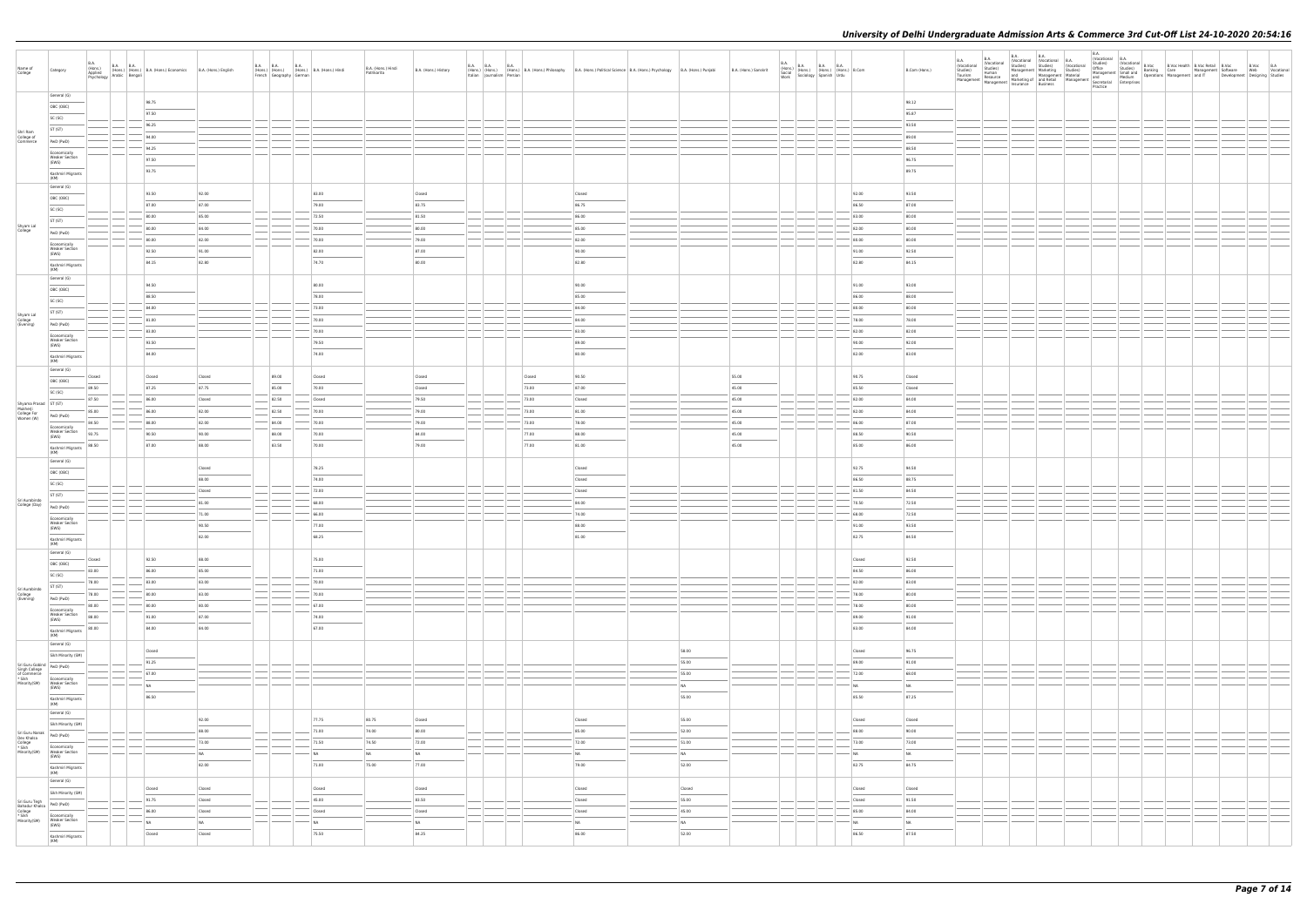| Name of<br>College                                                                                                                             | Category                                                                                                                                                                                                                             | <b>B.A.</b> | B.A. B.A. (Hons.) B.A. (Hons.) Economics B.A. (Hons.) English<br>(Hons.) B.A. B.A.<br>Applied (Hons.) (Hons.) B<br>Psychology Arabic Bengali |                                | French Geography German | B.A. B.A. B.A. B.A. (Hons.) B.A. (Hons.) Hindi | B.A. (Hons.) Hindi<br>Patrikarita | B.A. (Hons.) History | Italian Journalism Persian |        | B.A. B.A. B.A. B.A. B.A. (Hons.) B.A. (Hons.) Philosophy B.A. (Hons.) Political Science B.A. (Hons.) Psychology B.A. (Hons.) Punjabi |                 | B.A. (Hons.) Sanskrit | <b>B.A.</b> | B.A. (Hons.) B.A. B.A. B.A. (Hons.) B.Com<br>Social (Hons.) (Hons.) (Hons.) B.Com<br>Work Sociology Spanish Urdu |                 | B.Com (Hons.)          |  |  |  |  |  |
|------------------------------------------------------------------------------------------------------------------------------------------------|--------------------------------------------------------------------------------------------------------------------------------------------------------------------------------------------------------------------------------------|-------------|----------------------------------------------------------------------------------------------------------------------------------------------|--------------------------------|-------------------------|------------------------------------------------|-----------------------------------|----------------------|----------------------------|--------|--------------------------------------------------------------------------------------------------------------------------------------|-----------------|-----------------------|-------------|------------------------------------------------------------------------------------------------------------------|-----------------|------------------------|--|--|--|--|--|
|                                                                                                                                                | General (G)                                                                                                                                                                                                                          |             |                                                                                                                                              |                                |                         |                                                |                                   |                      |                            |        |                                                                                                                                      |                 |                       |             |                                                                                                                  |                 |                        |  |  |  |  |  |
|                                                                                                                                                | OBC (OBC)                                                                                                                                                                                                                            |             | 98.75                                                                                                                                        |                                |                         |                                                |                                   |                      |                            |        |                                                                                                                                      |                 |                       |             |                                                                                                                  |                 | 98.12                  |  |  |  |  |  |
|                                                                                                                                                | SC (SC)                                                                                                                                                                                                                              |             | 97.50                                                                                                                                        |                                |                         |                                                |                                   |                      |                            |        |                                                                                                                                      |                 |                       |             |                                                                                                                  |                 | 95.87                  |  |  |  |  |  |
|                                                                                                                                                | ST (ST)                                                                                                                                                                                                                              |             | 96.25                                                                                                                                        |                                |                         |                                                |                                   |                      |                            |        |                                                                                                                                      |                 |                       |             |                                                                                                                  |                 | 93.50                  |  |  |  |  |  |
| Shri Ram<br>College of<br>Commerce                                                                                                             | PwD (PwD)                                                                                                                                                                                                                            |             | 94.00                                                                                                                                        |                                |                         |                                                |                                   |                      |                            |        |                                                                                                                                      |                 |                       |             |                                                                                                                  |                 | 89.00                  |  |  |  |  |  |
|                                                                                                                                                | Economically<br><b>Weaker Section</b>                                                                                                                                                                                                |             | 94.25<br>97.50                                                                                                                               |                                |                         |                                                |                                   |                      |                            |        |                                                                                                                                      |                 |                       |             |                                                                                                                  |                 | $\vert$ 88.50<br>96.75 |  |  |  |  |  |
|                                                                                                                                                | (EWS)<br>Kashmiri Migrants<br>(KM)                                                                                                                                                                                                   |             | 93.75                                                                                                                                        |                                |                         |                                                |                                   |                      |                            |        |                                                                                                                                      |                 |                       |             |                                                                                                                  |                 | 89.75                  |  |  |  |  |  |
|                                                                                                                                                | General (G)                                                                                                                                                                                                                          |             |                                                                                                                                              |                                |                         |                                                |                                   |                      |                            |        |                                                                                                                                      |                 |                       |             |                                                                                                                  |                 |                        |  |  |  |  |  |
|                                                                                                                                                | OBC (OBC)                                                                                                                                                                                                                            |             | 93.50<br>87.00                                                                                                                               | 92.00<br>87.00                 |                         | 83.00<br>79.00                                 |                                   | Closed<br>83.75      |                            |        | Closed<br>86.75                                                                                                                      |                 |                       |             |                                                                                                                  | 92.00<br>86.50  | 93.50<br>87.00         |  |  |  |  |  |
|                                                                                                                                                | SC (SC)                                                                                                                                                                                                                              |             | 80.00                                                                                                                                        | 85.00                          |                         | 72.50                                          |                                   | 81.50                |                            |        | 86.00                                                                                                                                |                 |                       |             |                                                                                                                  | 83.00           | 80.00                  |  |  |  |  |  |
| Shyam Lal                                                                                                                                      | ST (ST)                                                                                                                                                                                                                              |             | 80.00                                                                                                                                        | 84.00                          |                         | 70.00                                          |                                   | 80.00                |                            |        | 85.00                                                                                                                                |                 |                       |             |                                                                                                                  | 82.00           | 80.00                  |  |  |  |  |  |
| College                                                                                                                                        | PwD (PwD)                                                                                                                                                                                                                            |             | 80.00                                                                                                                                        | 82.00                          |                         | 70.00                                          |                                   | 79.00                |                            |        | 82.00                                                                                                                                |                 |                       |             |                                                                                                                  | 80.00           | 80.00                  |  |  |  |  |  |
|                                                                                                                                                | Economically<br><b>Weaker Section</b>                                                                                                                                                                                                |             | 92.50                                                                                                                                        | 91.00                          |                         | 82.00                                          |                                   | 87.00                |                            |        | 90.00                                                                                                                                |                 |                       |             |                                                                                                                  | 91.00           | 92.50                  |  |  |  |  |  |
|                                                                                                                                                | (EWS)                                                                                                                                                                                                                                |             | 84.15                                                                                                                                        | 82.80                          |                         | 74.70                                          |                                   | 80.00                |                            |        | 82.80                                                                                                                                |                 |                       |             |                                                                                                                  | 82.80           | 84.15                  |  |  |  |  |  |
|                                                                                                                                                | Kashmiri Migrants<br>(KM)                                                                                                                                                                                                            |             |                                                                                                                                              |                                |                         |                                                |                                   |                      |                            |        |                                                                                                                                      |                 |                       |             |                                                                                                                  |                 |                        |  |  |  |  |  |
|                                                                                                                                                | General (G)                                                                                                                                                                                                                          |             | 94.50                                                                                                                                        |                                |                         | 80.00                                          |                                   |                      |                            |        | 90.00                                                                                                                                |                 |                       |             |                                                                                                                  | 91.00           | 93.00                  |  |  |  |  |  |
|                                                                                                                                                | OBC (OBC)                                                                                                                                                                                                                            |             | 88.50                                                                                                                                        |                                |                         | 78.00                                          |                                   |                      |                            |        | 85.00                                                                                                                                |                 |                       |             |                                                                                                                  | 86.00           | 88.00                  |  |  |  |  |  |
|                                                                                                                                                | SC (SC)                                                                                                                                                                                                                              |             | 84.00                                                                                                                                        |                                |                         | 73.00                                          |                                   |                      |                            |        | 84.00                                                                                                                                |                 |                       |             |                                                                                                                  | 80.00           | 80.00                  |  |  |  |  |  |
| Shyam Lal<br>College<br>(Evening)                                                                                                              | ST (ST)                                                                                                                                                                                                                              |             | 81.00                                                                                                                                        |                                |                         | 70.00                                          |                                   |                      |                            |        | 84.00                                                                                                                                |                 |                       |             |                                                                                                                  | 78.00           | 78.00                  |  |  |  |  |  |
|                                                                                                                                                | PwD (PwD)                                                                                                                                                                                                                            |             | 83.00                                                                                                                                        |                                |                         | 70.00                                          |                                   |                      |                            |        | 83.00                                                                                                                                |                 |                       |             |                                                                                                                  | 82.00           | 82.00                  |  |  |  |  |  |
|                                                                                                                                                | Economically<br>Weaker Section<br>(EWS)                                                                                                                                                                                              |             | 93.50                                                                                                                                        |                                |                         | 79.50                                          |                                   |                      |                            |        | 89.00                                                                                                                                |                 |                       |             |                                                                                                                  | 90.00           | 92.00                  |  |  |  |  |  |
|                                                                                                                                                | Kashmiri Migrants                                                                                                                                                                                                                    |             | 84.00                                                                                                                                        |                                |                         | 74.00                                          |                                   |                      |                            |        | 80.00                                                                                                                                |                 |                       |             |                                                                                                                  | 82.00           | 83.00                  |  |  |  |  |  |
|                                                                                                                                                | (KM)<br>General (G)                                                                                                                                                                                                                  |             |                                                                                                                                              |                                |                         |                                                |                                   |                      |                            |        |                                                                                                                                      |                 |                       |             |                                                                                                                  |                 |                        |  |  |  |  |  |
|                                                                                                                                                | OBC (OBC)                                                                                                                                                                                                                            | Closed      | Closed                                                                                                                                       | Closed                         | 89.00                   | Closed                                         |                                   | Closed               |                            | Closed | 90.50                                                                                                                                |                 | 55.00                 |             |                                                                                                                  | 90.75           | Closed                 |  |  |  |  |  |
|                                                                                                                                                | SC (SC)                                                                                                                                                                                                                              | 89.50       | 87.25                                                                                                                                        | 87.75                          | 85.00                   | 70.00                                          |                                   | Closed               |                            | 73.00  | 87.00                                                                                                                                |                 | 45.00                 |             |                                                                                                                  | 85.50           | Closed                 |  |  |  |  |  |
|                                                                                                                                                |                                                                                                                                                                                                                                      | 87.50       | 86.00                                                                                                                                        | Closed                         | 82.50                   | Closed                                         |                                   | 79.50                |                            | 73.00  | Closed                                                                                                                               |                 | 45.00                 |             |                                                                                                                  | 82.00           | 84.00                  |  |  |  |  |  |
| Shyama Prasad<br>Mukherji<br>College For<br>Women (W)<br>PwD (PwD)                                                                             | PwD (PwD)                                                                                                                                                                                                                            | 85.00       | 86.00                                                                                                                                        | 82.00                          | 82.50                   | 70.00                                          |                                   | 79.00                |                            | 73.00  | 81.00                                                                                                                                |                 | 45.00                 |             |                                                                                                                  | 82.00           | 84.00                  |  |  |  |  |  |
|                                                                                                                                                | Economically                                                                                                                                                                                                                         | 84.50       | 88.00                                                                                                                                        | 82.00                          | 84.00                   | 70.00                                          |                                   | 79.00                |                            | 73.00  | 78.00                                                                                                                                |                 | 45.00                 |             |                                                                                                                  | 86.00           | 87.00                  |  |  |  |  |  |
|                                                                                                                                                | <b>Weaker Section</b><br>(EWS)                                                                                                                                                                                                       | 93.75       | 90.50                                                                                                                                        | 90.00                          | 88.00                   | 70.00                                          |                                   | 84.00                |                            | 77.00  | 88.00                                                                                                                                |                 | 45.00                 |             |                                                                                                                  | 88.50           | 90.50                  |  |  |  |  |  |
|                                                                                                                                                | Kashmiri Migrants<br>(KM)                                                                                                                                                                                                            | 88.50       | 87.00                                                                                                                                        | 88.00                          | 83.50                   | 70.00                                          |                                   | 79.00                |                            | 77.00  | 81.00                                                                                                                                |                 | 45.00                 |             |                                                                                                                  | 85.00           | 86.00                  |  |  |  |  |  |
|                                                                                                                                                | General (G)                                                                                                                                                                                                                          |             |                                                                                                                                              |                                |                         |                                                |                                   |                      |                            |        |                                                                                                                                      |                 |                       |             |                                                                                                                  |                 |                        |  |  |  |  |  |
|                                                                                                                                                | OBC (OBC)                                                                                                                                                                                                                            |             |                                                                                                                                              | Closed                         |                         | 78.25                                          |                                   |                      |                            |        | Closed                                                                                                                               |                 |                       |             |                                                                                                                  | 92.75           | 94.50                  |  |  |  |  |  |
|                                                                                                                                                | SC (SC)                                                                                                                                                                                                                              |             |                                                                                                                                              | 88.00                          |                         | 74.00                                          |                                   |                      |                            |        | Closed                                                                                                                               |                 |                       |             |                                                                                                                  | 86.50           | 88.75                  |  |  |  |  |  |
| Sri Aurobindo                                                                                                                                  | ST (ST)                                                                                                                                                                                                                              |             |                                                                                                                                              | Closed                         |                         | 72.00                                          |                                   |                      |                            |        | Closed                                                                                                                               |                 |                       |             |                                                                                                                  | 81.50           | 84.50                  |  |  |  |  |  |
| College (Day)                                                                                                                                  | PwD (PwD)                                                                                                                                                                                                                            |             |                                                                                                                                              | 81.00                          |                         | 68.00                                          |                                   |                      |                            |        | 84.00                                                                                                                                |                 |                       |             |                                                                                                                  | 70.50           | 72.50                  |  |  |  |  |  |
|                                                                                                                                                | Economically<br><b>Weaker Section</b>                                                                                                                                                                                                |             |                                                                                                                                              | 71.00                          |                         | 66.00                                          |                                   |                      |                            |        | 74.00                                                                                                                                |                 |                       |             |                                                                                                                  | 68.00           | 72.50                  |  |  |  |  |  |
|                                                                                                                                                | (EWS)                                                                                                                                                                                                                                |             |                                                                                                                                              | 90.50<br>82.00                 |                         | 77.00<br>68.25                                 |                                   |                      |                            |        | 88.00<br>81.00                                                                                                                       |                 |                       |             |                                                                                                                  | 91.00<br>82.75  | 93.50<br>84.50         |  |  |  |  |  |
|                                                                                                                                                | Kashmiri Migrants<br>(KM)                                                                                                                                                                                                            |             |                                                                                                                                              |                                |                         |                                                |                                   |                      |                            |        |                                                                                                                                      |                 |                       |             |                                                                                                                  |                 |                        |  |  |  |  |  |
|                                                                                                                                                | General (G)                                                                                                                                                                                                                          | Closed      | 92.50                                                                                                                                        | 88.00                          |                         | 75.00                                          |                                   |                      |                            |        |                                                                                                                                      |                 |                       |             |                                                                                                                  | Closed          | 92.50                  |  |  |  |  |  |
|                                                                                                                                                | OBC (OBC)                                                                                                                                                                                                                            | 83.00       | 86.00                                                                                                                                        | 85.00                          |                         | 71.00                                          |                                   |                      |                            |        |                                                                                                                                      |                 |                       |             |                                                                                                                  | 84.50           | 86.00                  |  |  |  |  |  |
|                                                                                                                                                | SC (SC)                                                                                                                                                                                                                              | 78.00       | 83.00                                                                                                                                        | 83.00                          |                         | 70.00                                          |                                   |                      |                            |        |                                                                                                                                      |                 |                       |             |                                                                                                                  | 82.00           | 83.00                  |  |  |  |  |  |
| Sri Aurobindo<br>College<br>(Evening)                                                                                                          | ST (ST)                                                                                                                                                                                                                              | 78.00       | 80.00                                                                                                                                        | 83.00                          |                         | 70.00                                          |                                   |                      |                            |        |                                                                                                                                      |                 |                       |             |                                                                                                                  | 78.00           | 80.00                  |  |  |  |  |  |
|                                                                                                                                                | PwD (PwD)                                                                                                                                                                                                                            | 80.00       | 80.00                                                                                                                                        | 80.00                          |                         | 67.00                                          |                                   |                      |                            |        |                                                                                                                                      |                 |                       |             |                                                                                                                  | 78.00           | 80.00                  |  |  |  |  |  |
|                                                                                                                                                | Economically<br><b>Weaker Section</b><br>(EWS)                                                                                                                                                                                       | 88.00       | 91.00                                                                                                                                        | 87.00                          |                         | 74.00                                          |                                   |                      |                            |        |                                                                                                                                      |                 |                       |             |                                                                                                                  | 89.00           | 91.00                  |  |  |  |  |  |
|                                                                                                                                                | <b>Contract Contract Contract Contract Contract Contract Contract Contract Contract Contract Contract Contract Contract Contract Contract Contract Contract Contract Contract Contract Contract Contract Contract Contract Contr</b> | 80.00       | 84.00                                                                                                                                        | 84.00                          |                         | 67.00                                          |                                   |                      |                            |        |                                                                                                                                      |                 |                       |             |                                                                                                                  | 83.00           | 84.00                  |  |  |  |  |  |
|                                                                                                                                                | Kashmiri Migrants<br>(KM)<br>General (G)                                                                                                                                                                                             |             |                                                                                                                                              |                                |                         |                                                |                                   |                      |                            |        |                                                                                                                                      |                 |                       |             |                                                                                                                  |                 |                        |  |  |  |  |  |
|                                                                                                                                                | Sikh Minority (SM)                                                                                                                                                                                                                   |             | Closed<br>$\sim$                                                                                                                             |                                |                         |                                                |                                   |                      |                            |        |                                                                                                                                      | 58.00           |                       |             |                                                                                                                  | Closed          | 96.75                  |  |  |  |  |  |
|                                                                                                                                                |                                                                                                                                                                                                                                      |             | 91.25                                                                                                                                        |                                |                         |                                                |                                   |                      |                            |        |                                                                                                                                      | 55.00           |                       |             |                                                                                                                  | 89.00           | 91.00                  |  |  |  |  |  |
| Sri Guru Gobind<br>Singh College<br>of Commerce<br>* Sikh<br>Minority(SM)<br>Weaker Section<br>Minority(SM)<br>Weaker Section<br>CIDC CONTENCT |                                                                                                                                                                                                                                      |             | 67.00<br>$\sim$                                                                                                                              |                                |                         |                                                |                                   |                      |                            |        |                                                                                                                                      | 55.00           |                       |             |                                                                                                                  | 72.00           | 68.00                  |  |  |  |  |  |
|                                                                                                                                                | Economically<br>Weaker Section<br>(EWS)                                                                                                                                                                                              |             | NA                                                                                                                                           |                                |                         |                                                |                                   |                      |                            |        |                                                                                                                                      | NA              |                       |             |                                                                                                                  | NA              | NA                     |  |  |  |  |  |
|                                                                                                                                                | Kashmiri Migrants<br>(KM)                                                                                                                                                                                                            |             | 86.50                                                                                                                                        |                                |                         |                                                |                                   |                      |                            |        |                                                                                                                                      | 55.00           |                       |             |                                                                                                                  | 85.50           | 87.25                  |  |  |  |  |  |
|                                                                                                                                                | General (G)<br>the control of the con-<br>Sikh Minority (SM)                                                                                                                                                                         |             |                                                                                                                                              | 92.00                          |                         | 77.75                                          | 80.75                             | Closed               |                            |        | Closed<br>$\sim$                                                                                                                     | 55.00           |                       |             |                                                                                                                  | Closed          | Closed                 |  |  |  |  |  |
|                                                                                                                                                |                                                                                                                                                                                                                                      |             |                                                                                                                                              | 88.00                          |                         | 71.00                                          | 74.00                             | 80.00                |                            |        | 85.00                                                                                                                                | 52.00           |                       |             |                                                                                                                  | 88.00           | 90.00                  |  |  |  |  |  |
| Sri Guru Nanak<br>Dev Khalsa<br>College<br>* Sikh<br>Minority(SM)<br>VERNEY SCERE<br>VERNEY SCERE<br>VERNEY SCERE<br>VERNEY SCERE              | Economically                                                                                                                                                                                                                         |             |                                                                                                                                              | 73.00                          |                         | 71.50                                          | 74.50                             | 72.00                |                            |        | 72.00                                                                                                                                | 51.00           |                       |             |                                                                                                                  | 73.00           | 73.00                  |  |  |  |  |  |
|                                                                                                                                                | Weaker Section<br>(EWS)                                                                                                                                                                                                              |             |                                                                                                                                              | NA<br>$\overline{\phantom{a}}$ |                         | NA                                             | <b>NA</b>                         | NA                   |                            |        | NA<br>$\overline{\phantom{a}}$                                                                                                       | NA              |                       |             |                                                                                                                  | $\mathsf{NA}$   | NA                     |  |  |  |  |  |
|                                                                                                                                                | Kashmiri Migrants<br>(KM)                                                                                                                                                                                                            |             |                                                                                                                                              | 82.00                          |                         | 71.00                                          | 75.00                             | 77.00                |                            |        | 79.00                                                                                                                                | 52.00           |                       |             |                                                                                                                  | 82.75           | 84.75                  |  |  |  |  |  |
|                                                                                                                                                | General (G)                                                                                                                                                                                                                          |             |                                                                                                                                              |                                |                         |                                                |                                   |                      |                            |        |                                                                                                                                      |                 |                       |             |                                                                                                                  |                 |                        |  |  |  |  |  |
|                                                                                                                                                | Sikh Minority (SM)                                                                                                                                                                                                                   |             | Closed<br>91.75                                                                                                                              | Closed<br>Closed               |                         | Closed<br>45.00                                |                                   | Closed               |                            |        | Closed<br>Closed                                                                                                                     | Closed<br>55.00 |                       |             |                                                                                                                  | Closed          | Closed                 |  |  |  |  |  |
|                                                                                                                                                | PwD (PwD)                                                                                                                                                                                                                            |             | 86.00                                                                                                                                        | Closed                         |                         | Closed                                         |                                   | 83.50<br>Closed      |                            |        | Closed                                                                                                                               | 45.00           |                       |             |                                                                                                                  | Closed<br>85.00 | 91.50<br>84.00         |  |  |  |  |  |
| Sri Guru Tegh<br>Bahadur Khalsa<br>College<br>* Sikh<br>Minority(SM)                                                                           | Economically<br>Weaker Section<br>(EWS)                                                                                                                                                                                              |             | NA                                                                                                                                           | NA                             |                         | N <sub>A</sub>                                 |                                   | NA                   |                            |        | NA .                                                                                                                                 | NA              |                       |             |                                                                                                                  | NA.             | NA                     |  |  |  |  |  |
|                                                                                                                                                | <b>STATE OF BUILDING</b>                                                                                                                                                                                                             |             | Closed                                                                                                                                       | Closed                         |                         | 75.50                                          |                                   | 84.25                |                            |        | $\overline{\phantom{a}}$<br>86.00                                                                                                    | 52.00           |                       |             |                                                                                                                  | 86.50           | 87.50                  |  |  |  |  |  |
|                                                                                                                                                | Kashmiri Migrants<br>(KM)                                                                                                                                                                                                            |             |                                                                                                                                              |                                |                         |                                                |                                   |                      |                            |        |                                                                                                                                      |                 |                       |             |                                                                                                                  |                 |                        |  |  |  |  |  |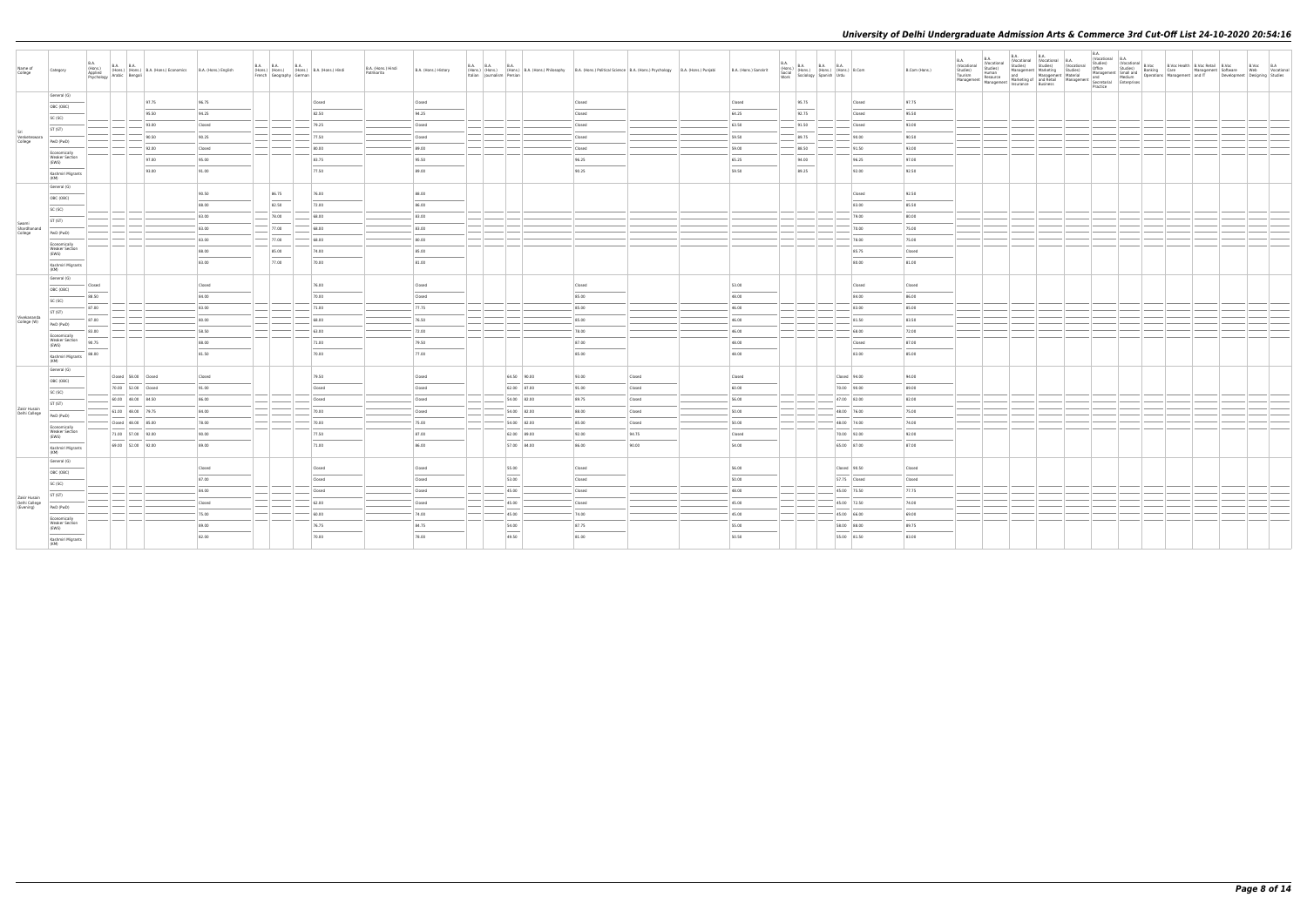| Name of<br>College              | Category                                       | B.A.<br>(Hons.) B.A. B.A.<br>Applied (Hons.) (Hons.) B<br>Psychology Arabic Bengali | <b>B.A. B.A.</b> | (Hons.) (Hons.) B.A. (Hons.) Economics B.A. (Hons.) English |        | <b>B.A. B.A.</b><br><b>B.A.</b><br>(Hons.) (Hons.) (Hons.) B.A. (Hons.) Hindi<br>French Geography German |          | B.A. (Hons.) Hindi<br>Patrikarita | B.A. (Hons.) History | <b>B.A. B.A.</b><br>Italian Journalism Persian | <b>B.A.</b><br>(Hons.) (Hons.) (Hons.) B.A. (Hons.) Philosophy B.A. (Hons.) Political Science B.A. (Hons.) Psychology B.A. (Hons.) Punjabi |                 |  | B.A. (Hons.) Sanskrit | <b>B.A.</b><br>Work | B.A. (Hons.) B.A. B.A. B.A. (Hons.) B.Com<br>Social (Hons.) (Hons.) (Hons.) B.Com<br>Work Sociology Spanish Urdu |              | B.Com (Hons.) | <b>B.A.</b><br>(Vocational<br>Studies)<br>Tourism<br>Management | B.A.<br>B.A.<br>(Vocational<br>Studies)<br>Human | <b>B.A.</b> | (Vocational (Vocational B.A. | <b>B.A.</b> | The Contactional<br>Studies) (Vocational B.Voc<br>Office Studies) Banking | B.Voc Health B.Voc Retail B.Voc<br>Office Studies) Banking Care Management Software<br>Management Small and Operations Management and IT Development | B.Voc B.A<br>Development Designing Studies | Web Vocational |
|---------------------------------|------------------------------------------------|-------------------------------------------------------------------------------------|------------------|-------------------------------------------------------------|--------|----------------------------------------------------------------------------------------------------------|----------|-----------------------------------|----------------------|------------------------------------------------|--------------------------------------------------------------------------------------------------------------------------------------------|-----------------|--|-----------------------|---------------------|------------------------------------------------------------------------------------------------------------------|--------------|---------------|-----------------------------------------------------------------|--------------------------------------------------|-------------|------------------------------|-------------|---------------------------------------------------------------------------|------------------------------------------------------------------------------------------------------------------------------------------------------|--------------------------------------------|----------------|
|                                 | General (G)                                    |                                                                                     |                  | 97.75                                                       | 96.75  |                                                                                                          | Closed   |                                   | Closed               |                                                |                                                                                                                                            | Closed          |  | Closed                |                     | 95.75                                                                                                            | Closed       | 97.75         |                                                                 |                                                  |             |                              |             |                                                                           |                                                                                                                                                      |                                            |                |
|                                 | OBC (OBC)                                      |                                                                                     |                  | 95.50                                                       | 94.25  |                                                                                                          | 82.50    |                                   | 94.25                |                                                |                                                                                                                                            | Closed          |  | 64.25                 |                     | 92.75                                                                                                            | Closed       | 95.50         |                                                                 |                                                  |             |                              |             |                                                                           |                                                                                                                                                      |                                            |                |
|                                 | SC (SC)                                        |                                                                                     |                  | 93.00                                                       | Closed |                                                                                                          | 79.25    |                                   | Closed               |                                                |                                                                                                                                            | Closed          |  | 63.50                 |                     | 91.50                                                                                                            | Closed       | 93.00         |                                                                 |                                                  |             |                              |             |                                                                           |                                                                                                                                                      |                                            |                |
| Venketeswara                    | ST (ST)                                        |                                                                                     |                  | 90.50                                                       | 90.25  |                                                                                                          | 77.50    |                                   | Closed               |                                                |                                                                                                                                            | Closed          |  | 59.50                 |                     | 89.75                                                                                                            | 90.00        | 90.50         |                                                                 |                                                  |             |                              |             |                                                                           |                                                                                                                                                      |                                            |                |
| College                         | PwD (PwD)                                      |                                                                                     |                  | 92.00                                                       | Closed |                                                                                                          | 80.00    |                                   | 89.00                |                                                |                                                                                                                                            | Closed          |  | 59.00                 |                     | 88.50                                                                                                            | 91.50        | 93.00         |                                                                 |                                                  |             |                              |             |                                                                           |                                                                                                                                                      |                                            |                |
|                                 | Economically<br><b>Weaker Section</b>          |                                                                                     |                  | 97.00                                                       | 95.00  |                                                                                                          | 83.75    |                                   | 95.50                |                                                |                                                                                                                                            | 96.25           |  | 65.25                 |                     | 94.00                                                                                                            | 96.25        | 97.00         |                                                                 |                                                  |             |                              |             |                                                                           |                                                                                                                                                      |                                            |                |
|                                 | (EWS)                                          |                                                                                     |                  | 93.00                                                       | 91.00  |                                                                                                          | 77.50    |                                   | 89.00                |                                                |                                                                                                                                            | 90.25           |  | 59.50                 |                     | 89.25                                                                                                            | 92.00        | 92.50         |                                                                 |                                                  |             |                              |             |                                                                           |                                                                                                                                                      |                                            |                |
|                                 | Kashmiri Migrants<br>(KM)                      |                                                                                     |                  |                                                             |        |                                                                                                          |          |                                   |                      |                                                |                                                                                                                                            |                 |  |                       |                     |                                                                                                                  |              |               |                                                                 |                                                  |             |                              |             |                                                                           |                                                                                                                                                      |                                            |                |
|                                 | General (G)                                    |                                                                                     |                  |                                                             | 90.50  | 86.75                                                                                                    | 76.00    |                                   | 88.00                |                                                |                                                                                                                                            |                 |  |                       |                     |                                                                                                                  | Closed       | 92.50         |                                                                 |                                                  |             |                              |             |                                                                           |                                                                                                                                                      |                                            |                |
|                                 | OBC (OBC)                                      |                                                                                     |                  |                                                             | 88.00  | 82.50                                                                                                    | 72.00    |                                   | 86.00                |                                                |                                                                                                                                            |                 |  |                       |                     |                                                                                                                  | 83.00        | 85.50         |                                                                 |                                                  |             |                              |             |                                                                           |                                                                                                                                                      |                                            |                |
|                                 | SC (SC)                                        |                                                                                     |                  |                                                             | 83.00  | 78.00                                                                                                    | 68.00    |                                   | 83.00                |                                                |                                                                                                                                            |                 |  |                       |                     |                                                                                                                  | 79.00        | 80.00         |                                                                 |                                                  |             |                              |             |                                                                           |                                                                                                                                                      |                                            |                |
| Swami<br>Shardhanand<br>College | ST (ST)                                        |                                                                                     |                  |                                                             | 83.00  | 77.00                                                                                                    | 68.00    |                                   | 83.00                |                                                |                                                                                                                                            |                 |  |                       |                     |                                                                                                                  | 70.00        | 75.00         |                                                                 |                                                  |             |                              |             |                                                                           |                                                                                                                                                      |                                            |                |
|                                 | PwD (PwD)                                      |                                                                                     |                  |                                                             | 83.00  | $- 77.00$                                                                                                | 68.00    |                                   | 80.00                |                                                |                                                                                                                                            |                 |  |                       |                     |                                                                                                                  | 78.00        | 75.00         |                                                                 |                                                  |             |                              |             |                                                                           |                                                                                                                                                      |                                            |                |
|                                 | Economically<br><b>Weaker Section</b>          |                                                                                     |                  |                                                             | 88.00  | 85.00                                                                                                    | 74.00    |                                   | 85.00                |                                                |                                                                                                                                            |                 |  |                       |                     |                                                                                                                  | 85.75        | Closed        |                                                                 |                                                  |             |                              |             |                                                                           |                                                                                                                                                      |                                            |                |
|                                 | (EWS)<br>Kashmiri Migrants                     |                                                                                     |                  |                                                             | 83.00  | 77.00                                                                                                    | 70.00    |                                   | 81.00                |                                                |                                                                                                                                            |                 |  |                       |                     |                                                                                                                  | 80.00        | 81.00         |                                                                 |                                                  |             |                              |             |                                                                           |                                                                                                                                                      |                                            |                |
|                                 | (KM)                                           |                                                                                     |                  |                                                             |        |                                                                                                          |          |                                   |                      |                                                |                                                                                                                                            |                 |  |                       |                     |                                                                                                                  |              |               |                                                                 |                                                  |             |                              |             |                                                                           |                                                                                                                                                      |                                            |                |
|                                 | General (G)                                    | Closed                                                                              |                  |                                                             | Closed |                                                                                                          | 76.00    |                                   | Closed               |                                                |                                                                                                                                            | Closed          |  | 53.00                 |                     |                                                                                                                  | Closed       | Closed        |                                                                 |                                                  |             |                              |             |                                                                           |                                                                                                                                                      |                                            |                |
|                                 | OBC (OBC)                                      | 88.50                                                                               |                  |                                                             | 84.00  |                                                                                                          | 70.00    |                                   | Closed               |                                                |                                                                                                                                            | 85.00           |  | 48.00                 |                     |                                                                                                                  | 84.00        | 86.00         |                                                                 |                                                  |             |                              |             |                                                                           |                                                                                                                                                      |                                            |                |
|                                 | SC (SC)                                        | 87.00                                                                               |                  |                                                             | 83.00  |                                                                                                          | 71.00    |                                   | 77.75                |                                                |                                                                                                                                            | 85.00           |  | 46.00                 |                     |                                                                                                                  | 83.00        | 85.00         |                                                                 |                                                  |             |                              |             |                                                                           |                                                                                                                                                      |                                            |                |
| Vivekananda<br>College (W)      | ST (ST)                                        | 87.00                                                                               |                  |                                                             | 80.00  |                                                                                                          | 68.00    |                                   | 76.50                |                                                |                                                                                                                                            | 85.00           |  | 46.00                 |                     |                                                                                                                  | 81.50        | 83.50         |                                                                 |                                                  |             |                              |             |                                                                           |                                                                                                                                                      |                                            |                |
|                                 | PwD (PwD)                                      | 83.00                                                                               |                  |                                                             | 58.50  |                                                                                                          | $-63.00$ |                                   | 72.00                |                                                |                                                                                                                                            | 78.00           |  | 46.00                 |                     |                                                                                                                  | 68.00        | 72.00         |                                                                 |                                                  |             |                              |             |                                                                           |                                                                                                                                                      |                                            |                |
|                                 | Economically<br>Weaker Section<br>(EWS)        | 90.75                                                                               |                  |                                                             | 88.00  |                                                                                                          | 71.00    |                                   | 79.50                |                                                |                                                                                                                                            | 87.00           |  | 48.00                 |                     |                                                                                                                  | Closed       | 87.00         |                                                                 |                                                  |             |                              |             |                                                                           |                                                                                                                                                      |                                            |                |
|                                 | $\overline{\phantom{a}}$<br>Kashmiri Migrants  | 88.00                                                                               |                  |                                                             | 81.50  |                                                                                                          | 70.00    |                                   | 77.00                |                                                |                                                                                                                                            | 85.00           |  | 48.00                 |                     |                                                                                                                  | 83.00        | 85.00         |                                                                 |                                                  |             |                              |             |                                                                           |                                                                                                                                                      |                                            |                |
|                                 | (KM)                                           |                                                                                     |                  |                                                             |        |                                                                                                          |          |                                   |                      |                                                |                                                                                                                                            |                 |  |                       |                     |                                                                                                                  |              |               |                                                                 |                                                  |             |                              |             |                                                                           |                                                                                                                                                      |                                            |                |
|                                 | General (G)                                    |                                                                                     |                  | Closed 58.00 Closed                                         | Closed |                                                                                                          | 79.50    |                                   | Closed               |                                                | 64.50 90.00                                                                                                                                | 93.00<br>Closed |  | Closed                |                     |                                                                                                                  | Closed 94.00 | 94.00         |                                                                 |                                                  |             |                              |             |                                                                           |                                                                                                                                                      |                                            |                |
|                                 | OBC (OBC)                                      |                                                                                     |                  | 70.00 52.00 Closed                                          | 91.00  |                                                                                                          | Closed   |                                   | Closed               |                                                | 62.00 87.00                                                                                                                                | 91.00<br>Closed |  | 60.00                 |                     |                                                                                                                  | 70.00 90.00  | 89.00         |                                                                 |                                                  |             |                              |             |                                                                           |                                                                                                                                                      |                                            |                |
|                                 | SC (SC)                                        |                                                                                     |                  | 60.00 48.00 84.50                                           | 86.00  |                                                                                                          | Closed   |                                   | Closed               |                                                | 54.00 82.00                                                                                                                                | 89.75<br>Closed |  | 56.00                 |                     |                                                                                                                  | 47.00 82.00  | 82.00         |                                                                 |                                                  |             |                              |             |                                                                           |                                                                                                                                                      |                                            |                |
| Zakir Husain<br>Delhi College   | ST (ST)                                        |                                                                                     |                  | 61.00 48.00 79.75                                           | 84.00  |                                                                                                          | 70.00    |                                   | Closed               |                                                | 54.00 82.00                                                                                                                                | 88.00<br>Closed |  | 50.00                 |                     |                                                                                                                  | 48.00 76.00  | 75.00         |                                                                 |                                                  |             |                              |             |                                                                           |                                                                                                                                                      |                                            |                |
|                                 | PwD (PwD)                                      |                                                                                     |                  | Closed 48.00 85.00                                          | 78.00  |                                                                                                          | 70.00    |                                   | 75.00                |                                                | 54.00 82.00                                                                                                                                | 85.00<br>Closed |  | 50.00                 |                     |                                                                                                                  | 48.00 74.00  | 74.00         |                                                                 |                                                  |             |                              |             |                                                                           |                                                                                                                                                      |                                            |                |
|                                 | Economically<br><b>Weaker Section</b><br>(EWS) |                                                                                     |                  | 71.00 57.00 92.00                                           | 90.00  |                                                                                                          | 77.50    |                                   | 87.00                |                                                | 62.00 89.00                                                                                                                                | 92.00<br>94.75  |  | Closed                |                     |                                                                                                                  | 70.00 92.00  | 92.00         |                                                                 |                                                  |             |                              |             |                                                                           |                                                                                                                                                      |                                            |                |
|                                 | $\overline{\phantom{a}}$<br>Kashmiri Migrants  |                                                                                     |                  | 69.00 52.00 92.00                                           | 89.00  |                                                                                                          | 71.00    |                                   | 86.00                |                                                | 57.00 84.00                                                                                                                                | 90.00<br>86.00  |  | 54.00                 |                     |                                                                                                                  | 65.00 87.00  | 87.00         |                                                                 |                                                  |             |                              |             |                                                                           |                                                                                                                                                      |                                            |                |
|                                 | (KM)                                           |                                                                                     |                  |                                                             |        |                                                                                                          |          |                                   |                      |                                                |                                                                                                                                            |                 |  |                       |                     |                                                                                                                  |              |               |                                                                 |                                                  |             |                              |             |                                                                           |                                                                                                                                                      |                                            |                |
|                                 | General (G)                                    |                                                                                     |                  |                                                             | Closed |                                                                                                          | Closed   |                                   | Closed               |                                                | 55.00                                                                                                                                      | Closed          |  | 56.00                 |                     |                                                                                                                  | Closed 90.50 | Closed        |                                                                 |                                                  |             |                              |             |                                                                           |                                                                                                                                                      |                                            |                |
|                                 | OBC (OBC)                                      |                                                                                     |                  |                                                             | 87.00  |                                                                                                          | Closed   |                                   | Closed               |                                                | 53.00                                                                                                                                      | Closed          |  | 50.00                 |                     |                                                                                                                  | 57.75 Closed | Closed        |                                                                 |                                                  |             |                              |             |                                                                           |                                                                                                                                                      |                                            |                |
|                                 | SC (SC)                                        |                                                                                     |                  |                                                             | 84.00  |                                                                                                          | Closed   |                                   | Closed               |                                                | 45.00                                                                                                                                      | Closed          |  | 48.00                 |                     |                                                                                                                  | 45.00 75.50  | 77.75         |                                                                 |                                                  |             |                              |             |                                                                           |                                                                                                                                                      |                                            |                |
| Zakir Husain<br>Delhi College   | ST (ST)                                        |                                                                                     |                  |                                                             | Closed |                                                                                                          | 62.00    |                                   | Closed               |                                                | 45.00                                                                                                                                      | Closed          |  | 45.00                 |                     |                                                                                                                  | 45.00 72.50  | 74.00         |                                                                 |                                                  |             |                              |             |                                                                           |                                                                                                                                                      |                                            |                |
| (Evening)                       | PwD (PwD)                                      |                                                                                     |                  |                                                             | 75.00  |                                                                                                          | 60.00    |                                   | 74.00                |                                                | 45.00                                                                                                                                      | 74.00           |  | 45.00                 |                     |                                                                                                                  | 45.00 66.00  | 69.00         |                                                                 |                                                  |             |                              |             |                                                                           |                                                                                                                                                      |                                            |                |
|                                 | Economically<br><b>Weaker Section</b><br>(EWS) |                                                                                     |                  |                                                             | 89.00  |                                                                                                          | 76.75    |                                   | 84.75                |                                                | 54.00                                                                                                                                      | 87.75           |  | 55.00                 |                     |                                                                                                                  | 58.00 88.00  | 89.75         |                                                                 |                                                  |             |                              |             |                                                                           |                                                                                                                                                      |                                            |                |
|                                 | Kashmiri Migrants                              |                                                                                     |                  |                                                             | 82.00  |                                                                                                          | 70.00    |                                   | 78.00                |                                                | 49.50                                                                                                                                      | 81.00           |  | 50.50                 |                     |                                                                                                                  | 55.00 81.50  | 83.00         |                                                                 |                                                  |             |                              |             |                                                                           |                                                                                                                                                      |                                            |                |
|                                 | (KM)                                           |                                                                                     |                  |                                                             |        |                                                                                                          |          |                                   |                      |                                                |                                                                                                                                            |                 |  |                       |                     |                                                                                                                  |              |               |                                                                 |                                                  |             |                              |             |                                                                           |                                                                                                                                                      |                                            |                |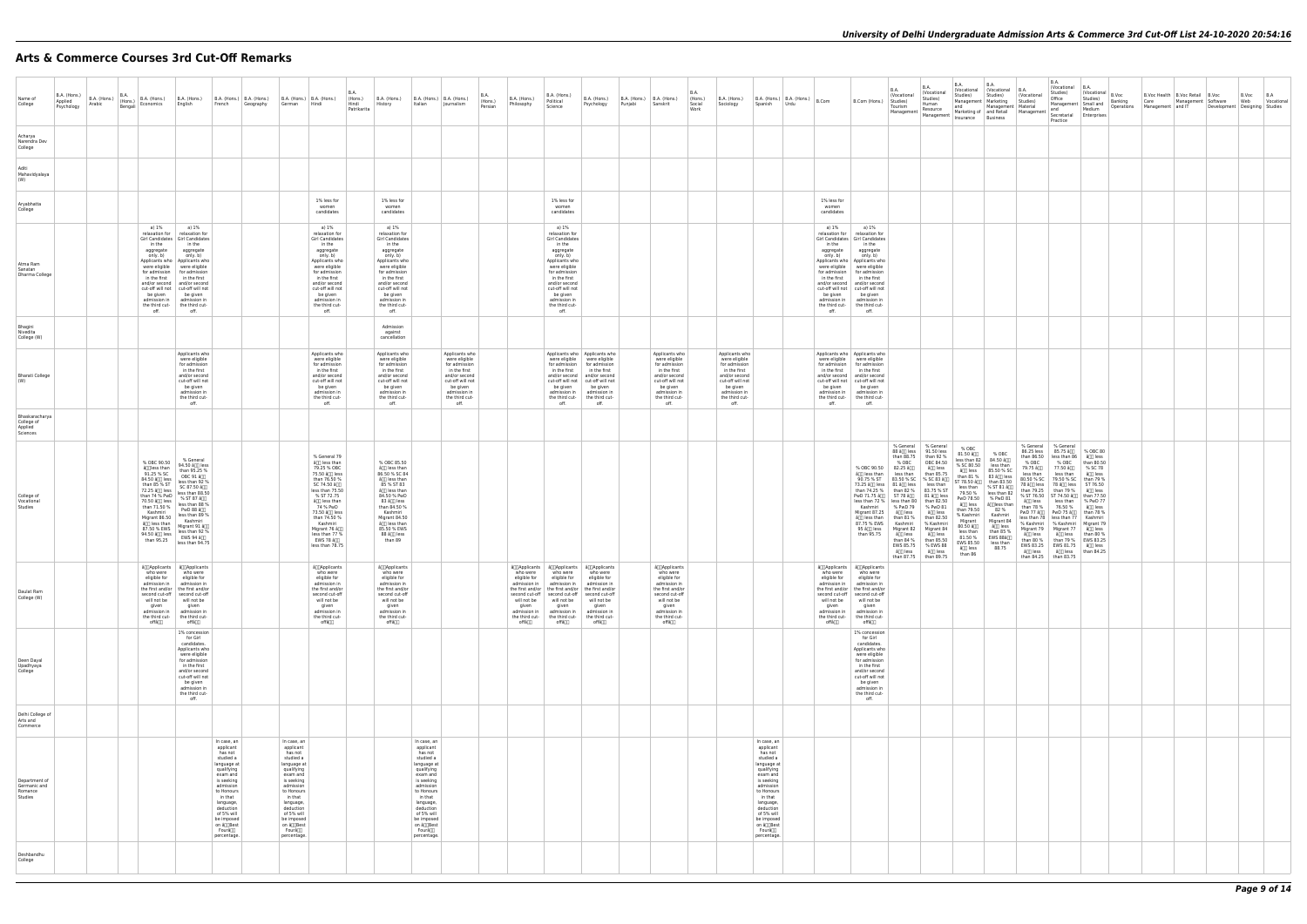# **Arts & Commerce Courses 3rd Cut-Off Remarks**

| Name of<br>College                                  | B.A. (Hons.)<br>Applied<br>Psychology | B.A. (Hons.) B.A. (Hons.) B.A. (Hons.) B.A. (Hons.) B.A. (Hons.) B.A. (Hons.) B.A. (Hons.) Arabic (Hons.) Bengali Economics English French Geography German Hindi |                                                                                                                                                                                                                                                                                                                                                                                                                                                                                                                                                                                                                                                                                                                                                                          |                                                                                                                                                                                                                                                         |                                                                                                                                                                                                                                            |                                                                                                                                                                                                                                                                                                                                    | <b>B.A.</b><br>(Hons.)<br>Hindi<br>Patrikarita | B.A. (Hons.) B.A. (Hons.) B.A. (Hons.)<br>History                                                                                                                                                                                                      | Italian                                                                                                                                                                                                                                                 | Journalism                                                                                                                                                  | <b>B.A.</b><br>(Hons.)<br>Persian | B.A. (Hons.)<br>Philosophy                                                                                                                                                                                                                                                                                         | B.A. (Hons.)<br>Political<br>Science                                                                                                                                                                                                         | Psychology                                                                                                                                                                                                                  | B.A. (Hons.) B.A. (Hons.) B.A. (Hons.)<br>Punjabi<br>Sanskrit                                                                                                     | B.A.<br>(Hons.)<br>Social<br>Work | Sociology                                                                                                                                                   | Spanish                                                                                                                                                                                                                                                 | Urdu |                                                                                                   | B.Com (Hons.) Studies)                                                                                                                                                                                                                                                                                                                                                | <b>B.A.</b><br>(Vocational<br>Tourism<br>Management   Mesource                                                                                                                                                                                                                                                                                                                                                                                                                                                                                                                                                                                            | <b>B.A.</b><br>(Vocational<br>Studies)<br>Human                                                                   | <b>B.A.</b><br>Studies)<br>Insurance Business                                                                                                                                                                                                                  | <b>B.A.</b><br>(Vocational (Vocational B.A.<br>Studies)<br>Management Marketing Studies)<br>and Management Material and Marketing of Marketing of and Retail Management Secretarial Enterprises | (Vocational                                                                        | <b>B.A.</b><br>Vocational B.A.<br>Studies) $\left \begin{array}{cc} \text{(vocational)} \\ \text{Studies} \end{array}\right $ $\left \begin{array}{cc} \text{(vocational)} \\ \text{c} \end{array}\right $ B.Voc<br>Office Studies)<br>Practice                                                                                                                                                                                                                                                                                                                                                                                                           |                        | B.Voc Health   B.Voc Retail   B.Voc<br>Management Small and DallKing<br>Management and T<br>Operations Management and IT |  | B.Voc B.A<br>Banking Care Management Software Web Vocational<br>Development Designing Studies |
|-----------------------------------------------------|---------------------------------------|-------------------------------------------------------------------------------------------------------------------------------------------------------------------|--------------------------------------------------------------------------------------------------------------------------------------------------------------------------------------------------------------------------------------------------------------------------------------------------------------------------------------------------------------------------------------------------------------------------------------------------------------------------------------------------------------------------------------------------------------------------------------------------------------------------------------------------------------------------------------------------------------------------------------------------------------------------|---------------------------------------------------------------------------------------------------------------------------------------------------------------------------------------------------------------------------------------------------------|--------------------------------------------------------------------------------------------------------------------------------------------------------------------------------------------------------------------------------------------|------------------------------------------------------------------------------------------------------------------------------------------------------------------------------------------------------------------------------------------------------------------------------------------------------------------------------------|------------------------------------------------|--------------------------------------------------------------------------------------------------------------------------------------------------------------------------------------------------------------------------------------------------------|---------------------------------------------------------------------------------------------------------------------------------------------------------------------------------------------------------------------------------------------------------|-------------------------------------------------------------------------------------------------------------------------------------------------------------|-----------------------------------|--------------------------------------------------------------------------------------------------------------------------------------------------------------------------------------------------------------------------------------------------------------------------------------------------------------------|----------------------------------------------------------------------------------------------------------------------------------------------------------------------------------------------------------------------------------------------|-----------------------------------------------------------------------------------------------------------------------------------------------------------------------------------------------------------------------------|-------------------------------------------------------------------------------------------------------------------------------------------------------------------|-----------------------------------|-------------------------------------------------------------------------------------------------------------------------------------------------------------|---------------------------------------------------------------------------------------------------------------------------------------------------------------------------------------------------------------------------------------------------------|------|---------------------------------------------------------------------------------------------------|-----------------------------------------------------------------------------------------------------------------------------------------------------------------------------------------------------------------------------------------------------------------------------------------------------------------------------------------------------------------------|-----------------------------------------------------------------------------------------------------------------------------------------------------------------------------------------------------------------------------------------------------------------------------------------------------------------------------------------------------------------------------------------------------------------------------------------------------------------------------------------------------------------------------------------------------------------------------------------------------------------------------------------------------------|-------------------------------------------------------------------------------------------------------------------|----------------------------------------------------------------------------------------------------------------------------------------------------------------------------------------------------------------------------------------------------------------|-------------------------------------------------------------------------------------------------------------------------------------------------------------------------------------------------|------------------------------------------------------------------------------------|-----------------------------------------------------------------------------------------------------------------------------------------------------------------------------------------------------------------------------------------------------------------------------------------------------------------------------------------------------------------------------------------------------------------------------------------------------------------------------------------------------------------------------------------------------------------------------------------------------------------------------------------------------------|------------------------|--------------------------------------------------------------------------------------------------------------------------|--|-----------------------------------------------------------------------------------------------|
| Acharya<br>Narendra Dev<br>College                  |                                       |                                                                                                                                                                   |                                                                                                                                                                                                                                                                                                                                                                                                                                                                                                                                                                                                                                                                                                                                                                          |                                                                                                                                                                                                                                                         |                                                                                                                                                                                                                                            |                                                                                                                                                                                                                                                                                                                                    |                                                |                                                                                                                                                                                                                                                        |                                                                                                                                                                                                                                                         |                                                                                                                                                             |                                   |                                                                                                                                                                                                                                                                                                                    |                                                                                                                                                                                                                                              |                                                                                                                                                                                                                             |                                                                                                                                                                   |                                   |                                                                                                                                                             |                                                                                                                                                                                                                                                         |      |                                                                                                   |                                                                                                                                                                                                                                                                                                                                                                       |                                                                                                                                                                                                                                                                                                                                                                                                                                                                                                                                                                                                                                                           |                                                                                                                   |                                                                                                                                                                                                                                                                |                                                                                                                                                                                                 |                                                                                    |                                                                                                                                                                                                                                                                                                                                                                                                                                                                                                                                                                                                                                                           |                        |                                                                                                                          |  |                                                                                               |
| Aditi<br>Mahavidyalaya<br>(W)                       |                                       |                                                                                                                                                                   |                                                                                                                                                                                                                                                                                                                                                                                                                                                                                                                                                                                                                                                                                                                                                                          |                                                                                                                                                                                                                                                         |                                                                                                                                                                                                                                            |                                                                                                                                                                                                                                                                                                                                    |                                                |                                                                                                                                                                                                                                                        |                                                                                                                                                                                                                                                         |                                                                                                                                                             |                                   |                                                                                                                                                                                                                                                                                                                    |                                                                                                                                                                                                                                              |                                                                                                                                                                                                                             |                                                                                                                                                                   |                                   |                                                                                                                                                             |                                                                                                                                                                                                                                                         |      |                                                                                                   |                                                                                                                                                                                                                                                                                                                                                                       |                                                                                                                                                                                                                                                                                                                                                                                                                                                                                                                                                                                                                                                           |                                                                                                                   |                                                                                                                                                                                                                                                                |                                                                                                                                                                                                 |                                                                                    |                                                                                                                                                                                                                                                                                                                                                                                                                                                                                                                                                                                                                                                           |                        |                                                                                                                          |  |                                                                                               |
| Aryabhatta<br>College                               |                                       |                                                                                                                                                                   |                                                                                                                                                                                                                                                                                                                                                                                                                                                                                                                                                                                                                                                                                                                                                                          |                                                                                                                                                                                                                                                         |                                                                                                                                                                                                                                            | 1% less for<br>women<br>candidates                                                                                                                                                                                                                                                                                                 |                                                | 1% less for<br>women<br>candidates                                                                                                                                                                                                                     |                                                                                                                                                                                                                                                         |                                                                                                                                                             |                                   |                                                                                                                                                                                                                                                                                                                    | 1% less for<br>women<br>candidates                                                                                                                                                                                                           |                                                                                                                                                                                                                             |                                                                                                                                                                   |                                   |                                                                                                                                                             |                                                                                                                                                                                                                                                         |      | 1% less for<br>women<br>candidates                                                                |                                                                                                                                                                                                                                                                                                                                                                       |                                                                                                                                                                                                                                                                                                                                                                                                                                                                                                                                                                                                                                                           |                                                                                                                   |                                                                                                                                                                                                                                                                |                                                                                                                                                                                                 |                                                                                    |                                                                                                                                                                                                                                                                                                                                                                                                                                                                                                                                                                                                                                                           |                        |                                                                                                                          |  |                                                                                               |
| Atma Ram<br>Sanatan<br>Dharma College               |                                       | a) 1%<br>in the<br>aggregate<br>only. b)<br>were eligible<br>in the first<br>and/or second<br>be given<br>admission in<br>off.                                    | a) 1%<br>relaxation for   relaxation for<br>Girl Candidates   Girl Candidates<br>in the<br>aggregate<br>only. b)<br>Applicants who   Applicants who<br>were eligible<br>for admission   for admission<br>in the first<br>and/or second<br>cut-off will not cut-off will not<br>be given<br>admission in<br>the third cut- the third cut-<br>off.                                                                                                                                                                                                                                                                                                                                                                                                                         |                                                                                                                                                                                                                                                         |                                                                                                                                                                                                                                            | a) 1%<br>relaxation for<br>Girl Candidates<br>in the<br>aggregate<br>only. b)<br>Applicants who<br>were eligible<br>for admission<br>in the first<br>and/or second<br>cut-off will not<br>be given<br>admission in<br>the third cut-<br>off.                                                                                       |                                                | a) 1%<br>relaxation for<br>Girl Candidates<br>in the<br>aggregate<br>only. b)<br>Applicants who<br>were eligible<br>for admission<br>in the first<br>and/or second<br>cut-off will not<br>be given<br>admission in<br>the third cut-<br>off.           |                                                                                                                                                                                                                                                         |                                                                                                                                                             |                                   |                                                                                                                                                                                                                                                                                                                    | a) 1%<br>relaxation for<br>Girl Candidates<br>in the<br>aggregate<br>only. b)<br>Applicants who<br>were eligible<br>for admission<br>in the first<br>and/or second<br>cut-off will not<br>be given<br>admission in<br>the third cut-<br>off. |                                                                                                                                                                                                                             |                                                                                                                                                                   |                                   |                                                                                                                                                             |                                                                                                                                                                                                                                                         |      | a) 1%<br>Girl Candidates   Girl Candidates<br>in the<br>aggregate<br>only. b)<br>be given<br>off. | a) 1%<br>relaxation for   relaxation for<br>in the<br>aggregate<br>only. b)<br>Applicants who   Applicants who<br>were eligible   were eligible<br>for admission   for admission<br>in the first in the first<br>and/or second and/or second<br>cut-off will not   cut-off will not<br>be given<br>admission in admission in<br>the third cut- the third cut-<br>off. |                                                                                                                                                                                                                                                                                                                                                                                                                                                                                                                                                                                                                                                           |                                                                                                                   |                                                                                                                                                                                                                                                                |                                                                                                                                                                                                 |                                                                                    |                                                                                                                                                                                                                                                                                                                                                                                                                                                                                                                                                                                                                                                           |                        |                                                                                                                          |  |                                                                                               |
| Bhagini<br>Nivedita<br>College (W)                  |                                       |                                                                                                                                                                   |                                                                                                                                                                                                                                                                                                                                                                                                                                                                                                                                                                                                                                                                                                                                                                          |                                                                                                                                                                                                                                                         |                                                                                                                                                                                                                                            |                                                                                                                                                                                                                                                                                                                                    |                                                | Admission<br>against<br>cancellation                                                                                                                                                                                                                   |                                                                                                                                                                                                                                                         |                                                                                                                                                             |                                   |                                                                                                                                                                                                                                                                                                                    |                                                                                                                                                                                                                                              |                                                                                                                                                                                                                             |                                                                                                                                                                   |                                   |                                                                                                                                                             |                                                                                                                                                                                                                                                         |      |                                                                                                   |                                                                                                                                                                                                                                                                                                                                                                       |                                                                                                                                                                                                                                                                                                                                                                                                                                                                                                                                                                                                                                                           |                                                                                                                   |                                                                                                                                                                                                                                                                |                                                                                                                                                                                                 |                                                                                    |                                                                                                                                                                                                                                                                                                                                                                                                                                                                                                                                                                                                                                                           |                        |                                                                                                                          |  |                                                                                               |
| <b>Bharati College</b><br>(W)                       |                                       |                                                                                                                                                                   | Applicants who<br>were eligible<br>for admission<br>in the first<br>and/or second<br>cut-off will not<br>be given<br>admission in<br>the third cut-<br>off.                                                                                                                                                                                                                                                                                                                                                                                                                                                                                                                                                                                                              |                                                                                                                                                                                                                                                         |                                                                                                                                                                                                                                            | Applicants who<br>were eligible<br>for admission<br>in the first<br>and/or second<br>cut-off will not<br>be given<br>admission in<br>the third cut-<br>off.                                                                                                                                                                        |                                                | Applicants who<br>were eligible<br>for admission<br>in the first<br>and/or second<br>cut-off will not<br>be given<br>admission in<br>the third cut-<br>off.                                                                                            |                                                                                                                                                                                                                                                         | Applicants who<br>were eligible<br>for admission<br>in the first<br>and/or second<br>cut-off will not<br>be given<br>admission in<br>the third cut-<br>off. |                                   |                                                                                                                                                                                                                                                                                                                    | for admission for admission<br>and/or second<br>be given<br>admission in<br>off.                                                                                                                                                             | Applicants who   Applicants who  <br>were eligible were eligible<br>in the first in the first<br>and/or second<br>cut-off will not cut-off will not<br>be given<br>admission in<br>the third cut-<br>the third cut-<br>off. | Applicants who<br>were eligible<br>for admission<br>in the first<br>and/or second<br>cut-off will not<br>be given<br>admission in<br>the third cut-<br>off.       |                                   | Applicants who<br>were eligible<br>for admission<br>in the first<br>and/or second<br>cut-off will not<br>be given<br>admission in<br>the third cut-<br>off. |                                                                                                                                                                                                                                                         |      | be given<br>off.                                                                                  | Applicants who   Applicants who<br>were eligible were eligible<br>for admission for admission<br>in the first in the first<br>and/or second and/or second<br>cut-off will not cut-off will not<br>be given<br>admission in admission in<br>the third cut- the third cut-<br>off.                                                                                      |                                                                                                                                                                                                                                                                                                                                                                                                                                                                                                                                                                                                                                                           |                                                                                                                   |                                                                                                                                                                                                                                                                |                                                                                                                                                                                                 |                                                                                    |                                                                                                                                                                                                                                                                                                                                                                                                                                                                                                                                                                                                                                                           |                        |                                                                                                                          |  |                                                                                               |
| Bhaskaracharya<br>College of<br>Applied<br>Sciences |                                       |                                                                                                                                                                   |                                                                                                                                                                                                                                                                                                                                                                                                                                                                                                                                                                                                                                                                                                                                                                          |                                                                                                                                                                                                                                                         |                                                                                                                                                                                                                                            |                                                                                                                                                                                                                                                                                                                                    |                                                |                                                                                                                                                                                                                                                        |                                                                                                                                                                                                                                                         |                                                                                                                                                             |                                   |                                                                                                                                                                                                                                                                                                                    |                                                                                                                                                                                                                                              |                                                                                                                                                                                                                             |                                                                                                                                                                   |                                   |                                                                                                                                                             |                                                                                                                                                                                                                                                         |      |                                                                                                   |                                                                                                                                                                                                                                                                                                                                                                       |                                                                                                                                                                                                                                                                                                                                                                                                                                                                                                                                                                                                                                                           |                                                                                                                   |                                                                                                                                                                                                                                                                |                                                                                                                                                                                                 |                                                                                    |                                                                                                                                                                                                                                                                                                                                                                                                                                                                                                                                                                                                                                                           |                        |                                                                                                                          |  |                                                                                               |
| College of<br>Vocational<br>Studies                 |                                       | % OBC 90.50<br>â∏less than<br>91.25 % SC<br>84.50 â∏ less<br>than 85 % ST<br>72.25 â[j] less<br>Kashmiri<br>Migrant 86.50<br>â∏ less than                         | % General<br>94.50 â  less<br>than 95.25 %<br>OBC 91 âNN<br>less than 92 %<br>SC 87.50 â<br>than 74 % PwD $\left  \begin{array}{c} \cos 5x \\ \cos x \\ \cos 5x \end{array} \right $<br>% ST 87 â<br>70.50 $\frac{a}{2}$ less   less than 88 %<br>than 71.50 %   $\left  \begin{array}{c} \text{RMS} \\ \text{FWD} \\ \text{88} \\ \text{d} \end{array} \right $<br>less than 89 %<br>Kashmiri<br>Migrant 91 â∏<br>$\left  \begin{array}{cc} 94.50 & \text{a} & \text{b} & \text{c} & \text{c} & \text{d} \\ 94.50 & \text{a} & \text{e} & \text{d} & \text{c} & \text{e} \\ \text{the} & \text{c} & \text{d} & \text{c} & \text{e} & \text{e} \end{array} \right $<br>than 95.25 $\left  \begin{array}{c} 25.36 & 24.36 \\ \text{less than } 94.75 \end{array} \right $ |                                                                                                                                                                                                                                                         |                                                                                                                                                                                                                                            | % General 79<br>â∏ less than<br>79.25 % OBC<br>75.50 â <sub>□</sub> less<br>than 76.50 %<br>SC 74.50 âN<br>less than 75.50<br>% ST 72.75<br>â <sub>□</sub> less than<br>74 % PwD<br>73.50 â <sub>11</sub> less<br>than 74.50 %<br>Kashmiri<br>Migrant 76 â <sup>[]</sup><br>less than 77 %<br>EWS 78 â <b>∐</b><br>less than 78.75 |                                                | % OBC 85.50<br>â∏ less than<br>86.50 % SC 84<br>â <sub>□</sub> less than<br>85 % ST 83<br>â <sub>□</sub> less than<br>84.50 % PwD<br>83 â∏∏ less<br>than 84.50 %<br>Kashmiri<br>Migrant 84.50<br>â∏ less than<br>85.50 % EWS<br>88 â∏] less<br>than 89 |                                                                                                                                                                                                                                                         |                                                                                                                                                             |                                   |                                                                                                                                                                                                                                                                                                                    |                                                                                                                                                                                                                                              |                                                                                                                                                                                                                             |                                                                                                                                                                   |                                   |                                                                                                                                                             |                                                                                                                                                                                                                                                         |      |                                                                                                   | â∏ less than<br>Kashmiri<br>87.75 % EWS<br>95 â∏∏ less<br>than 95.75                                                                                                                                                                                                                                                                                                  | % General   % General<br>88 â <sup>(1)</sup> less 91.50 less<br>than 88.75   than 92 %<br>% OBC<br>% OBC 90.50 82.25 â <sub>00</sub> and ses<br>less than<br>90.75 % ST 83.50 % SC % SC 83 $\frac{3}{10}$ ST 78.50 $\frac{3}{10}$ than 83.50<br>73.25 â <sub>l</sub> less 81 â <sub>l</sub> less less than<br>than 74.25 %   than 82 %<br>PwD 71.75 â [ ]   ST 78 â [ ]   81 â [ ]   less<br>less than 72 %   less than 80   than 82.50<br>% PwD 79<br>Migrant 87.25   âng less<br>$\hat{a}$   less than   than 81 %   than 82.50<br>Kashmiri<br>Migrant 82 Migrant 84<br>â∏∏ less<br>than 84 %<br>EWS 85.75 % EWS 88<br>â∭ less<br>than 87.75 than 89.75 | OBC 84.50<br>than 85.75<br>83.75 % ST<br>% PwD 81<br>â∏∏ less<br>% Kashmiri<br>â∏∏ less<br>than 85.50<br>â∏∏ less | % OBC<br>81.50 â∏∏<br>less than 82 $\begin{array}{ c c } 84.50 & \text{a} \end{array}$<br>% SC 80.50<br>â∏∏ less<br>PwD 78.50 % PwD 81<br>than 79.50<br>% Kashmiri<br>Migrant<br>80.50 â∏∏  <br>less than<br>EWS 85.50 less than<br>â∏ less   88.75<br>than 86 | % OBC<br>less than<br>85.50 % SC<br>less than % ST 81 â<br>79.50 %   less than 82<br>â∏ less a∏less than<br>82 %<br>Kashmiri<br>Migrant 84<br>â∏∏ less<br>than 85 %<br>81.50 % EWS 88â00        | 86.25 less<br>% OBC<br>less than<br>â∏∏ less<br>than 78 %<br>â∏∏ less<br>than 80 % | % General   % General<br>85.75 â   % OBC 80<br>than 86.50   less than 86   $\hat{a}$   less<br>% OBC   than 80.50<br>less than<br>80.50 % SC 79.50 % SC than 79 %<br>78 â <sub>l</sub> less 78 â <sup>n</sup> less 5T 76.50<br>than 79.25   than 79 %   â∏ less<br>% ST 76.50 ST 74.50 â <sup>1</sup> than 77.50<br>less than   % PwD 77<br>76.50 %   â∏ less<br>PwD 77 â[] PwD 75 â[]   than 78 %<br>less than 78   less than 77   Kashmiri<br>% Kashmiri   % Kashmiri<br>Migrant 79   Migrant 77   â[] less<br>â∏ less   than 80 %<br>than 79 % EWS 83.25<br>EWS 83.25   EWS 81.75   ângless<br>â⊡ less   â⊡ less   than 84.25<br>than 84.25 than 83.75 | â∏∏ less<br>Migrant 79 |                                                                                                                          |  |                                                                                               |
| Daulat Ram<br>College (W)                           |                                       | who were<br>eligible for<br>admission in<br>will not be<br>given<br>offâ∏                                                                                         | â <sub>□</sub> DApplicants   â <sub>□</sub> DApplicants<br>who were<br>eligible for<br>admission in<br>the first and/or the first and/or<br>second cut-off second cut-off<br>will not be<br>given<br>admission in admission in<br>the third cut- the third cut-<br>offâ⊡⊟                                                                                                                                                                                                                                                                                                                                                                                                                                                                                                |                                                                                                                                                                                                                                                         |                                                                                                                                                                                                                                            | â∏∆Applicants<br>who were<br>eligible for<br>admission in<br>the first and/or<br>second cut-off<br>will not be<br>given<br>admission in<br>the third cut-<br>offâ⊡                                                                                                                                                                 |                                                | â <sub>□</sub> Applicants<br>who were<br>eligible for<br>admission in<br>the first and/or<br>second cut-off<br>will not be<br>given<br>admission in<br>the third cut-<br>offâ⊡⊟                                                                        |                                                                                                                                                                                                                                                         |                                                                                                                                                             |                                   | a∏Applicants an announces and an<br>who were<br>eligible for<br>admission in admission in<br>the first and/or   the first and/or   the first and/or<br>second cut-off second cut-off second cut-off<br>will not be<br>given<br>admission in admission in<br>the third cut- the third cut- the third cut-<br>offâ∏∏ | who were<br>eligible for<br>will not be<br>given<br>offâ⊡⊡                                                                                                                                                                                   | who were<br>eligible for<br>admission in<br>will not be<br>given<br>admission in<br>offâ⊡⊟                                                                                                                                  | â∏Applicants<br>who were<br>eligible for<br>admission in<br>the first and/or<br>second cut-off<br>will not be<br>given<br>admission in<br>the third cut-<br>offâ⊡ |                                   |                                                                                                                                                             |                                                                                                                                                                                                                                                         |      | who were<br>eligible for<br>the first and/or the first and/or<br>will not be<br>given<br>offâ∏∏   | â∏ Applicants   â ∏ Applicants<br>who were<br>eligible for<br>admission in admission in<br>second cut-off second cut-off<br>will not be<br>given<br>admission in admission in<br>the third cut- the third cut-<br>offâ∏                                                                                                                                               |                                                                                                                                                                                                                                                                                                                                                                                                                                                                                                                                                                                                                                                           |                                                                                                                   |                                                                                                                                                                                                                                                                |                                                                                                                                                                                                 |                                                                                    |                                                                                                                                                                                                                                                                                                                                                                                                                                                                                                                                                                                                                                                           |                        |                                                                                                                          |  |                                                                                               |
| Deen Dayal<br>Upadhvava<br>College                  |                                       |                                                                                                                                                                   | 1% concession<br>for Girl<br>candidates.<br>Applicants who<br>were eligible<br>for admission<br>in the first<br>and/or second<br>cut-off will not<br>be given<br>admission in<br>the third cut-<br>off.                                                                                                                                                                                                                                                                                                                                                                                                                                                                                                                                                                  |                                                                                                                                                                                                                                                         |                                                                                                                                                                                                                                            |                                                                                                                                                                                                                                                                                                                                    |                                                |                                                                                                                                                                                                                                                        |                                                                                                                                                                                                                                                         |                                                                                                                                                             |                                   |                                                                                                                                                                                                                                                                                                                    |                                                                                                                                                                                                                                              |                                                                                                                                                                                                                             |                                                                                                                                                                   |                                   |                                                                                                                                                             |                                                                                                                                                                                                                                                         |      |                                                                                                   | 1% concession<br>for Girl<br>candidates.<br>Applicants who<br>were eligible<br>for admission<br>in the first<br>and/or second<br>cut-off will not<br>be given<br>admission in<br>the third cut-<br>off.                                                                                                                                                               |                                                                                                                                                                                                                                                                                                                                                                                                                                                                                                                                                                                                                                                           |                                                                                                                   |                                                                                                                                                                                                                                                                |                                                                                                                                                                                                 |                                                                                    |                                                                                                                                                                                                                                                                                                                                                                                                                                                                                                                                                                                                                                                           |                        |                                                                                                                          |  |                                                                                               |
| Delhi College of<br>Arts and<br>Commerce            |                                       |                                                                                                                                                                   |                                                                                                                                                                                                                                                                                                                                                                                                                                                                                                                                                                                                                                                                                                                                                                          |                                                                                                                                                                                                                                                         |                                                                                                                                                                                                                                            |                                                                                                                                                                                                                                                                                                                                    |                                                |                                                                                                                                                                                                                                                        |                                                                                                                                                                                                                                                         |                                                                                                                                                             |                                   |                                                                                                                                                                                                                                                                                                                    |                                                                                                                                                                                                                                              |                                                                                                                                                                                                                             |                                                                                                                                                                   |                                   |                                                                                                                                                             |                                                                                                                                                                                                                                                         |      |                                                                                                   |                                                                                                                                                                                                                                                                                                                                                                       |                                                                                                                                                                                                                                                                                                                                                                                                                                                                                                                                                                                                                                                           |                                                                                                                   |                                                                                                                                                                                                                                                                |                                                                                                                                                                                                 |                                                                                    |                                                                                                                                                                                                                                                                                                                                                                                                                                                                                                                                                                                                                                                           |                        |                                                                                                                          |  |                                                                                               |
| Department of<br>Germanic and<br>Romance<br>Studies |                                       |                                                                                                                                                                   |                                                                                                                                                                                                                                                                                                                                                                                                                                                                                                                                                                                                                                                                                                                                                                          | In case, an<br>applicant<br>has not<br>studied a<br>language at<br>aualifving<br>exam and<br>is seeking<br>admission<br>to Honours<br>in that<br>language,<br>deduction<br>of 5% will<br>be imposed<br>on â <sub>□</sub> Best<br>Fourâ∏∏<br>percentage. | In case, an<br>applicant<br>has not<br>studied a<br>language at<br>qualifying<br>exam and<br>is seeking<br>admission<br>to Honours<br>in that<br>language,<br>deduction<br>of 5% will<br>be imposed<br>on â∏Best<br>Fourâ∏∏<br>percentage. |                                                                                                                                                                                                                                                                                                                                    |                                                |                                                                                                                                                                                                                                                        | In case, an<br>applicant<br>has not<br>studied a<br>language at<br>qualifying<br>exam and<br>is seeking<br>admission<br>to Honours<br>in that<br>language,<br>deduction<br>of 5% will<br>be imposed<br>on â <sub>□</sub> Best<br>Fourâ∏∏<br>percentage. |                                                                                                                                                             |                                   |                                                                                                                                                                                                                                                                                                                    |                                                                                                                                                                                                                                              |                                                                                                                                                                                                                             |                                                                                                                                                                   |                                   |                                                                                                                                                             | In case, an<br>applicant<br>has not<br>studied a<br>language at<br>qualifying<br>exam and<br>is seeking<br>admission<br>to Honours<br>in that<br>language,<br>deduction<br>of 5% will<br>be imposed<br>on â <sub>□</sub> Best<br>Fourâ∏∏<br>percentage. |      |                                                                                                   |                                                                                                                                                                                                                                                                                                                                                                       |                                                                                                                                                                                                                                                                                                                                                                                                                                                                                                                                                                                                                                                           |                                                                                                                   |                                                                                                                                                                                                                                                                |                                                                                                                                                                                                 |                                                                                    |                                                                                                                                                                                                                                                                                                                                                                                                                                                                                                                                                                                                                                                           |                        |                                                                                                                          |  |                                                                                               |
| Deshbandhu<br>College                               |                                       |                                                                                                                                                                   |                                                                                                                                                                                                                                                                                                                                                                                                                                                                                                                                                                                                                                                                                                                                                                          |                                                                                                                                                                                                                                                         |                                                                                                                                                                                                                                            |                                                                                                                                                                                                                                                                                                                                    |                                                |                                                                                                                                                                                                                                                        |                                                                                                                                                                                                                                                         |                                                                                                                                                             |                                   |                                                                                                                                                                                                                                                                                                                    |                                                                                                                                                                                                                                              |                                                                                                                                                                                                                             |                                                                                                                                                                   |                                   |                                                                                                                                                             |                                                                                                                                                                                                                                                         |      |                                                                                                   |                                                                                                                                                                                                                                                                                                                                                                       |                                                                                                                                                                                                                                                                                                                                                                                                                                                                                                                                                                                                                                                           |                                                                                                                   |                                                                                                                                                                                                                                                                |                                                                                                                                                                                                 |                                                                                    |                                                                                                                                                                                                                                                                                                                                                                                                                                                                                                                                                                                                                                                           |                        |                                                                                                                          |  |                                                                                               |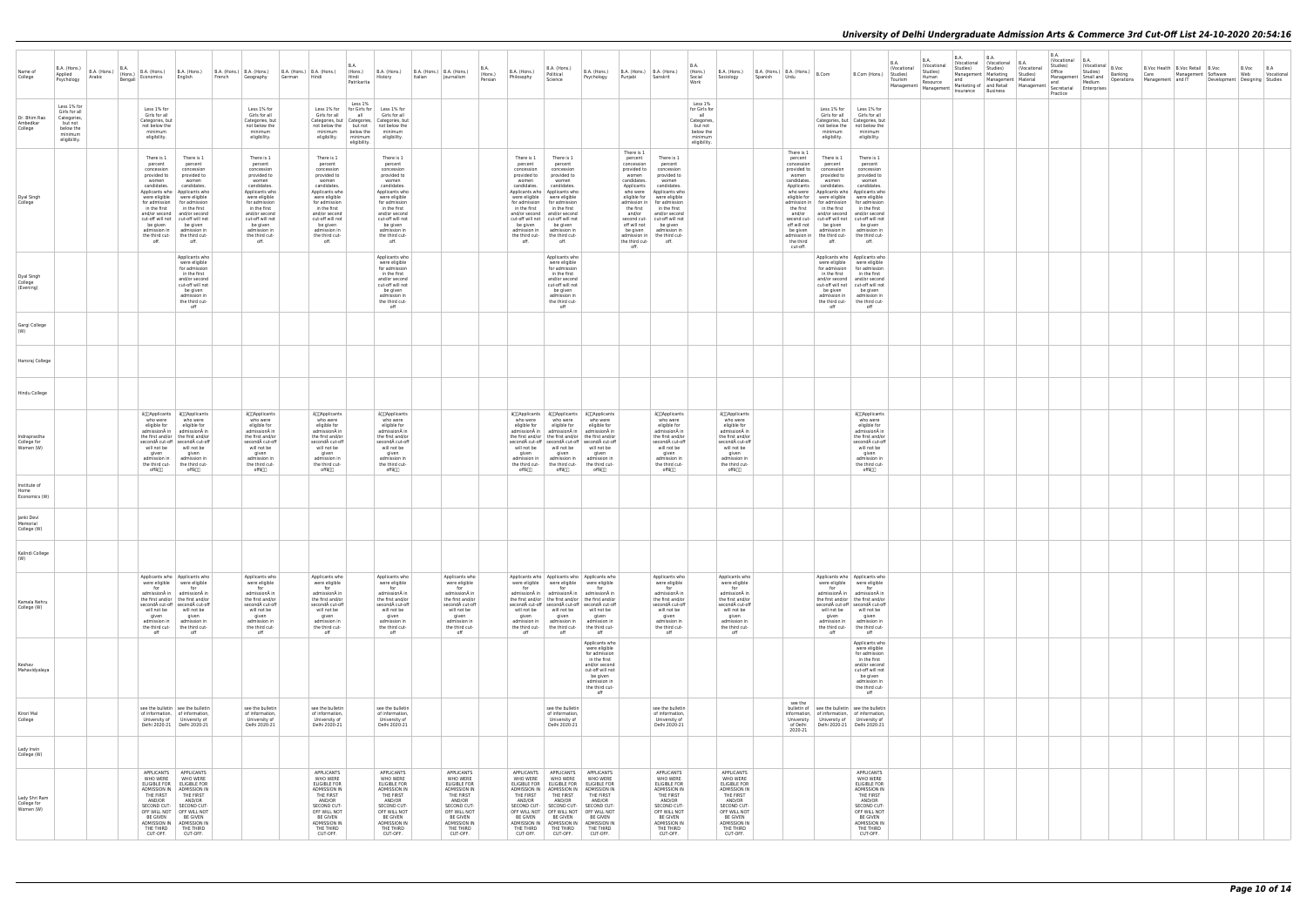|                                           | B.A. (Hons.)                                                                                   |                                                |                                                                                                                                                                                      |                                                                                                                                                                                                                                                                                                |                                                                                                                                                                                                                                           |                                                                                                                                                                                                                                           | <b>B.A.</b>                                                                                                               |                                                                                                                                                                                                                                           |         |                                                                                                                                                                                 | B.A.               |                                                                                                                                                  | B.A. (Hons.)                                                                                                                                                                                                                                                                                                              |                                                                                                                                                                                                                                                                                                                                                      |                                                                                                                                                                                                                                                                                                                                                                                                                                                                           | <b>B.A.</b>                                                                                       |                                                                                                                                                                                 |              |                                                                                                                                                                                                      |                                                                                                                                                                                                                                                                 |                                                                                                                                                                                                                                                                                            | B.A.<br>(Vocational                            | <b>B.A.</b><br>(Vocational    | <b>B.A.</b><br><b>B.A.</b><br>(Vocational (Vocational B.A.<br>Studies)<br>Studies)                               | Vocational | <b>B.A.</b><br>(Vocational B.A.<br>Studies) | (Vocational B.Voc                             |         | B.Voc Health   B.Voc Retail   B.Voc | B.Voc B.A                                                                                                      |
|-------------------------------------------|------------------------------------------------------------------------------------------------|------------------------------------------------|--------------------------------------------------------------------------------------------------------------------------------------------------------------------------------------|------------------------------------------------------------------------------------------------------------------------------------------------------------------------------------------------------------------------------------------------------------------------------------------------|-------------------------------------------------------------------------------------------------------------------------------------------------------------------------------------------------------------------------------------------|-------------------------------------------------------------------------------------------------------------------------------------------------------------------------------------------------------------------------------------------|---------------------------------------------------------------------------------------------------------------------------|-------------------------------------------------------------------------------------------------------------------------------------------------------------------------------------------------------------------------------------------|---------|---------------------------------------------------------------------------------------------------------------------------------------------------------------------------------|--------------------|--------------------------------------------------------------------------------------------------------------------------------------------------|---------------------------------------------------------------------------------------------------------------------------------------------------------------------------------------------------------------------------------------------------------------------------------------------------------------------------|------------------------------------------------------------------------------------------------------------------------------------------------------------------------------------------------------------------------------------------------------------------------------------------------------------------------------------------------------|---------------------------------------------------------------------------------------------------------------------------------------------------------------------------------------------------------------------------------------------------------------------------------------------------------------------------------------------------------------------------------------------------------------------------------------------------------------------------|---------------------------------------------------------------------------------------------------|---------------------------------------------------------------------------------------------------------------------------------------------------------------------------------|--------------|------------------------------------------------------------------------------------------------------------------------------------------------------------------------------------------------------|-----------------------------------------------------------------------------------------------------------------------------------------------------------------------------------------------------------------------------------------------------------------|--------------------------------------------------------------------------------------------------------------------------------------------------------------------------------------------------------------------------------------------------------------------------------------------|------------------------------------------------|-------------------------------|------------------------------------------------------------------------------------------------------------------|------------|---------------------------------------------|-----------------------------------------------|---------|-------------------------------------|----------------------------------------------------------------------------------------------------------------|
| Name of<br>College                        | Applied<br>Psychology                                                                          | $\Big $ B.A. (Hons.) $\Big $ (Hons.)<br>Arabic | $ $ Bengali Economics                                                                                                                                                                | B.A. (Hons.)   B.A. (Hons.)   B.A. (Hons.)   B.A. (Hons.)   B.A. (Hons.)   B.A. (Hons.)   B.A. (Hons.)<br>English                                                                                                                                                                              | French Geography German Hindi                                                                                                                                                                                                             |                                                                                                                                                                                                                                           | (Hons.)<br>Hindi<br>Patrikarita                                                                                           | B.A. (Hons.)<br>History                                                                                                                                                                                                                   | Italian | B.A. (Hons.)   B.A. (Hons.)<br>Journalism                                                                                                                                       | (Hons.)<br>Persian | B.A. (Hons.)<br>Philosophy                                                                                                                       | Political<br>Science                                                                                                                                                                                                                                                                                                      | Psychology                                                                                                                                                                                                                                                                                                                                           | B.A. (Hons.) B.A. (Hons.) B.A. (Hons.)<br>Punjabi<br>Sanskrit                                                                                                                                                                                                                                                                                                                                                                                                             | (Hons.)<br>Social<br>Work                                                                         | B.A. (Hons.) B.A. (Hons.) B.A. (Hons.) B.Com<br>Sociology                                                                                                                       | Spanish Urdu |                                                                                                                                                                                                      |                                                                                                                                                                                                                                                                 | B.Com (Hons.)                                                                                                                                                                                                                                                                              | Studies)<br>Tourism<br>Management   Management | Studies)<br>Human<br>Resource | Management   Marketing<br>Management Material<br>and<br>Marketing of and Retail Management<br>Insurance Business | Studies)   | Office<br>and<br>Practice                   | Studies)<br>Medium<br>Secretarial Enterprises | Banking | Care Management Software            | Web<br>Vocational<br>Management Small and Decrations   Management   and IT   Development   Designing   Studies |
| Dr. Bhim Rao<br>Ambedkar<br>College       | Less 1% for<br>Girls for all<br>Categories.<br>but not<br>below the<br>minimum<br>eligibility. |                                                | Less 1% for<br>Girls for all<br>Categories, but<br>not below the<br>minimum<br>eligibility.                                                                                          |                                                                                                                                                                                                                                                                                                | Less 1% for<br>Girls for all<br>Categories, but<br>not below the<br>minimum<br>eligibility.                                                                                                                                               | Girls for all<br>minimum<br>eligibility.                                                                                                                                                                                                  | Less 1%<br>Less 1% for for Girls for Less 1% for<br>all<br>not below the but not not below the<br>minimum<br>eligibility. | Girls for all<br>Categories, but   Categories,   Categories, but<br>below the minimum<br>eligibility.                                                                                                                                     |         |                                                                                                                                                                                 |                    |                                                                                                                                                  |                                                                                                                                                                                                                                                                                                                           |                                                                                                                                                                                                                                                                                                                                                      |                                                                                                                                                                                                                                                                                                                                                                                                                                                                           | Less 1%<br>for Girls for<br>all<br>Categories,<br>but not<br>below the<br>minimum<br>eligibility. |                                                                                                                                                                                 |              |                                                                                                                                                                                                      | minimum<br>eligibility.                                                                                                                                                                                                                                         | Less 1% for Less 1% for<br>Girls for all Girls for all<br>Categories, but   Categories, but<br>not below the not below the<br>minimum<br>eligibility.                                                                                                                                      |                                                |                               |                                                                                                                  |            |                                             |                                               |         |                                     |                                                                                                                |
| Dyal Singh<br>College                     |                                                                                                |                                                | There is 1<br>percent<br>concession<br>provided to<br>women<br>candidates.<br>were eligible<br>for admission<br>in the first<br>cut-off will not<br>be given<br>admission in<br>off. | There is 1<br>percent<br>concession<br>provided to<br>women<br>candidates.<br>Applicants who   Applicants who<br>were eligible<br>for admission<br>in the first<br>and/or second and/or second<br>cut-off will not<br>be given<br>admission in<br>the third cut- the third cut-<br>off.        | There is 1<br>percent<br>concession<br>provided to<br>women<br>candidates.<br>Applicants who<br>were eligible<br>for admission<br>in the first<br>and/or second<br>cut-off will not<br>be given<br>admission in<br>the third cut-<br>off. | There is 1<br>percent<br>concession<br>provided to<br>women<br>candidates.<br>Applicants who<br>were eligible<br>for admission<br>in the first<br>and/or second<br>cut-off will not<br>be given<br>admission in<br>the third cut-<br>off. |                                                                                                                           | There is 1<br>percent<br>concession<br>provided to<br>women<br>candidates.<br>Applicants who<br>were eligible<br>for admission<br>in the first<br>and/or second<br>cut-off will not<br>be given<br>admission in<br>the third cut-<br>off. |         |                                                                                                                                                                                 |                    | There is 1<br>percent<br>concession<br>provided to<br>women<br>candidates.<br>were eligible<br>for admission<br>be given<br>admission in<br>off. | There is 1<br>percent<br>concession<br>provided to<br>women<br>candidates.<br>Applicants who   Applicants who<br>were eligible<br>for admission<br>in the first in the first<br>and/or second and/or second<br>cut-off will not   cut-off will not<br>be given<br>admission in<br>the third cut-   the third cut-<br>off. |                                                                                                                                                                                                                                                                                                                                                      | There is 1<br>There is 1<br>percent<br>concession<br>percent<br>provided to<br>concession<br>women<br>provided to<br>candidates.<br>women<br>Applicants<br>candidates.<br>Applicants who<br>who were<br>eligible for<br>were eligible<br>admission in   for admission<br>the first in the first<br>and/or and/or second<br>second cut- cut-off will not<br>off will not   be given<br>be given<br>admission in<br>admission in   the third cut-<br>the third cut-<br>off. |                                                                                                   |                                                                                                                                                                                 |              | There is 1<br>percent<br>concession<br>provided to<br>women<br>candidates.<br>Applicants<br>who were<br>eligible for<br>admission in<br>the first<br>and/or<br>off will not<br>be given<br>the third | There is 1<br>percent<br>concession<br>provided to<br>women<br>candidates.<br>were eligible<br>for admission<br>in the first<br>second cut- cut-off will not cut-off will not<br>be given<br>admission in<br>admission in the third cut- the third cut-<br>off. | There is 1<br>percent<br>concession<br>provided to<br>women<br>candidates.<br>Applicants who   Applicants who<br>were eligible<br>for admission<br>in the first<br>and/or second and/or second<br>be given<br>admission in<br>off.                                                         |                                                |                               |                                                                                                                  |            |                                             |                                               |         |                                     |                                                                                                                |
| Dyal Singh<br>College<br>(Evening)        |                                                                                                |                                                |                                                                                                                                                                                      | Applicants who<br>were eligible<br>for admission<br>in the first<br>and/or second<br>cut-off will not<br>be given<br>admission in<br>the third cut-<br>off                                                                                                                                     |                                                                                                                                                                                                                                           |                                                                                                                                                                                                                                           |                                                                                                                           | Applicants who<br>were eligible<br>for admission<br>in the first<br>and/or second<br>cut-off will not<br>be given<br>admission in<br>the third cut-<br>off                                                                                |         |                                                                                                                                                                                 |                    |                                                                                                                                                  | Applicants who<br>were eligible<br>for admission<br>in the first<br>and/or second<br>cut-off will not<br>be given<br>admission in<br>the third cut-<br>off                                                                                                                                                                |                                                                                                                                                                                                                                                                                                                                                      | off.                                                                                                                                                                                                                                                                                                                                                                                                                                                                      |                                                                                                   |                                                                                                                                                                                 |              | cut-off.                                                                                                                                                                                             | off                                                                                                                                                                                                                                                             | Applicants who   Applicants who<br>were eligible vere eligible<br>for admission   for admission<br>in the first in the first<br>and/or second and/or second<br>cut-off will not cut-off will not<br>be given be given<br>admission in admission in<br>the third cut- the third cut-<br>off |                                                |                               |                                                                                                                  |            |                                             |                                               |         |                                     |                                                                                                                |
| Gargi College<br>(W)                      |                                                                                                |                                                |                                                                                                                                                                                      |                                                                                                                                                                                                                                                                                                |                                                                                                                                                                                                                                           |                                                                                                                                                                                                                                           |                                                                                                                           |                                                                                                                                                                                                                                           |         |                                                                                                                                                                                 |                    |                                                                                                                                                  |                                                                                                                                                                                                                                                                                                                           |                                                                                                                                                                                                                                                                                                                                                      |                                                                                                                                                                                                                                                                                                                                                                                                                                                                           |                                                                                                   |                                                                                                                                                                                 |              |                                                                                                                                                                                                      |                                                                                                                                                                                                                                                                 |                                                                                                                                                                                                                                                                                            |                                                |                               |                                                                                                                  |            |                                             |                                               |         |                                     |                                                                                                                |
| Hansraj College                           |                                                                                                |                                                |                                                                                                                                                                                      |                                                                                                                                                                                                                                                                                                |                                                                                                                                                                                                                                           |                                                                                                                                                                                                                                           |                                                                                                                           |                                                                                                                                                                                                                                           |         |                                                                                                                                                                                 |                    |                                                                                                                                                  |                                                                                                                                                                                                                                                                                                                           |                                                                                                                                                                                                                                                                                                                                                      |                                                                                                                                                                                                                                                                                                                                                                                                                                                                           |                                                                                                   |                                                                                                                                                                                 |              |                                                                                                                                                                                                      |                                                                                                                                                                                                                                                                 |                                                                                                                                                                                                                                                                                            |                                                |                               |                                                                                                                  |            |                                             |                                               |         |                                     |                                                                                                                |
| Hindu College                             |                                                                                                |                                                |                                                                                                                                                                                      |                                                                                                                                                                                                                                                                                                |                                                                                                                                                                                                                                           |                                                                                                                                                                                                                                           |                                                                                                                           |                                                                                                                                                                                                                                           |         |                                                                                                                                                                                 |                    |                                                                                                                                                  |                                                                                                                                                                                                                                                                                                                           |                                                                                                                                                                                                                                                                                                                                                      |                                                                                                                                                                                                                                                                                                                                                                                                                                                                           |                                                                                                   |                                                                                                                                                                                 |              |                                                                                                                                                                                                      |                                                                                                                                                                                                                                                                 |                                                                                                                                                                                                                                                                                            |                                                |                               |                                                                                                                  |            |                                             |                                               |         |                                     |                                                                                                                |
| Indraprastha<br>College for<br>Women (W)  |                                                                                                |                                                | who were<br>eligible for<br>will not be<br>given<br>offâ∏∏                                                                                                                           | â <sub>□</sub> Applicants   â <sub>□</sub> Applicants<br>who were<br>eligible for<br>admissionA in   admissionA in<br>the first and/or   the first and/or<br>secondĂ cut-off   secondĂ cut-off<br>will not be<br>given<br>admission in admission in<br>the third cut- the third cut-<br>offâ⊡⊟ | â∏Applicants<br>who were<br>eligible for<br>admissionĀ in<br>the first and/or<br>secondA cut-off<br>will not be<br>given<br>admission in<br>the third cut-<br>offâ∏                                                                       | â∏Applicants<br>who were<br>eligible for<br>admissionÄ in<br>the first and/or<br>secondA cut-off<br>will not be<br>given<br>admission in<br>the third cut-<br>offâ⊡                                                                       |                                                                                                                           | â∏Applicants<br>who were<br>eligible for<br>admission in<br>the first and/or<br>second cut-off<br>will not be<br>given<br>admission in<br>the third cut-<br>offâ⊡⊟                                                                        |         |                                                                                                                                                                                 |                    | who were<br>eligible for<br>given<br>admission in<br>offâ∏                                                                                       | who were<br>eligible for<br>admissionÄ in   admissionÄ in   admissionÄ in<br>will not be will not be<br>given<br>admission in<br>the third cut- the third cut- the third cut-<br>offâ⊡⊟                                                                                                                                   | â [[]Applicants   â []]Applicants   â []]Applicants<br>who were<br>eligible for<br>the first and/or   the first and/or   the first and/or<br>secondĂ cut-off secondĂ cut-off secondĂ cut-off<br>will not be<br>given<br>admission in<br>offâ∏                                                                                                        | â <sub>□</sub> Applicants<br>who were<br>eligible for<br>admissionA in<br>the first and/or<br>secondA cut-off<br>will not be<br>given<br>admission in<br>the third cut-<br>offâ⊡⊟                                                                                                                                                                                                                                                                                         |                                                                                                   | â∏Applicants<br>who were<br>eligible for<br>admissionĀ in<br>the first and/or<br>second cut-off<br>will not be<br>given<br>admission in<br>the third cut-<br>offâ⊡⊟             |              |                                                                                                                                                                                                      |                                                                                                                                                                                                                                                                 | â <sub>□</sub> Applicants<br>who were<br>eligible for<br>admissionA in<br>the first and/or<br>secondA cut-off<br>will not be<br>given<br>admission in<br>the third cut-<br>offâ⊡                                                                                                           |                                                |                               |                                                                                                                  |            |                                             |                                               |         |                                     |                                                                                                                |
| Institute of<br>Home<br>Economics (W)     |                                                                                                |                                                |                                                                                                                                                                                      |                                                                                                                                                                                                                                                                                                |                                                                                                                                                                                                                                           |                                                                                                                                                                                                                                           |                                                                                                                           |                                                                                                                                                                                                                                           |         |                                                                                                                                                                                 |                    |                                                                                                                                                  |                                                                                                                                                                                                                                                                                                                           |                                                                                                                                                                                                                                                                                                                                                      |                                                                                                                                                                                                                                                                                                                                                                                                                                                                           |                                                                                                   |                                                                                                                                                                                 |              |                                                                                                                                                                                                      |                                                                                                                                                                                                                                                                 |                                                                                                                                                                                                                                                                                            |                                                |                               |                                                                                                                  |            |                                             |                                               |         |                                     |                                                                                                                |
| Janki Devi<br>Memorial<br>College (W)     |                                                                                                |                                                |                                                                                                                                                                                      |                                                                                                                                                                                                                                                                                                |                                                                                                                                                                                                                                           |                                                                                                                                                                                                                                           |                                                                                                                           |                                                                                                                                                                                                                                           |         |                                                                                                                                                                                 |                    |                                                                                                                                                  |                                                                                                                                                                                                                                                                                                                           |                                                                                                                                                                                                                                                                                                                                                      |                                                                                                                                                                                                                                                                                                                                                                                                                                                                           |                                                                                                   |                                                                                                                                                                                 |              |                                                                                                                                                                                                      |                                                                                                                                                                                                                                                                 |                                                                                                                                                                                                                                                                                            |                                                |                               |                                                                                                                  |            |                                             |                                               |         |                                     |                                                                                                                |
| Kalindi College<br>(W)                    |                                                                                                |                                                |                                                                                                                                                                                      |                                                                                                                                                                                                                                                                                                |                                                                                                                                                                                                                                           |                                                                                                                                                                                                                                           |                                                                                                                           |                                                                                                                                                                                                                                           |         |                                                                                                                                                                                 |                    |                                                                                                                                                  |                                                                                                                                                                                                                                                                                                                           |                                                                                                                                                                                                                                                                                                                                                      |                                                                                                                                                                                                                                                                                                                                                                                                                                                                           |                                                                                                   |                                                                                                                                                                                 |              |                                                                                                                                                                                                      |                                                                                                                                                                                                                                                                 |                                                                                                                                                                                                                                                                                            |                                                |                               |                                                                                                                  |            |                                             |                                               |         |                                     |                                                                                                                |
| Kamala Nehru<br>College (W)               |                                                                                                |                                                | for<br>given<br>the third cut-<br>off                                                                                                                                                | Applicants who   Applicants who<br>were eligible vere eligible<br>for<br>admission in   admission in<br>the first and/or   the first and/or<br>secondĂ cut-off   secondĂ cut-off<br>will not be will not be<br>given<br>admission in admission in<br>the third cut-<br>off                     | Applicants who<br>were eligible<br>for<br>admissionÅ in<br>the first and/or<br>second <sub>A</sub> cut-off<br>will not be<br>given<br>admission in<br>the third cut-<br>off                                                               | Applicants who<br>were eligible<br>for<br>admissionÄ in<br>the first and/or<br>second cut-off<br>will not be<br>given<br>admission in<br>the third cut-<br>off                                                                            |                                                                                                                           | Applicants who<br>were eligible<br>for<br>admissionĀ in<br>the first and/or<br>second cut-off<br>will not be<br>given<br>admission in<br>the third cut-<br>off                                                                            |         | Applicants who<br>were eligible<br>for<br>admissionĀ ir<br>the first and/or<br>second cut-off<br>will not be<br>given<br>admission in<br>the third cut-<br>off                  |                    | for<br>given<br>off                                                                                                                              | for<br>will not be will not be<br>given<br>the third cut- the third cut- the third cut-<br>off                                                                                                                                                                                                                            | Applicants who   Applicants who   Applicants who  <br>were eligible   were eligible   were eligible<br>for<br>admissionÄ in   admissionÅ in   admissionÅ in<br>the first and/or   the first and/or   the first and/or<br>second cut-off   second cut-off   second cut-off  <br>will not be<br>given<br>admission in admission in admission in<br>off | Applicants who<br>were eligible<br>for<br>admissionĀ in<br>the first and/or<br>second cut-off<br>will not be<br>given<br>admission in<br>the third cut-<br>off                                                                                                                                                                                                                                                                                                            |                                                                                                   | Applicants who<br>were eligible<br>for<br>admissionĀ in<br>the first and/or<br>second cut-off<br>will not be<br>given<br>admission in<br>the third cut-<br>off                  |              |                                                                                                                                                                                                      | for<br>given<br>off                                                                                                                                                                                                                                             | Applicants who   Applicants who<br>were eligible were eligible<br>for<br>admission in   admission in<br>the first and/or   the first and/or<br>second cut-off   second cut-off<br>will not be will not be<br>given<br>admission in admission in<br>the third cut-<br>the third cut-<br>off |                                                |                               |                                                                                                                  |            |                                             |                                               |         |                                     |                                                                                                                |
| Keshav<br>Mahavidyalaya                   |                                                                                                |                                                |                                                                                                                                                                                      |                                                                                                                                                                                                                                                                                                |                                                                                                                                                                                                                                           |                                                                                                                                                                                                                                           |                                                                                                                           |                                                                                                                                                                                                                                           |         |                                                                                                                                                                                 |                    |                                                                                                                                                  |                                                                                                                                                                                                                                                                                                                           | Applicants who<br>were eligible<br>for admission<br>in the first<br>and/or second<br>cut-off will not<br>be given<br>admission in<br>the third cut-<br>off                                                                                                                                                                                           |                                                                                                                                                                                                                                                                                                                                                                                                                                                                           |                                                                                                   |                                                                                                                                                                                 |              |                                                                                                                                                                                                      |                                                                                                                                                                                                                                                                 | Applicants who<br>were eligible<br>for admission<br>in the first<br>and/or second<br>cut-off will not<br>be given<br>admission in<br>the third cut-<br>off                                                                                                                                 |                                                |                               |                                                                                                                  |            |                                             |                                               |         |                                     |                                                                                                                |
| Kirori Mal<br>College                     |                                                                                                |                                                |                                                                                                                                                                                      | see the bulletin see the bulletin<br>of information.   of information.<br>University of University of<br>Delhi 2020-21  Delhi 2020-21                                                                                                                                                          | see the bulletin<br>of information.<br>University of<br>Delhi 2020-21                                                                                                                                                                     | see the bulletin<br>of information.<br>University of<br>Delhi 2020-21                                                                                                                                                                     |                                                                                                                           | see the bulletin<br>of information.<br>University of<br>Delhi 2020-21                                                                                                                                                                     |         |                                                                                                                                                                                 |                    |                                                                                                                                                  | see the bulletin<br>of information.<br>University of<br>Delhi 2020-21                                                                                                                                                                                                                                                     |                                                                                                                                                                                                                                                                                                                                                      | see the bulletin<br>of information.<br>University of<br>Delhi 2020-21                                                                                                                                                                                                                                                                                                                                                                                                     |                                                                                                   |                                                                                                                                                                                 |              | see the<br>University<br>of Delhi<br>2020-21                                                                                                                                                         | bulletin of see the bulletin see the bulletin<br>information. of information. of information.                                                                                                                                                                   | University of University of<br>Delhi 2020-21 Delhi 2020-21                                                                                                                                                                                                                                 |                                                |                               |                                                                                                                  |            |                                             |                                               |         |                                     |                                                                                                                |
| Lady Irwin<br>College (W)                 |                                                                                                |                                                |                                                                                                                                                                                      |                                                                                                                                                                                                                                                                                                |                                                                                                                                                                                                                                           |                                                                                                                                                                                                                                           |                                                                                                                           |                                                                                                                                                                                                                                           |         |                                                                                                                                                                                 |                    |                                                                                                                                                  |                                                                                                                                                                                                                                                                                                                           |                                                                                                                                                                                                                                                                                                                                                      |                                                                                                                                                                                                                                                                                                                                                                                                                                                                           |                                                                                                   |                                                                                                                                                                                 |              |                                                                                                                                                                                                      |                                                                                                                                                                                                                                                                 |                                                                                                                                                                                                                                                                                            |                                                |                               |                                                                                                                  |            |                                             |                                               |         |                                     |                                                                                                                |
| Lady Shri Ram<br>College for<br>Women (W) |                                                                                                |                                                | WHO WERE<br>THE FIRST<br>AND/OR<br>OFF WILL NOT<br><b>BE GIVEN</b><br>THE THIRD<br>CUT-OFF.                                                                                          | APPLICANTS APPLICANTS<br>WHO WERE<br>ELIGIBLE FOR   ELIGIBLE FOR<br>ADMISSION IN   ADMISSION IN<br>THE FIRST<br>AND/OR<br>SECOND CUT- SECOND CUT-<br>OFF WILL NOT<br>BF GIVEN<br>ADMISSION IN   ADMISSION IN<br>THE THIRD<br>CUT-OFF.                                                          |                                                                                                                                                                                                                                           | APPLICANTS<br>WHO WERE<br><b>ELIGIBLE FOR</b><br>ADMISSION IN<br>THE FIRST<br>AND/OR<br>SECOND CUT-<br>OFF WILL NOT<br><b>BE GIVEN</b><br>ADMISSION IN<br>THE THIRD<br>CUT-OFF.                                                           |                                                                                                                           | APPLICANTS<br>WHO WERE<br><b>ELIGIBLE FOR</b><br><b>ADMISSION IN</b><br>THE FIRST<br>AND/OR<br>SECOND CUT-<br>OFF WILL NOT<br><b>BE GIVEN</b><br>ADMISSION IN<br>THE THIRD<br>CUT-OFF.                                                    |         | APPLICANTS<br>WHO WERE<br><b>ELIGIBLE FOR</b><br>ADMISSION IN<br>THE FIRST<br>AND/OR<br>SECOND CUT-<br>OFF WILL NOT<br><b>BE GIVEN</b><br>ADMISSION IN<br>THE THIRD<br>CUT-OFF. |                    | WHO WERE<br>THE FIRST<br>AND/OR<br>BF GIVEN<br>THE THIRD<br>CUT-OFF.                                                                             | APPLICANTS APPLICANTS APPLICANTS<br>WHO WERE<br>ELIGIBLE FOR   ELIGIBLE FOR<br>ADMISSION IN   ADMISSION IN<br>THE FIRST<br>AND/OR<br>SECOND CUT- SECOND CUT-<br>OFF WILL NOT   OFF WILL NOT   OFF WILL NOT<br>BF GIVEN<br>ADMISSION IN   ADMISSION IN<br>THE THIRD<br>CUT-OFF.                                            | WHO WERE<br><b>ELIGIBLE FOR</b><br>ADMISSION IN<br>THE FIRST<br>AND/OR<br>SECOND CUT-<br>BE GIVEN<br>ADMISSION IN<br>THE THIRD<br>CUT-OFF.                                                                                                                                                                                                           | APPLICANTS<br>WHO WERE<br><b>ELIGIBLE FOR</b><br><b>ADMISSION IN</b><br>THE FIRST<br>AND/OR<br>SECOND CUT-<br>OFF WILL NOT<br><b>BE GIVEN</b><br>ADMISSION IN<br>THE THIRD<br>CUT-OFF.                                                                                                                                                                                                                                                                                    |                                                                                                   | APPLICANTS<br>WHO WERE<br><b>ELIGIBLE FOR</b><br>ADMISSION IN<br>THE FIRST<br>AND/OR<br>SECOND CUT-<br>OFF WILL NOT<br><b>BE GIVEN</b><br>ADMISSION IN<br>THE THIRD<br>CUT-OFF. |              |                                                                                                                                                                                                      |                                                                                                                                                                                                                                                                 | APPLICANTS<br>WHO WERE<br><b>ELIGIBLE FOR</b><br><b>ADMISSION IN</b><br>THE FIRST<br>AND/OR<br>SECOND CUT-<br>OFF WILL NOT<br><b>BE GIVEN</b><br>ADMISSION IN<br>THE THIRD<br>CUT-OFF.                                                                                                     |                                                |                               |                                                                                                                  |            |                                             |                                               |         |                                     |                                                                                                                |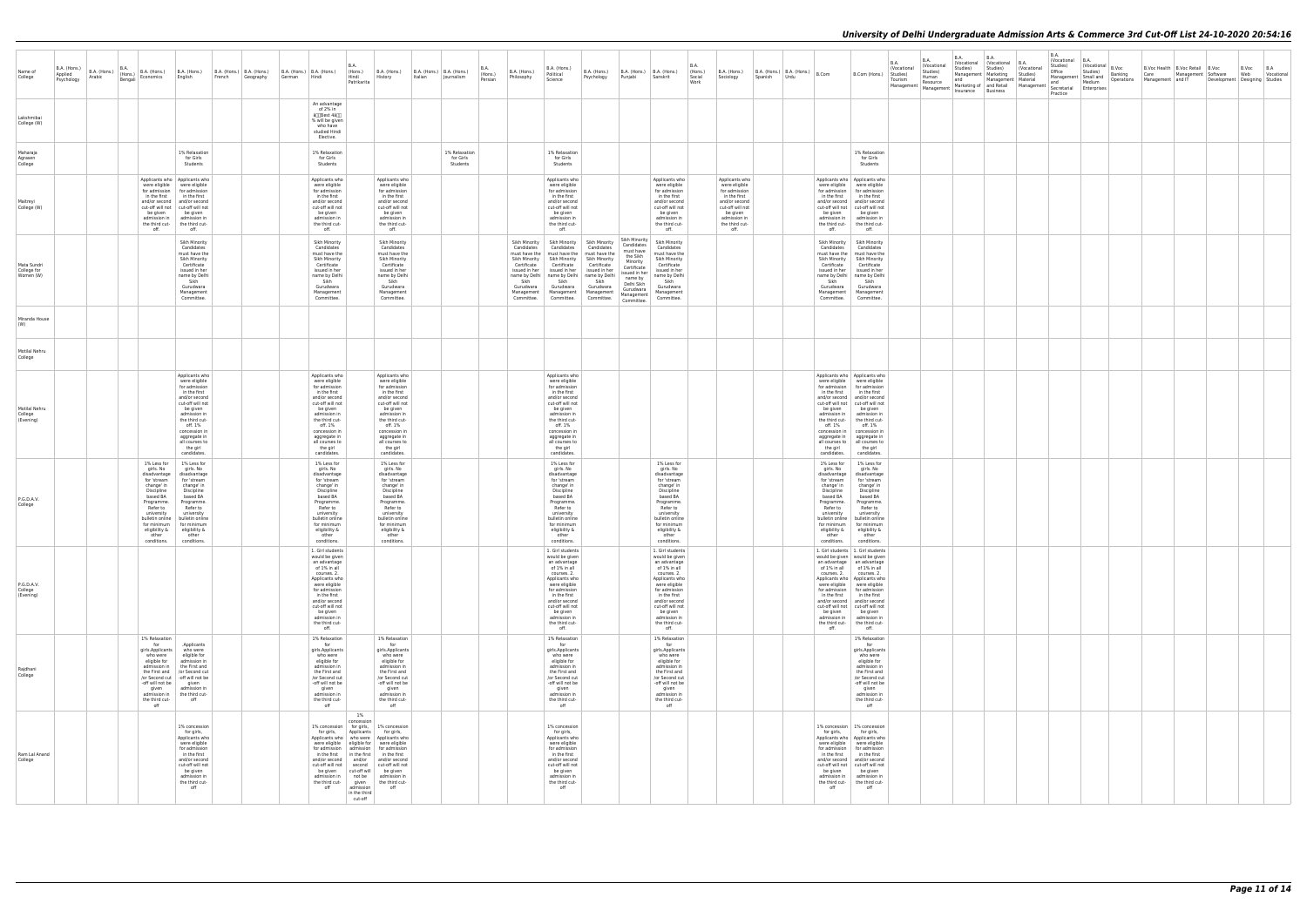| Name of<br>College                      |  |  |                                                                                                                                                                                                                    |                                                                                                                                                                                                                                                          |  |  |                                                                                                                                                                                                                                                                   | B.A.<br>(Hons.)<br>Hindi<br>Patrikarita                                                                         | History                                                                                                                                                                                                                                      | B.A. (Hons.) B.A. (Hons.) B.A. (Hons.)<br>Italian | Journalism                             | <b>B.A.</b><br>(Hons.)<br>Persian | B.A. (Hons.)<br>Philosophy                                                                                                                                      | B.A. (Hons.)<br>Political<br>Science                                                                                                                                                                                                             | Psychology                                                    |                                                                                                              | Punjabi                                                                                                                                                            | B.A. (Hons.) B.A. (Hons.) B.A. (Hons.)<br>Sanskrit                                                                                                                                                                                               | B.A.<br>(Hons.)<br>Social<br>Work | $\begin{array}{ c c c c c c c c c } \hline \end{array}$ B.A. (Hons.) $\begin{array}{ c c c c c c c c c c c } \hline \end{array}$ B.Com<br>Sociology         | Spanish | Urdu |                                                                                                                                                                                                                    | B.Com (Hons.)                                                                                                                                                                                                                                                                                                                                                                                         | <b>B.A.</b><br>(Vocational<br>Studies)<br>Tourism | <b>B.A.</b> | (Vocational<br>Studies)<br>Human<br>Management   Nesource | <b>B.A.</b><br>  (Vocational   (Vocational   B.A.<br>Studies)<br>Management   Marketing<br>and<br>Insurance Business | <b>B.A.</b><br>Studies)<br>Management   Material | Vocational<br>Studies) | <b>B.A.</b><br>Studies)<br>Office | (Vocational B.A.<br>Studies)<br>Management Small and Bariking<br>Management Small and Deperations Management and IT<br>Marketing of and Retail Management secretarial Enterprises | (Vocational B.Voc<br>Banking |  | B.Voc Health B.Voc Retail B.Voc<br>Care Management Software | B.Voc<br>Web | B.A<br>Vocational<br>Development Designing Studies |
|-----------------------------------------|--|--|--------------------------------------------------------------------------------------------------------------------------------------------------------------------------------------------------------------------|----------------------------------------------------------------------------------------------------------------------------------------------------------------------------------------------------------------------------------------------------------|--|--|-------------------------------------------------------------------------------------------------------------------------------------------------------------------------------------------------------------------------------------------------------------------|-----------------------------------------------------------------------------------------------------------------|----------------------------------------------------------------------------------------------------------------------------------------------------------------------------------------------------------------------------------------------|---------------------------------------------------|----------------------------------------|-----------------------------------|-----------------------------------------------------------------------------------------------------------------------------------------------------------------|--------------------------------------------------------------------------------------------------------------------------------------------------------------------------------------------------------------------------------------------------|---------------------------------------------------------------|--------------------------------------------------------------------------------------------------------------|--------------------------------------------------------------------------------------------------------------------------------------------------------------------|--------------------------------------------------------------------------------------------------------------------------------------------------------------------------------------------------------------------------------------------------|-----------------------------------|-------------------------------------------------------------------------------------------------------------------------------------------------------------|---------|------|--------------------------------------------------------------------------------------------------------------------------------------------------------------------------------------------------------------------|-------------------------------------------------------------------------------------------------------------------------------------------------------------------------------------------------------------------------------------------------------------------------------------------------------------------------------------------------------------------------------------------------------|---------------------------------------------------|-------------|-----------------------------------------------------------|----------------------------------------------------------------------------------------------------------------------|--------------------------------------------------|------------------------|-----------------------------------|-----------------------------------------------------------------------------------------------------------------------------------------------------------------------------------|------------------------------|--|-------------------------------------------------------------|--------------|----------------------------------------------------|
| Lakshmibai<br>College (W)               |  |  |                                                                                                                                                                                                                    |                                                                                                                                                                                                                                                          |  |  | An advantage<br>of 2% in<br>â∏Best 4â∏<br>% will be given<br>who have<br>studied Hindi<br>Elective.                                                                                                                                                               |                                                                                                                 |                                                                                                                                                                                                                                              |                                                   |                                        |                                   |                                                                                                                                                                 |                                                                                                                                                                                                                                                  |                                                               |                                                                                                              |                                                                                                                                                                    |                                                                                                                                                                                                                                                  |                                   |                                                                                                                                                             |         |      |                                                                                                                                                                                                                    |                                                                                                                                                                                                                                                                                                                                                                                                       |                                                   |             |                                                           |                                                                                                                      |                                                  |                        | Practice                          |                                                                                                                                                                                   |                              |  |                                                             |              |                                                    |
| Maharaja<br>Agrasen<br>College          |  |  |                                                                                                                                                                                                                    | 1% Relaxation<br>for Girls<br>Students                                                                                                                                                                                                                   |  |  | 1% Relaxation<br>for Girls<br>Students                                                                                                                                                                                                                            |                                                                                                                 |                                                                                                                                                                                                                                              |                                                   | 1% Relaxation<br>for Girls<br>Students |                                   |                                                                                                                                                                 | 1% Relaxation<br>for Girls<br>Students                                                                                                                                                                                                           |                                                               |                                                                                                              |                                                                                                                                                                    |                                                                                                                                                                                                                                                  |                                   |                                                                                                                                                             |         |      |                                                                                                                                                                                                                    | 1% Relaxation<br>for Girls<br>Students                                                                                                                                                                                                                                                                                                                                                                |                                                   |             |                                                           |                                                                                                                      |                                                  |                        |                                   |                                                                                                                                                                                   |                              |  |                                                             |              |                                                    |
| Maitreyi<br>College (W)                 |  |  | in the first<br>be given<br>admission in<br>off.                                                                                                                                                                   | Applicants who   Applicants who<br>were eligible vere eligible<br>for admission   for admission<br>in the first<br>and/or second and/or second<br>cut-off will not cut-off will not<br>be given<br>admission in<br>the third cut- the third cut-<br>off. |  |  | Applicants who<br>were eligible<br>for admission<br>in the first<br>and/or second<br>cut-off will not<br>be given<br>admission in<br>the third cut-<br>off.                                                                                                       |                                                                                                                 | Applicants who<br>were eligible<br>for admission<br>in the first<br>and/or second<br>cut-off will not<br>be given<br>admission in<br>the third cut-<br>off.                                                                                  |                                                   |                                        |                                   |                                                                                                                                                                 | Applicants who<br>were eligible<br>for admission<br>in the first<br>and/or second<br>cut-off will not<br>be given<br>admission in<br>the third cut-<br>off.                                                                                      |                                                               |                                                                                                              |                                                                                                                                                                    | Applicants who<br>were eligible<br>for admission<br>in the first<br>and/or second<br>cut-off will not<br>be given<br>admission in<br>the third cut-<br>off.                                                                                      |                                   | Applicants who<br>were eligible<br>for admission<br>in the first<br>and/or second<br>cut-off will not<br>be given<br>admission in<br>the third cut-<br>off. |         |      | for admission<br>be given<br>off.                                                                                                                                                                                  | Applicants who   Applicants who<br>were eligible   were eligible<br>for admission<br>in the first in the first<br>and/or second and/or second<br>cut-off will not cut-off will not<br>be given<br>admission in admission in<br>the third cut- the third cut-<br>off.                                                                                                                                  |                                                   |             |                                                           |                                                                                                                      |                                                  |                        |                                   |                                                                                                                                                                                   |                              |  |                                                             |              |                                                    |
| Mata Sundri<br>College for<br>Women (W) |  |  |                                                                                                                                                                                                                    | Sikh Minority<br>Candidates<br>must have the<br>Sikh Minority<br>Certificate<br>issued in her<br>name by Delhi<br>Sikh<br>Gurudwara<br>Management<br>Committee.                                                                                          |  |  | Sikh Minority<br>Candidates<br>must have the<br>Sikh Minority<br>Certificate<br>issued in her<br>name by Delhi<br>Sikh<br>Gurudwara<br>Management<br>Committee.                                                                                                   |                                                                                                                 | Sikh Minority<br>Candidates<br>must have the<br>Sikh Minority<br>Certificate<br>issued in her<br>name by Delhi<br>Sikh<br>Gurudwara<br>Management<br>Committee.                                                                              |                                                   |                                        |                                   | Sikh Minority<br>Candidates<br>must have the<br>Sikh Minority<br>Certificate<br>issued in her<br>name by Delhi<br>Sikh<br>Gurudwara<br>Management<br>Committee. | Sikh Minority<br>Candidates<br>Sikh Minority<br>Certificate<br>issued in her<br>name by Delhi<br>Sikh<br>Gurudwara<br>Management<br>Committee.                                                                                                   | Sikh Minority<br>must have the must have the<br>Sikh Minority | Candidates<br>Certificate<br>issued in her<br>name by Delhi<br>Sikh<br>Gurudwara<br>Management<br>Committee. | Sikh Minority<br>Candidates<br>must have<br>the Sikh<br>Minority<br>Certificate<br>issued in her<br>name by<br>Delhi Sikh<br>Gurudwara<br>Management<br>Committee. | Sikh Minority<br>Candidates<br>must have the<br>Sikh Minority<br>Certificate<br>issued in her<br>name by Delhi<br>Sikh<br>Gurudwara<br>Management<br>Committee.                                                                                  |                                   |                                                                                                                                                             |         |      | Sikh Minority<br>Candidates<br>Sikh Minority<br>Certificate<br>Sikh<br>Gurudwara<br>Management<br>Committee.                                                                                                       | Sikh Minority<br>Candidates<br>must have the must have the<br>Sikh Minority<br>Certificate<br>issued in her issued in her<br>name by Delhi   name by Delhi<br>Sikh<br>Gurudwara<br>Management<br>Committee.                                                                                                                                                                                           |                                                   |             |                                                           |                                                                                                                      |                                                  |                        |                                   |                                                                                                                                                                                   |                              |  |                                                             |              |                                                    |
| Miranda House<br>(W)                    |  |  |                                                                                                                                                                                                                    |                                                                                                                                                                                                                                                          |  |  |                                                                                                                                                                                                                                                                   |                                                                                                                 |                                                                                                                                                                                                                                              |                                                   |                                        |                                   |                                                                                                                                                                 |                                                                                                                                                                                                                                                  |                                                               |                                                                                                              |                                                                                                                                                                    |                                                                                                                                                                                                                                                  |                                   |                                                                                                                                                             |         |      |                                                                                                                                                                                                                    |                                                                                                                                                                                                                                                                                                                                                                                                       |                                                   |             |                                                           |                                                                                                                      |                                                  |                        |                                   |                                                                                                                                                                                   |                              |  |                                                             |              |                                                    |
| Motilal Nehru<br>College                |  |  |                                                                                                                                                                                                                    |                                                                                                                                                                                                                                                          |  |  |                                                                                                                                                                                                                                                                   |                                                                                                                 |                                                                                                                                                                                                                                              |                                                   |                                        |                                   |                                                                                                                                                                 |                                                                                                                                                                                                                                                  |                                                               |                                                                                                              |                                                                                                                                                                    |                                                                                                                                                                                                                                                  |                                   |                                                                                                                                                             |         |      |                                                                                                                                                                                                                    |                                                                                                                                                                                                                                                                                                                                                                                                       |                                                   |             |                                                           |                                                                                                                      |                                                  |                        |                                   |                                                                                                                                                                                   |                              |  |                                                             |              |                                                    |
| Motilal Nehru<br>College<br>(Evening)   |  |  |                                                                                                                                                                                                                    | Applicants who<br>were eligible<br>for admission<br>in the first<br>and/or second<br>cut-off will not<br>be given<br>admission in<br>the third cut-<br>off. 1%<br>concession in<br>aggregate in<br>all courses to<br>the airl<br>candidates.             |  |  | Applicants who<br>were eligible<br>for admission<br>in the first<br>and/or second<br>cut-off will not<br>be given<br>admission in<br>the third cut-<br>off. 1%<br>concession in<br>aggregate in<br>all courses to<br>the airl<br>candidates.                      |                                                                                                                 | Applicants who<br>were eligible<br>for admission<br>in the first<br>and/or second<br>cut-off will not<br>be given<br>admission in<br>the third cut-<br>off. 1%<br>concession in<br>aggregate in<br>all courses to<br>the girl<br>candidates. |                                                   |                                        |                                   |                                                                                                                                                                 | Applicants who<br>were eligible<br>for admission<br>in the first<br>and/or second<br>cut-off will not<br>be given<br>admission in<br>the third cut-<br>off. 1%<br>concession in<br>aggregate in<br>all courses to<br>the airl<br>candidates.     |                                                               |                                                                                                              |                                                                                                                                                                    |                                                                                                                                                                                                                                                  |                                   |                                                                                                                                                             |         |      | were eligible<br>in the first<br>be given<br>admission in<br>off. 1%<br>aggregate in<br>the airl<br>candidates.                                                                                                    | Applicants who   Applicants who<br>were eligible<br>for admission for admission<br>in the first<br>and/or second and/or second<br>cut-off will not cut-off will not<br>be given<br>admission in<br>the third cut- the third cut-<br>off. 1%<br>concession in concession in<br>aggregate in<br>all courses to all courses to<br>the airl<br>candidates.                                                |                                                   |             |                                                           |                                                                                                                      |                                                  |                        |                                   |                                                                                                                                                                                   |                              |  |                                                             |              |                                                    |
| P.G.D.A.V.<br>College                   |  |  | 1% Less for<br>girls. No<br>disadvantage<br>for 'stream<br>change' in<br>Discipline<br>based BA<br>Programme.<br>Refer to<br>university<br>bulletin online<br>for minimum<br>eligibility &<br>other<br>conditions. | 1% Less for<br>girls. No<br>disadvantage<br>for 'stream<br>change' in<br>Discipline<br>based BA<br>Programme.<br>Refer to<br>university<br>bulletin online<br>for minimum<br>eligibility &<br>other<br>conditions.                                       |  |  | 1% Less for<br>girls. No<br>disadvantage<br>for 'stream<br>change' in<br>Discipline<br>based BA<br>Programme.<br>Refer to<br>university<br>bulletin online<br>for minimum<br>eligibility &<br>other<br>conditions.                                                |                                                                                                                 | 1% Less for<br>girls. No<br>disadvantage<br>for 'stream<br>change' in<br>Discipline<br>based BA<br>Programme.<br>Refer to<br>university<br>bulletin online<br>for minimum<br>eligibility &<br>other<br>conditions.                           |                                                   |                                        |                                   |                                                                                                                                                                 | 1% Less for<br>girls. No<br>disadvantage<br>for 'stream<br>change' in<br>Discipline<br>based BA<br>Programme.<br>Refer to<br>university<br>bulletin online<br>for minimum<br>eligibility &<br>other<br>conditions.                               |                                                               |                                                                                                              |                                                                                                                                                                    | 1% Less for<br>airls. No<br>disadvantage<br>for 'stream<br>change' in<br>Discipline<br>based BA<br>Programme.<br>Refer to<br>university<br>bulletin online<br>for minimum<br>eligibility &<br>other<br>conditions.                               |                                   |                                                                                                                                                             |         |      | 1% Less for<br>girls. No<br>disadvantage<br>for 'stream<br>change' in<br>Discipline<br>based BA<br>Programme.<br>Refer to<br>university<br>bulletin online<br>for minimum<br>eligibility &<br>nthei<br>conditions. | 1% Less for<br>airls. No<br>disadvantage<br>for 'stream<br>change' in<br>Discipline<br>based BA<br>Programme.<br>Refer to<br>university<br>bulletin online<br>for minimum<br>eligibility &<br>conditions.                                                                                                                                                                                             |                                                   |             |                                                           |                                                                                                                      |                                                  |                        |                                   |                                                                                                                                                                                   |                              |  |                                                             |              |                                                    |
| P.G.D.A.V.<br>College<br>(Evening)      |  |  |                                                                                                                                                                                                                    |                                                                                                                                                                                                                                                          |  |  | 1. Girl students<br>would be given<br>an advantage<br>of 1% in all<br>courses. 2.<br>Applicants who<br>were eligible<br>for admission<br>in the first<br>and/or second<br>cut-off will not<br>be given<br>admission in<br>the third cut-<br>off.                  |                                                                                                                 |                                                                                                                                                                                                                                              |                                                   |                                        |                                   |                                                                                                                                                                 | 1. Girl students<br>would be given<br>an advantage<br>of 1% in all<br>courses. 2.<br>Applicants who<br>were eligible<br>for admission<br>in the first<br>and/or second<br>cut-off will not<br>be given<br>admission in<br>the third cut-<br>off. |                                                               |                                                                                                              |                                                                                                                                                                    | 1. Girl students<br>would be given<br>an advantage<br>of 1% in all<br>courses. 2.<br>Applicants who<br>were eligible<br>for admission<br>in the first<br>and/or second<br>cut-off will not<br>be given<br>admission in<br>the third cut-<br>off. |                                   |                                                                                                                                                             |         |      | courses. 2.<br>in the first<br>be given<br>admission in<br>off.                                                                                                                                                    | 1. Girl students 1. Girl students<br>would be given would be given<br>an advantage an advantage<br>of 1% in all of 1% in all<br>courses. 2.<br>Applicants who   Applicants who<br>were eligible vere eligible<br>for admission for admission<br>in the first<br>and/or second and/or second<br>cut-off will not cut-off will not<br>be given<br>admission in<br>the third cut- the third cut-<br>off. |                                                   |             |                                                           |                                                                                                                      |                                                  |                        |                                   |                                                                                                                                                                                   |                              |  |                                                             |              |                                                    |
| Rajdhani<br>College                     |  |  | 1% Relaxation<br>for<br>girls.Applicants<br>who were<br>eligible for<br>-off will not be<br>given<br>admission in<br>the third cut-<br>off                                                                         | .Applicants<br>who were<br>eligible for<br>admission in<br>admission in the First and<br>the First and /or Second cut<br>/or Second cut   -off will not be<br>given<br>admission in<br>the third cut-<br>off                                             |  |  | 1% Relaxation<br>for<br>girls.Applicants<br>who were<br>eligible for<br>admission in<br>the First and<br>/or Second cut<br>-off will not be<br>given<br>admission in<br>the third cut-<br>off                                                                     |                                                                                                                 | 1% Relaxation<br>for<br>girls.Applicants<br>who were<br>eligible for<br>admission in<br>the First and<br>/or Second cut<br>-off will not be<br>given<br>admission in<br>the third cut-<br>off                                                |                                                   |                                        |                                   |                                                                                                                                                                 | 1% Relaxation<br>for<br>girls.Applicants<br>who were<br>eligible for<br>admission in<br>the First and<br>/or Second cut<br>-off will not be<br>given<br>admission in<br>the third cut-<br>off                                                    |                                                               |                                                                                                              |                                                                                                                                                                    | 1% Relaxation<br>for<br>girls.Applicants<br>who were<br>eligible for<br>admission in<br>the First and<br>/or Second cut<br>-off will not be<br>given<br>admission in<br>the third cut-<br>off                                                    |                                   |                                                                                                                                                             |         |      |                                                                                                                                                                                                                    | 1% Relaxation<br>for<br>girls.Applicants<br>who were<br>eligible for<br>admission in<br>the First and<br>/or Second cut<br>-off will not be<br>given<br>admission in<br>the third cut-<br>off                                                                                                                                                                                                         |                                                   |             |                                                           |                                                                                                                      |                                                  |                        |                                   |                                                                                                                                                                                   |                              |  |                                                             |              |                                                    |
| Ram Lal Anand<br>College                |  |  |                                                                                                                                                                                                                    | 1% concession<br>for girls,<br>Applicants who<br>were eligible<br>for admission<br>in the first<br>and/or second<br>cut-off will not<br>be given<br>admission in<br>the third cut-<br>off                                                                |  |  | 1% concession for girls, 1% concession<br>for girls, Applicants<br>Applicants who   who were   Applicants who<br>were eligible<br>for admission admission for admission<br>and/or second<br>cut-off will not<br>be given<br>admission in<br>the third cut-<br>off | 1%<br>concession<br>and/or<br>second<br>cut-off will<br>not be<br>given<br>admission<br>in the third<br>cut-off | for girls,<br>eligible for were eligible<br>in the first   in the first   in the first<br>and/or second<br>cut-off will not<br>be given<br>admission in<br>the third cut-<br>off                                                             |                                                   |                                        |                                   |                                                                                                                                                                 | 1% concession<br>for girls,<br>Applicants who<br>were eligible<br>for admission<br>in the first<br>and/or second<br>cut-off will not<br>be given<br>admission in<br>the third cut-<br>off                                                        |                                                               |                                                                                                              |                                                                                                                                                                    |                                                                                                                                                                                                                                                  |                                   |                                                                                                                                                             |         |      | for girls,<br>be given<br>admission in<br>off                                                                                                                                                                      | 1% concession   1% concession<br>for girls,<br>Applicants who   Applicants who<br>were eligible   were eligible<br>for admission for admission<br>in the first in the first<br>and/or second and/or second<br>cut-off will not cut-off will not<br>be given<br>admission in<br>the third cut- the third cut-<br>off                                                                                   |                                                   |             |                                                           |                                                                                                                      |                                                  |                        |                                   |                                                                                                                                                                                   |                              |  |                                                             |              |                                                    |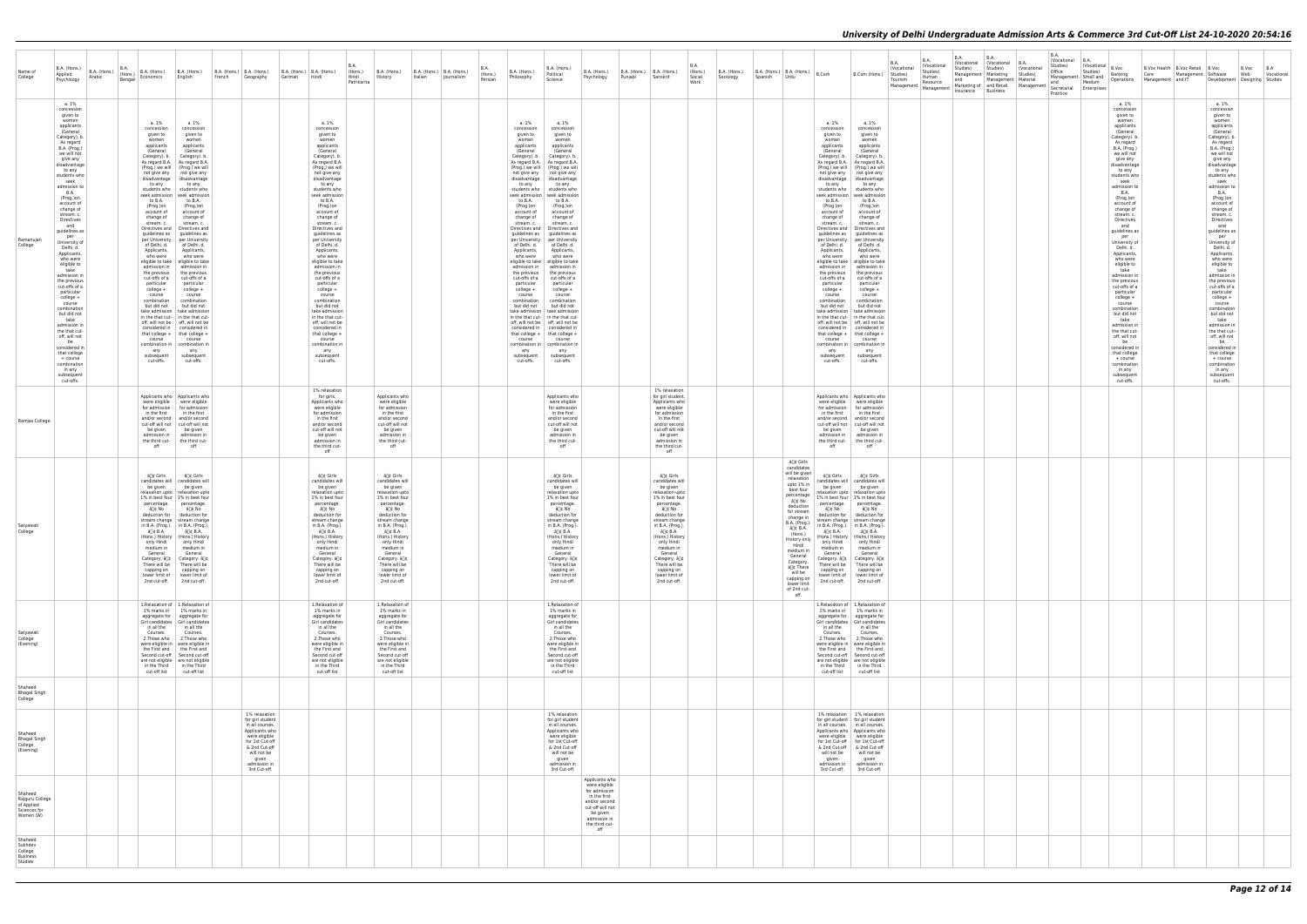| Name of<br>College                                                    | B.A. (Hons.)<br>Applied<br>Psychology                                                                                                                                                                                                                                                                                                                                                                                                                                                                                                                                                                                                                                                               | B.A. (Hons.) $\begin{bmatrix} b & b \\ (Hons.) \end{bmatrix}$<br>Arabic | Bengali Economics English                                                                                                                                                                                                                                                                                                                                                                                    |                                                                                                                                                                                                                                                                                                                                                                                                                                                                                                                                                                                                                                                                                                                                                                                                                                                                                                                | B.A. (Hons.)   B.A. (Hons.)   B.A. (Hons.)   B.A. (Hons.)   B.A. (Hons.)   B.A. (Hons.)   B.A. (Hons.)<br>French<br>Geography                                                       | German | Hindi                                                                                                                                                                                                                                                                                                                                                                                                                                                                                                                                                                                                                                                                      | <b>B.A.</b><br>(Hons.)<br>Hindi<br>Patrikarita | B.A. (Hons.) B.A. (Hons.) B.A. (Hons.)<br>History                                                                                                                                                                                                                                                                    | Italian | Journalism | <b>B.A.</b><br>(Hons.)<br>Persian | B.A. (Hons.)<br>Philosophy                                                                                                                                                                                                                                                                                                                                                                                                                                                                                            | B.A. (Hons.)<br>Political<br>Science                                                                                                                                                                                                                                                                                                                                                                                                                                                                                                                                                                                                                                                                                                                                                                    | Psychology                                                                                                                                                 | B.A. (Hons.) B.A. (Hons.) B.A. (Hons.)<br>Punjabi | Sanskrit                                                                                                                                                                                                                                                                                                              | <b>B.A.</b><br>(Hons.)<br>Social<br>Work | B.A. (Hons.) B.A. (Hons.) B.A. (Hons.) B.Com<br>Sociology | Spanish | Urdu                                                                                                                                                                                                                                                                                                                         |                                                                                                                                                                                                                                                                                                                                                                                           | B.Com (Hons.)                                                                                                                                                                                                                                                                                                                                                                                                                                                                                                                                                                                                                                                                                                                                                                                                                                                                                                                  | B.A.<br>(Vocational<br>Studies)<br>Tourism<br>Management   Management | <b>B.A.</b><br>(Vocational<br>Studies)<br>Human<br>Resource | <b>B.A.</b><br>(Vocational<br>Studies)<br>Management   Marketing<br>and<br>Marketing of and Retail Management<br>Insurance Business | B.A.<br>(Vocational<br>Studies)<br>Management   Material | <b>B.A.</b><br>Vocational<br>Studies) | <b>B.A.</b><br>(Vocational B.A.<br>Studies)<br>Office<br>and<br>Practice | Vocational<br>Studies)<br>Management Small and<br>Medium<br>Secretarial Enterprises | B.Voc<br>Banking<br>Operations   Management   and IT                                                                                                                                                                                                                                                                                                                                                                                                                                                                                                                                                                                                                                                 | B.Voc Health B.Voc Retail B.Voc<br>Care Management Software                                                                                                                                                                                                                                                                                                                                                                                                                                                                                                                                                                                                                                          | B.Voc B.A<br>  Web<br>Vocational<br>Development Designing Studies |
|-----------------------------------------------------------------------|-----------------------------------------------------------------------------------------------------------------------------------------------------------------------------------------------------------------------------------------------------------------------------------------------------------------------------------------------------------------------------------------------------------------------------------------------------------------------------------------------------------------------------------------------------------------------------------------------------------------------------------------------------------------------------------------------------|-------------------------------------------------------------------------|--------------------------------------------------------------------------------------------------------------------------------------------------------------------------------------------------------------------------------------------------------------------------------------------------------------------------------------------------------------------------------------------------------------|----------------------------------------------------------------------------------------------------------------------------------------------------------------------------------------------------------------------------------------------------------------------------------------------------------------------------------------------------------------------------------------------------------------------------------------------------------------------------------------------------------------------------------------------------------------------------------------------------------------------------------------------------------------------------------------------------------------------------------------------------------------------------------------------------------------------------------------------------------------------------------------------------------------|-------------------------------------------------------------------------------------------------------------------------------------------------------------------------------------|--------|----------------------------------------------------------------------------------------------------------------------------------------------------------------------------------------------------------------------------------------------------------------------------------------------------------------------------------------------------------------------------------------------------------------------------------------------------------------------------------------------------------------------------------------------------------------------------------------------------------------------------------------------------------------------------|------------------------------------------------|----------------------------------------------------------------------------------------------------------------------------------------------------------------------------------------------------------------------------------------------------------------------------------------------------------------------|---------|------------|-----------------------------------|-----------------------------------------------------------------------------------------------------------------------------------------------------------------------------------------------------------------------------------------------------------------------------------------------------------------------------------------------------------------------------------------------------------------------------------------------------------------------------------------------------------------------|---------------------------------------------------------------------------------------------------------------------------------------------------------------------------------------------------------------------------------------------------------------------------------------------------------------------------------------------------------------------------------------------------------------------------------------------------------------------------------------------------------------------------------------------------------------------------------------------------------------------------------------------------------------------------------------------------------------------------------------------------------------------------------------------------------|------------------------------------------------------------------------------------------------------------------------------------------------------------|---------------------------------------------------|-----------------------------------------------------------------------------------------------------------------------------------------------------------------------------------------------------------------------------------------------------------------------------------------------------------------------|------------------------------------------|-----------------------------------------------------------|---------|------------------------------------------------------------------------------------------------------------------------------------------------------------------------------------------------------------------------------------------------------------------------------------------------------------------------------|-------------------------------------------------------------------------------------------------------------------------------------------------------------------------------------------------------------------------------------------------------------------------------------------------------------------------------------------------------------------------------------------|--------------------------------------------------------------------------------------------------------------------------------------------------------------------------------------------------------------------------------------------------------------------------------------------------------------------------------------------------------------------------------------------------------------------------------------------------------------------------------------------------------------------------------------------------------------------------------------------------------------------------------------------------------------------------------------------------------------------------------------------------------------------------------------------------------------------------------------------------------------------------------------------------------------------------------|-----------------------------------------------------------------------|-------------------------------------------------------------|-------------------------------------------------------------------------------------------------------------------------------------|----------------------------------------------------------|---------------------------------------|--------------------------------------------------------------------------|-------------------------------------------------------------------------------------|------------------------------------------------------------------------------------------------------------------------------------------------------------------------------------------------------------------------------------------------------------------------------------------------------------------------------------------------------------------------------------------------------------------------------------------------------------------------------------------------------------------------------------------------------------------------------------------------------------------------------------------------------------------------------------------------------|------------------------------------------------------------------------------------------------------------------------------------------------------------------------------------------------------------------------------------------------------------------------------------------------------------------------------------------------------------------------------------------------------------------------------------------------------------------------------------------------------------------------------------------------------------------------------------------------------------------------------------------------------------------------------------------------------|-------------------------------------------------------------------|
| Ramanujan<br>College                                                  | a. 1%<br>concession<br>given to<br>women<br>applicants<br>(General<br>Category). b.<br>As regard<br>B.A. (Prog.)<br>we will not<br>give any<br>disadvantage<br>to any<br>students who<br>seek<br>admission to<br><b>B.A.</b><br>(Prog.)on<br>account of<br>change of<br>stream.c.<br>Directives<br>and<br>quidelines as<br>per<br>University of<br>Delhi, d.<br>Applicants,<br>who were<br>eligible to<br>take<br>admission in<br>the previous<br>cut-offs of a<br>particular<br>college +<br>course<br>combination<br>but did not<br>take<br>admission in<br>the that cut-<br>off, will not<br>be<br>considered in<br>that college<br>+ course<br>combination<br>in any<br>subsequent<br>cut-offs. |                                                                         | a. 1%<br>concession<br>qiven to<br>women<br>applicants<br>(General<br>Category). b.<br>to any<br>to B.A.<br>(Prog.)on<br>account of<br>change of<br>stream. c.<br>guidelines as<br>per University<br>of Delhi. d.<br>Applicants,<br>who were<br>admission in<br>the previous<br>cut-offs of a<br>particular<br>college +<br>course<br>combination<br>but did not<br>course<br>any<br>subsequent<br>cut-offs. | a. 1%<br>concession<br>given to<br>women<br>applicants<br>(General<br>Category). b.<br>As regard B.A.   As regard B.A.<br>(Prog.) we will   (Prog.) we will<br>not give any not give any<br>disadvantage disadvantage<br>to any<br>students who students who<br>seek admission seek admission<br>to B.A.<br>(Prog.)on<br>account of<br>change of<br>stream. c.<br>Directives and   Directives and<br>guidelines as<br>per University<br>of Delhi. d.<br>Applicants,<br>who were<br>eligible to take   eligible to take<br>admission in<br>the previous<br>cut-offs of a<br>particular<br>college +<br>course<br>combination<br>but did not<br>take admission   take admission<br>in the that cut- in the that cut-<br>off, will not be   off, will not be<br>considered in considered in<br>that college $+$   that college $+$<br>course<br>combination in   combination in<br>any<br>subsequent<br>cut-offs. |                                                                                                                                                                                     |        | a. 1%<br>concession<br>given to<br>women<br>applicants<br>(General<br>Category). b.<br>As regard B.A.<br>(Prog.) we will<br>not give any<br>disadvantage<br>to any<br>students who<br>seek admission<br>to B.A.<br>(Prog.)on<br>account of<br>change of<br>stream. c.<br>Directives and<br>guidelines as<br>per University<br>of Delhi. d.<br>Applicants,<br>who were<br>eligible to take<br>admission in<br>the previous<br>cut-offs of a<br>particular<br>college +<br>course<br>combination<br>but did not<br>take admission<br>in the that cut-<br>off, will not be<br>considered in<br>that college $+$<br>course<br>combination in<br>any<br>subsequent<br>cut-offs. |                                                |                                                                                                                                                                                                                                                                                                                      |         |            |                                   | a. 1%<br>concession<br>given to<br>women<br>applicants<br>(General<br>Category). b.<br>not give any<br>to any<br>to B.A.<br>(Prog.)on<br>account of<br>change of<br>stream. c.<br>Directives and   Directives and<br>guidelines as<br>of Delhi. d.<br>Applicants,<br>who were<br>admission in<br>the previous<br>cut-offs of a<br>particular<br>college +<br>course<br>combination<br>but did not<br>take admission   take admission<br>in the that cut- in the that cut-<br>course<br>any<br>subsequent<br>cut-offs. | a. 1%<br>concession<br>aiven to<br>women<br>applicants<br>(General<br>Category). b.<br>As regard B.A.   As regard B.A.<br>(Prog.) we will   (Prog.) we will<br>not give any<br>disadvantage disadvantage<br>to any<br>students who students who<br>seek admission seek admission<br>to B.A.<br>(Prog.)on<br>account of<br>change of<br>stream. c.<br>guidelines as<br>per University   per University<br>of Delhi. d.<br>Applicants,<br>who were<br>eligible to take eligible to take<br>admission ir<br>the previous<br>cut-offs of a<br>particular<br>college +<br>course<br>combination<br>but did not<br>off, will not be   off, will not be<br>considered in considered in<br>that college $+$   that college $+$<br>course<br>combination in $ $ combination in<br>any<br>subsequent<br>cut-offs. |                                                                                                                                                            |                                                   |                                                                                                                                                                                                                                                                                                                       |                                          |                                                           |         |                                                                                                                                                                                                                                                                                                                              | a. 1%<br>concession<br>qiven to<br>women<br>applicants<br>(General<br>Category). b.<br>not give any<br>to any<br>to B.A.<br>(Prog.)on<br>account of<br>change of<br>stream. c.<br>of Delhi. d.<br>Applicants,<br>who were<br>admission in<br>the previous<br>cut-offs of a<br>particular<br>college +<br>course<br>combination<br>but did not<br>course<br>any<br>subsequent<br>cut-offs. | a. 1%<br>concession<br>aiven to<br>women<br>applicants<br>(General<br>Category). b.<br>As regard B.A.   As regard B.A.<br>(Prog.) we will (Prog.) we will<br>not give any<br>disadvantage disadvantage<br>to any<br>students who   students who<br>seek admission seek admission<br>to B.A.<br>(Prog.)on<br>account of<br>change of<br>stream. c.<br>Directives and   Directives and<br>guidelines as guidelines as<br>per University   per University<br>of Delhi. d.<br>Applicants,<br>who were<br>eligible to take   eligible to take<br>admission in<br>the previous<br>cut-offs of a<br>particular<br>college +<br>course<br>combination<br>but did not<br>take admission   take admission<br>in the that cut- in the that cut-<br>off, will not be   off, will not be<br>considered in considered in<br>that college $+$   that college $+$<br>course<br>combination in combination in<br>any<br>subsequent<br>cut-offs. |                                                                       |                                                             |                                                                                                                                     |                                                          |                                       |                                                                          |                                                                                     | a. 1%<br>concession<br>given to<br>women<br>applicants<br>(General<br>Category). b.<br>As regard<br>B.A. (Prog.)<br>we will not<br>give any<br>disadvantage<br>to any<br>students who<br>seek<br>admission to<br><b>B.A.</b><br>(Prog.)on<br>account of<br>change of<br>stream. c.<br>Directives<br>and<br>guidelines as<br>per<br>University of<br>Delhi. d.<br>Applicants,<br>who were<br>eligible to<br>take<br>admission in<br>the previous<br>cut-offs of a<br>particular<br>college +<br>course<br>combination<br>but did not<br>take<br>admission in<br>the that cut-<br>off, will not<br>be<br>considered in<br>that college<br>+ course<br>combination<br>in any<br>subsequent<br>cut-offs. | a. 1%<br>concession<br>given to<br>women<br>applicants<br>(General<br>Category). b.<br>As regard<br>B.A. (Prog.)<br>we will not<br>give any<br>disadvantage<br>to any<br>students who<br>seek<br>admission to<br><b>B.A.</b><br>(Prog.)on<br>account of<br>change of<br>stream. c.<br>Directives<br>and<br>guidelines as<br>per<br>University of<br>Delhi. d.<br>Applicants,<br>who were<br>eligible to<br>take<br>admission in<br>the previous<br>cut-offs of a<br>particular<br>college +<br>course<br>combination<br>but did not<br>take<br>admission in<br>the that cut-<br>off, will not<br>be<br>considered in<br>that college<br>+ course<br>combination<br>in any<br>subsequent<br>cut-offs. |                                                                   |
| Ramjas College                                                        |                                                                                                                                                                                                                                                                                                                                                                                                                                                                                                                                                                                                                                                                                                     |                                                                         | were eligible<br>in the first<br>be given<br>admission in<br>the third cut-<br>off                                                                                                                                                                                                                                                                                                                           | Applicants who   Applicants who<br>were eligible<br>for admission for admission<br>in the first<br>and/or second and/or second<br>cut-off will not cut-off will not<br>be given<br>admission in<br>the third cut-<br>off                                                                                                                                                                                                                                                                                                                                                                                                                                                                                                                                                                                                                                                                                       |                                                                                                                                                                                     |        | 1% relaxation<br>for girls.<br>Applicants who<br>were eligible<br>for admission<br>in the first<br>and/or second<br>cut-off will not<br>be given<br>admission in<br>the third cut-<br>off                                                                                                                                                                                                                                                                                                                                                                                                                                                                                  |                                                | Applicants who<br>were eligible<br>for admission<br>in the first<br>and/or second<br>cut-off will not<br>be given<br>admission in<br>the third cut-<br>off                                                                                                                                                           |         |            |                                   |                                                                                                                                                                                                                                                                                                                                                                                                                                                                                                                       | Applicants who<br>were eligible<br>for admission<br>in the first<br>and/or second<br>cut-off will not<br>be given<br>admission in<br>the third cut-<br>off                                                                                                                                                                                                                                                                                                                                                                                                                                                                                                                                                                                                                                              |                                                                                                                                                            |                                                   | 1% relaxation<br>for girl student.<br>Applicants who<br>were eligible<br>for admission<br>in the first<br>and/or second<br>cut-off will not<br>be given<br>admission in<br>the third cut-<br>off                                                                                                                      |                                          |                                                           |         |                                                                                                                                                                                                                                                                                                                              | in the first<br>be given<br>admission in<br>off                                                                                                                                                                                                                                                                                                                                           | Applicants who   Applicants who<br>were eligible were eligible<br>for admission for admission<br>in the first<br>and/or second and/or second<br>cut-off will not cut-off will not<br>be given<br>admission in<br>the third cut- the third cut-<br>off                                                                                                                                                                                                                                                                                                                                                                                                                                                                                                                                                                                                                                                                          |                                                                       |                                                             |                                                                                                                                     |                                                          |                                       |                                                                          |                                                                                     |                                                                                                                                                                                                                                                                                                                                                                                                                                                                                                                                                                                                                                                                                                      |                                                                                                                                                                                                                                                                                                                                                                                                                                                                                                                                                                                                                                                                                                      |                                                                   |
| Satvawati<br>College                                                  |                                                                                                                                                                                                                                                                                                                                                                                                                                                                                                                                                                                                                                                                                                     |                                                                         | â∏¢ Girls<br>be given<br>percentage.<br>â∏¢ No<br>only Hindi<br>medium in<br>General<br>Category. â∏¢<br>There will be<br>capping on<br>2nd cut-off.                                                                                                                                                                                                                                                         | â∏¢ Girls<br>candidates will candidates will<br>be given<br>relaxation upto relaxation upto<br>1% in best four   1% in best four<br>percentage.<br>â∏¢ No<br>deduction for deduction for<br>stream change   stream change<br>in B.A. (Prog.).   in B.A. (Prog.).<br>â∏¢ B.A.               â∏¢ B.A.<br>(Hons.) History   (Hons.) History<br>only Hindi<br>medium in<br>General<br>Category. â[]¢<br>There will be<br>capping on<br>lower limit of   lower limit of<br>2nd cut-off.                                                                                                                                                                                                                                                                                                                                                                                                                             |                                                                                                                                                                                     |        | â∏¢ Girls<br>candidates will<br>be given<br>relaxation upto<br>1% in best four<br>percentage.<br>â∏¢ No<br>deduction for<br>stream change<br>in B.A. (Prog.).<br>â∏¢ B.A.<br>(Hons.) History<br>only Hindi<br>medium in<br>General<br>Category. â[]¢<br>There will be<br>capping on<br>lower limit of<br>2nd cut-off.                                                                                                                                                                                                                                                                                                                                                      |                                                | â∏¢ Girls<br>candidates will<br>be given<br>relaxation upto<br>1% in best four<br>percentage.<br>â∏¢ No<br>deduction for<br>stream change<br>in B.A. (Prog.).<br>â∏¢ B.A.<br>(Hons.) History<br>only Hindi<br>medium in<br>General<br>Category. â∏¢<br>There will be<br>capping on<br>lower limit of<br>2nd cut-off. |         |            |                                   |                                                                                                                                                                                                                                                                                                                                                                                                                                                                                                                       | â∏¢ Girls<br>candidates will<br>be given<br>relaxation upto<br>1% in best four<br>percentage.<br>â∏¢ No<br>deduction for<br>stream change<br>in B.A. (Prog.).<br>â∏¢ B.A.<br>(Hons.) History<br>only Hindi<br>medium in<br>General<br>Category. â∏¢<br>There will be<br>capping on<br>lower limit of<br>2nd cut-off.                                                                                                                                                                                                                                                                                                                                                                                                                                                                                    |                                                                                                                                                            |                                                   | â∏¢ Girls<br>candidates will<br>be given<br>relaxation upto<br>1% in best four<br>percentage.<br>â∏¢ No<br>deduction for<br>stream change<br>in B.A. (Prog.).<br>â∏¢ B.A.<br>(Hons.) History<br>only Hindi<br>medium in<br>General<br>Category. â[]¢<br>There will be<br>capping on<br>lower limit of<br>2nd cut-off. |                                          |                                                           |         | â∏¢ Girls<br>candidates<br>will be given<br>relaxation<br>upto 1% in<br>best four<br>percentage.<br>â∏¢ No<br>deduction<br>for stream<br>change in<br>B.A. (Prog.).<br>â∏¢ B.A.<br>(Hons.)<br>History only<br>Hindi<br>medium in<br>General<br>Category.<br>â∏¢ There<br>will be<br>capping on<br>lower limit<br>of 2nd cut- | â∏¢ Girls<br>be given<br>percentage.<br>â∏¢ No<br>only Hindi<br>medium in<br>General<br>There will be<br>capping on<br>2nd cut-off.                                                                                                                                                                                                                                                       | â∏¢ Girls<br>candidates will candidates will<br>be given<br>relaxation upto relaxation upto<br>1% in best four   1% in best four<br>percentage.<br>â∏¢ No<br>deduction for deduction for<br>stream change   stream change<br>in B.A. (Prog.).   in B.A. (Prog.).<br>â∏¢ B.A. │ â∏¢ B.A.<br>(Hons.) History   (Hons.) History<br>only Hindi<br>medium in<br>General<br>Category. â[]¢   Category. â[]¢<br>There will be<br>capping on<br>lower limit of lower limit of<br>2nd cut-off.                                                                                                                                                                                                                                                                                                                                                                                                                                          |                                                                       |                                                             |                                                                                                                                     |                                                          |                                       |                                                                          |                                                                                     |                                                                                                                                                                                                                                                                                                                                                                                                                                                                                                                                                                                                                                                                                                      |                                                                                                                                                                                                                                                                                                                                                                                                                                                                                                                                                                                                                                                                                                      |                                                                   |
| Satyawati<br>College<br>(Evening)                                     |                                                                                                                                                                                                                                                                                                                                                                                                                                                                                                                                                                                                                                                                                                     |                                                                         | in all the<br>Courses.<br>2.Those who<br>cut-off list                                                                                                                                                                                                                                                                                                                                                        | 1.Relaxation of   1.Relaxation of<br>1% marks in 1% marks in<br>agaregate for agaregate for<br>Girl candidates   Girl candidates<br>in all the<br>Courses.<br>2. Those who<br>were eligible in   were eligible in<br>the First and the First and<br>Second cut-off Second cut-off<br>are not eligible are not eligible<br>in the Third   in the Third<br>cut-off list                                                                                                                                                                                                                                                                                                                                                                                                                                                                                                                                          |                                                                                                                                                                                     |        | 1.Relaxation of<br>1% marks in<br>aggregate for<br>Girl candidates<br>in all the<br>Courses.<br>2. Those who<br>were eligible in<br>the First and<br>Second cut-off<br>are not eligible<br>in the Third<br>cut-off list                                                                                                                                                                                                                                                                                                                                                                                                                                                    |                                                | 1.Relaxation of<br>1% marks in<br>aggregate for<br>Girl candidates<br>in all the<br>Courses.<br>2.Those who<br>were eligible in<br>the First and<br>Second cut-off<br>are not eligible<br>in the Third<br>cut-off list                                                                                               |         |            |                                   |                                                                                                                                                                                                                                                                                                                                                                                                                                                                                                                       | 1.Relaxation of<br>1% marks in<br>aggregate for<br>Girl candidates<br>in all the<br>Courses.<br>2. Those who<br>were eligible in<br>the First and<br>Second cut-off<br>are not eligible<br>in the Third<br>cut-off list                                                                                                                                                                                                                                                                                                                                                                                                                                                                                                                                                                                 |                                                                                                                                                            |                                                   |                                                                                                                                                                                                                                                                                                                       |                                          |                                                           |         | off.                                                                                                                                                                                                                                                                                                                         | Courses.<br>cut-off list                                                                                                                                                                                                                                                                                                                                                                  | 1.Relaxation of   1.Relaxation of<br>1% marks in 1% marks in<br>aggregate for aggregate for<br>Girl candidates   Girl candidates<br>in all the in all the<br>Courses.<br>2. Those who 2. Those who<br>were eligible in were eligible in<br>the First and the First and<br>Second cut-off Second cut-off<br>are not eligible are not eligible<br>in the Third in the Third<br>cut-off list                                                                                                                                                                                                                                                                                                                                                                                                                                                                                                                                      |                                                                       |                                                             |                                                                                                                                     |                                                          |                                       |                                                                          |                                                                                     |                                                                                                                                                                                                                                                                                                                                                                                                                                                                                                                                                                                                                                                                                                      |                                                                                                                                                                                                                                                                                                                                                                                                                                                                                                                                                                                                                                                                                                      |                                                                   |
| Shaheed<br><b>Bhagat Singh</b><br>College                             |                                                                                                                                                                                                                                                                                                                                                                                                                                                                                                                                                                                                                                                                                                     |                                                                         |                                                                                                                                                                                                                                                                                                                                                                                                              |                                                                                                                                                                                                                                                                                                                                                                                                                                                                                                                                                                                                                                                                                                                                                                                                                                                                                                                |                                                                                                                                                                                     |        |                                                                                                                                                                                                                                                                                                                                                                                                                                                                                                                                                                                                                                                                            |                                                |                                                                                                                                                                                                                                                                                                                      |         |            |                                   |                                                                                                                                                                                                                                                                                                                                                                                                                                                                                                                       |                                                                                                                                                                                                                                                                                                                                                                                                                                                                                                                                                                                                                                                                                                                                                                                                         |                                                                                                                                                            |                                                   |                                                                                                                                                                                                                                                                                                                       |                                          |                                                           |         |                                                                                                                                                                                                                                                                                                                              |                                                                                                                                                                                                                                                                                                                                                                                           |                                                                                                                                                                                                                                                                                                                                                                                                                                                                                                                                                                                                                                                                                                                                                                                                                                                                                                                                |                                                                       |                                                             |                                                                                                                                     |                                                          |                                       |                                                                          |                                                                                     |                                                                                                                                                                                                                                                                                                                                                                                                                                                                                                                                                                                                                                                                                                      |                                                                                                                                                                                                                                                                                                                                                                                                                                                                                                                                                                                                                                                                                                      |                                                                   |
| Shaheed<br><b>Bhagat Singh</b><br>College<br>(Evening)                |                                                                                                                                                                                                                                                                                                                                                                                                                                                                                                                                                                                                                                                                                                     |                                                                         |                                                                                                                                                                                                                                                                                                                                                                                                              |                                                                                                                                                                                                                                                                                                                                                                                                                                                                                                                                                                                                                                                                                                                                                                                                                                                                                                                | 1% relaxation<br>for girl student<br>in all courses.<br>Applicants who<br>were eligible<br>for 1st Cut-off<br>& 2nd Cut-off<br>will not be<br>given<br>admission in<br>3rd Cut-off. |        |                                                                                                                                                                                                                                                                                                                                                                                                                                                                                                                                                                                                                                                                            |                                                |                                                                                                                                                                                                                                                                                                                      |         |            |                                   |                                                                                                                                                                                                                                                                                                                                                                                                                                                                                                                       | 1% relaxation<br>for girl student<br>in all courses.<br>Applicants who<br>were eligible<br>for 1st Cut-off<br>& 2nd Cut-off<br>will not be<br>given<br>admission in<br>3rd Cut-off.                                                                                                                                                                                                                                                                                                                                                                                                                                                                                                                                                                                                                     |                                                                                                                                                            |                                                   |                                                                                                                                                                                                                                                                                                                       |                                          |                                                           |         |                                                                                                                                                                                                                                                                                                                              | given<br>3rd Cut-off.                                                                                                                                                                                                                                                                                                                                                                     | 1% relaxation   1% relaxation<br>for girl student   for girl student<br>in all courses.   in all courses.<br>Applicants who   Applicants who<br>were eligible vere eligible<br>for 1st Cut-off   for 1st Cut-off<br>& 2nd Cut-off & 2nd Cut-off<br>will not be will not be<br>given<br>admission in admission in<br>3rd Cut-off.                                                                                                                                                                                                                                                                                                                                                                                                                                                                                                                                                                                               |                                                                       |                                                             |                                                                                                                                     |                                                          |                                       |                                                                          |                                                                                     |                                                                                                                                                                                                                                                                                                                                                                                                                                                                                                                                                                                                                                                                                                      |                                                                                                                                                                                                                                                                                                                                                                                                                                                                                                                                                                                                                                                                                                      |                                                                   |
| Shaheed<br>Rajguru College<br>of Applied<br>Sciences for<br>Women (W) |                                                                                                                                                                                                                                                                                                                                                                                                                                                                                                                                                                                                                                                                                                     |                                                                         |                                                                                                                                                                                                                                                                                                                                                                                                              |                                                                                                                                                                                                                                                                                                                                                                                                                                                                                                                                                                                                                                                                                                                                                                                                                                                                                                                |                                                                                                                                                                                     |        |                                                                                                                                                                                                                                                                                                                                                                                                                                                                                                                                                                                                                                                                            |                                                |                                                                                                                                                                                                                                                                                                                      |         |            |                                   |                                                                                                                                                                                                                                                                                                                                                                                                                                                                                                                       |                                                                                                                                                                                                                                                                                                                                                                                                                                                                                                                                                                                                                                                                                                                                                                                                         | Applicants who<br>were eligible<br>for admission<br>in the first<br>and/or second<br>cut-off will not<br>be given<br>admission in<br>the third cut-<br>off |                                                   |                                                                                                                                                                                                                                                                                                                       |                                          |                                                           |         |                                                                                                                                                                                                                                                                                                                              |                                                                                                                                                                                                                                                                                                                                                                                           |                                                                                                                                                                                                                                                                                                                                                                                                                                                                                                                                                                                                                                                                                                                                                                                                                                                                                                                                |                                                                       |                                                             |                                                                                                                                     |                                                          |                                       |                                                                          |                                                                                     |                                                                                                                                                                                                                                                                                                                                                                                                                                                                                                                                                                                                                                                                                                      |                                                                                                                                                                                                                                                                                                                                                                                                                                                                                                                                                                                                                                                                                                      |                                                                   |
| Shaheed<br>Sukhdev<br>College<br>Business<br>Studies                  |                                                                                                                                                                                                                                                                                                                                                                                                                                                                                                                                                                                                                                                                                                     |                                                                         |                                                                                                                                                                                                                                                                                                                                                                                                              |                                                                                                                                                                                                                                                                                                                                                                                                                                                                                                                                                                                                                                                                                                                                                                                                                                                                                                                |                                                                                                                                                                                     |        |                                                                                                                                                                                                                                                                                                                                                                                                                                                                                                                                                                                                                                                                            |                                                |                                                                                                                                                                                                                                                                                                                      |         |            |                                   |                                                                                                                                                                                                                                                                                                                                                                                                                                                                                                                       |                                                                                                                                                                                                                                                                                                                                                                                                                                                                                                                                                                                                                                                                                                                                                                                                         |                                                                                                                                                            |                                                   |                                                                                                                                                                                                                                                                                                                       |                                          |                                                           |         |                                                                                                                                                                                                                                                                                                                              |                                                                                                                                                                                                                                                                                                                                                                                           |                                                                                                                                                                                                                                                                                                                                                                                                                                                                                                                                                                                                                                                                                                                                                                                                                                                                                                                                |                                                                       |                                                             |                                                                                                                                     |                                                          |                                       |                                                                          |                                                                                     |                                                                                                                                                                                                                                                                                                                                                                                                                                                                                                                                                                                                                                                                                                      |                                                                                                                                                                                                                                                                                                                                                                                                                                                                                                                                                                                                                                                                                                      |                                                                   |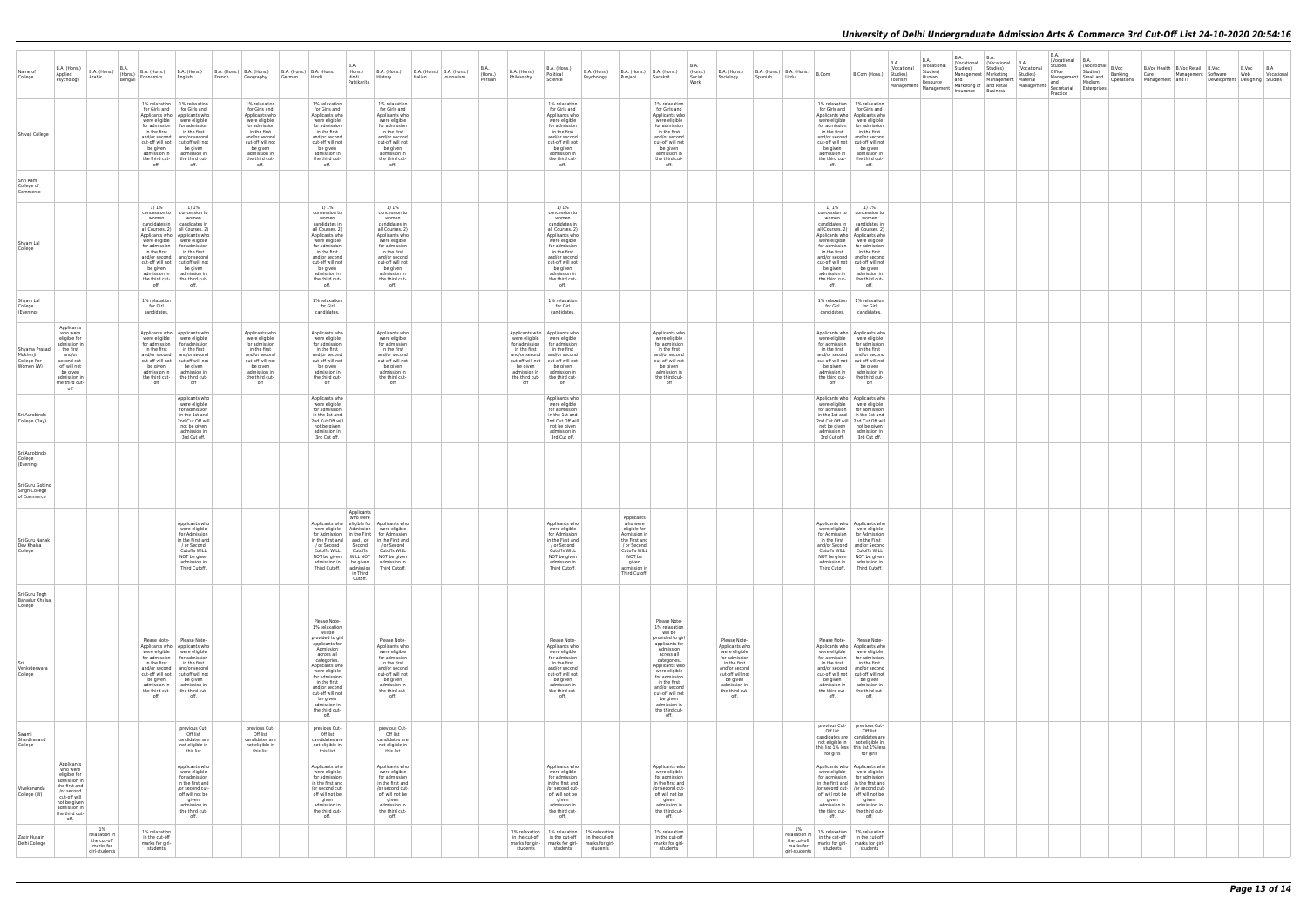| B.A. (Hons.)<br>Name of<br>Applied<br>College<br>Psychology                                                                                                                                                                | $\Big $ B.A. (Hons.) $\Big $ (Hons.)  <br>Arabic                 | $Bengali$ Economics                                                  |                                                                                                                                                                                                                                                                                                                                                                             | B.A. (Hons.)   B.A. (Hons.)   B.A. (Hons.)   B.A. (Hons.)   B.A. (Hons.)   B.A. (Hons.)   (Hons.)<br>English French Geography German Hindi                                                    |                                                                                                                                                                                                                                                                                         | <b>B.A.</b><br>B.A. (Hons.)<br>History<br>Hindi<br>Patrikarita                                                                                                                                                                                                                                                                                                                 | B.A. (Hons.)   B.A. (Hons.)<br>Italian Journalism | B.A.<br>(Hons.)<br>Persian | B.A. (Hons.)<br>Philosophy                                                                                                                                                                                                                                                                     | B.A. (Hons.)<br>Political<br>Science                                                                                                                                                                                               | Psychology                 | B.A. (Hons.) B.A. (Hons.) B.A. (Hons.)<br>Punjabi<br>Sanskrit                                                                                                                                                                                                                           | <b>B.A.</b><br>(Hons.)<br>Social<br>Work | $\Big $ B.A. (Hons.) $\Big $ B.A. (Hons.) $\Big $ B.A. (Hons.) $\Big $ B.Com<br>Sociology                                                                                   | Spanish Urdu |                                                                  | B.Com (Hons.) Studies)                                                                                                                                                                                                                                                                                                                                                                                                                         | B.A.<br>(Vocational<br>Tourism<br>Management   Management | <b>B.A.</b><br>(Vocational<br>Studies)<br>Human<br>Resource | <b>B.A.</b><br><b>B.A.</b><br>(Vocational (Vocational B.A.<br>Studies)<br>Studies)<br>Management   Marketing<br>Management Material<br>and<br>Marketing of and Retail Management<br>Insurance Business | Vocational<br>Studies) | <b>B.A.</b><br>(Vocational B.A.<br>Studies)<br>Office<br>and<br>Practice | (Vocational B.Voc<br>Studies)<br>Medium<br>Secretarial Enterprises | Banking<br>Management Small and Derations Management and IT | B.Voc Health   B.Voc Retail   B.Voc<br>Care Management Software | B.Voc B.A<br>Web<br>Vocational<br>Development Designing Studies |
|----------------------------------------------------------------------------------------------------------------------------------------------------------------------------------------------------------------------------|------------------------------------------------------------------|----------------------------------------------------------------------|-----------------------------------------------------------------------------------------------------------------------------------------------------------------------------------------------------------------------------------------------------------------------------------------------------------------------------------------------------------------------------|-----------------------------------------------------------------------------------------------------------------------------------------------------------------------------------------------|-----------------------------------------------------------------------------------------------------------------------------------------------------------------------------------------------------------------------------------------------------------------------------------------|--------------------------------------------------------------------------------------------------------------------------------------------------------------------------------------------------------------------------------------------------------------------------------------------------------------------------------------------------------------------------------|---------------------------------------------------|----------------------------|------------------------------------------------------------------------------------------------------------------------------------------------------------------------------------------------------------------------------------------------------------------------------------------------|------------------------------------------------------------------------------------------------------------------------------------------------------------------------------------------------------------------------------------|----------------------------|-----------------------------------------------------------------------------------------------------------------------------------------------------------------------------------------------------------------------------------------------------------------------------------------|------------------------------------------|-----------------------------------------------------------------------------------------------------------------------------------------------------------------------------|--------------|------------------------------------------------------------------|------------------------------------------------------------------------------------------------------------------------------------------------------------------------------------------------------------------------------------------------------------------------------------------------------------------------------------------------------------------------------------------------------------------------------------------------|-----------------------------------------------------------|-------------------------------------------------------------|--------------------------------------------------------------------------------------------------------------------------------------------------------------------------------------------------------|------------------------|--------------------------------------------------------------------------|--------------------------------------------------------------------|-------------------------------------------------------------|-----------------------------------------------------------------|-----------------------------------------------------------------|
| Shivaji College                                                                                                                                                                                                            |                                                                  | be given<br>admission in<br>the third cut-<br>off.                   | 1% relaxation   1% relaxation<br>for Girls and for Girls and<br>Applicants who   Applicants who  <br>were eligible vere eligible<br>for admission for admission<br>in the first   in the first<br>and/or second and/or second<br>cut-off will not cut-off will not<br>be given<br>admission in<br>the third cut-<br>off.                                                    | 1% relaxation<br>for Girls and<br>Applicants who<br>were eligible<br>for admission<br>in the first<br>and/or second<br>cut-off will not<br>be given<br>admission in<br>the third cut-<br>off. | 1% relaxation<br>for Girls and<br>Applicants who<br>were eligible<br>for admission<br>in the first<br>and/or second<br>cut-off will not<br>be given<br>admission in<br>the third cut-<br>off.                                                                                           | 1% relaxation<br>for Girls and<br>Applicants who<br>were eligible<br>for admission<br>in the first<br>and/or second<br>cut-off will not<br>be given<br>admission in<br>the third cut-<br>off.                                                                                                                                                                                  |                                                   |                            |                                                                                                                                                                                                                                                                                                | 1% relaxation<br>for Girls and<br>Applicants who<br>were eligible<br>for admission<br>in the first<br>and/or second<br>cut-off will not<br>be given<br>admission in<br>the third cut-<br>off.                                      |                            | 1% relaxation<br>for Girls and<br>Applicants who<br>were eligible<br>for admission<br>in the first<br>and/or second<br>cut-off will not<br>be given<br>admission in<br>the third cut-<br>off.                                                                                           |                                          |                                                                                                                                                                             |              |                                                                  | 1% relaxation   1% relaxation<br>for Girls and for Girls and<br>Applicants who   Applicants who<br>were eligible were eligible<br>for admission for admission<br>in the first in the first<br>and/or second and/or second<br>cut-off will not cut-off will not<br>be given<br>be given<br>admission in admission in<br>the third cut- the third cut-<br>off.<br>off.                                                                           |                                                           |                                                             |                                                                                                                                                                                                        |                        |                                                                          |                                                                    |                                                             |                                                                 |                                                                 |
| Shri Ram<br>College of<br>Commerce                                                                                                                                                                                         |                                                                  |                                                                      |                                                                                                                                                                                                                                                                                                                                                                             |                                                                                                                                                                                               |                                                                                                                                                                                                                                                                                         |                                                                                                                                                                                                                                                                                                                                                                                |                                                   |                            |                                                                                                                                                                                                                                                                                                |                                                                                                                                                                                                                                    |                            |                                                                                                                                                                                                                                                                                         |                                          |                                                                                                                                                                             |              |                                                                  |                                                                                                                                                                                                                                                                                                                                                                                                                                                |                                                           |                                                             |                                                                                                                                                                                                        |                        |                                                                          |                                                                    |                                                             |                                                                 |                                                                 |
| Shyam Lal<br>College                                                                                                                                                                                                       |                                                                  | 1) 1%<br>women<br>in the first<br>be given<br>admission in<br>off.   | 1) 1%<br>concession to concession to<br>women<br>candidates in candidates in<br>all Courses. 2)   all Courses. 2)<br>Applicants who   Applicants who<br>were eligible vere eligible<br>for admission for admission<br>in the first<br>and/or second and/or second<br>cut-off will not cut-off will not<br>be given<br>admission in<br>the third cut- the third cut-<br>off. |                                                                                                                                                                                               | 1) 1%<br>concession to<br>women<br>candidates in<br>all Courses. 2)<br>Applicants who<br>were eligible<br>for admission<br>in the first<br>and/or second<br>cut-off will not<br>be given<br>admission in<br>the third cut-<br>off.                                                      | 1) 1%<br>concession to<br>women<br>candidates in<br>all Courses. 2)<br>Applicants who<br>were eligible<br>for admission<br>in the first<br>and/or second<br>cut-off will not<br>be given<br>admission in<br>the third cut-<br>off.                                                                                                                                             |                                                   |                            |                                                                                                                                                                                                                                                                                                | 1) 1%<br>concession to<br>women<br>candidates in<br>all Courses. 2)<br>Applicants who<br>were eligible<br>for admission<br>in the first<br>and/or second<br>cut-off will not<br>be given<br>admission in<br>the third cut-<br>off. |                            |                                                                                                                                                                                                                                                                                         |                                          |                                                                                                                                                                             |              |                                                                  | 1) 1%<br>1) 1%<br>concession to concession to<br>women<br>women<br>candidates in candidates in<br>all Courses. 2)   all Courses. 2)<br>Applicants who   Applicants who<br>were eligible vere eligible<br>for admission for admission<br>in the first in the first<br>and/or second and/or second<br>cut-off will not cut-off will not<br>be given<br>be given<br>admission in admission in<br>the third cut-<br>the third cut-<br>off.<br>off. |                                                           |                                                             |                                                                                                                                                                                                        |                        |                                                                          |                                                                    |                                                             |                                                                 |                                                                 |
| Shyam Lal<br>College<br>(Evening)                                                                                                                                                                                          |                                                                  | 1% relaxation<br>for Girl<br>candidates.                             |                                                                                                                                                                                                                                                                                                                                                                             |                                                                                                                                                                                               | 1% relaxation<br>for Girl<br>candidates.                                                                                                                                                                                                                                                |                                                                                                                                                                                                                                                                                                                                                                                |                                                   |                            |                                                                                                                                                                                                                                                                                                | 1% relaxation<br>for Girl<br>candidates.                                                                                                                                                                                           |                            |                                                                                                                                                                                                                                                                                         |                                          |                                                                                                                                                                             |              |                                                                  | 1% relaxation 1% relaxation<br>for Girl<br>for Girl<br>candidates.<br>candidates.                                                                                                                                                                                                                                                                                                                                                              |                                                           |                                                             |                                                                                                                                                                                                        |                        |                                                                          |                                                                    |                                                             |                                                                 |                                                                 |
| Applicants<br>who were<br>eligible for<br>admission in<br>Shyama Prasad<br>the first<br>Mukherii<br>and/or<br>College For<br>second cut-<br>off will not<br>Women (W)<br>be given<br>admission in<br>the third cut-<br>off |                                                                  | for admission<br>cut-off will not<br>be given<br>admission in<br>off | Applicants who   Applicants who<br>were eligible   were eligible<br>for admission<br>in the first in the first<br>and/or second and/or second<br>cut-off will not<br>be given<br>admission in<br>the third cut- the third cut-<br>off                                                                                                                                       | Applicants who<br>were eligible<br>for admission<br>in the first<br>and/or second<br>cut-off will not<br>be given<br>admission in<br>the third cut-<br>off                                    | Applicants who<br>were eligible<br>for admission<br>in the first<br>and/or second<br>cut-off will not<br>be given<br>admission in<br>the third cut-<br>off                                                                                                                              | Applicants who<br>were eligible<br>for admission<br>in the first<br>and/or second<br>cut-off will not<br>be given<br>admission in<br>the third cut-<br>off                                                                                                                                                                                                                     |                                                   |                            | Applicants who   Applicants who<br>were eligible were eligible<br>for admission for admission<br>in the first in the first<br>and/or second   and/or second<br>cut-off will not   cut-off will not<br>be given be given<br>admission in   admission in<br>the third cut- the third cut-<br>off | off                                                                                                                                                                                                                                |                            | Applicants who<br>were eligible<br>for admission<br>in the first<br>and/or second<br>cut-off will not<br>be given<br>admission in<br>the third cut-<br>off                                                                                                                              |                                          |                                                                                                                                                                             |              |                                                                  | Applicants who   Applicants who<br>were eligible were eligible<br>for admission for admission<br>in the first in the first<br>and/or second and/or second<br>cut-off will not cut-off will not<br>be given be given<br>admission in admission in<br>the third cut- the third cut-<br>off<br>off                                                                                                                                                |                                                           |                                                             |                                                                                                                                                                                                        |                        |                                                                          |                                                                    |                                                             |                                                                 |                                                                 |
| Sri Aurobindo<br>College (Day)                                                                                                                                                                                             |                                                                  |                                                                      | Applicants who<br>were eligible<br>for admission<br>in the 1st and<br>2nd Cut Off will<br>not be given<br>admission in<br>3rd Cut off.                                                                                                                                                                                                                                      |                                                                                                                                                                                               | Applicants who<br>were eligible<br>for admission<br>in the 1st and<br>2nd Cut Off will<br>not be given<br>admission in<br>3rd Cut off.                                                                                                                                                  |                                                                                                                                                                                                                                                                                                                                                                                |                                                   |                            |                                                                                                                                                                                                                                                                                                | Applicants who<br>were eligible<br>for admission<br>in the 1st and<br>2nd Cut Off will<br>not be given<br>admission in<br>3rd Cut off.                                                                                             |                            |                                                                                                                                                                                                                                                                                         |                                          |                                                                                                                                                                             |              |                                                                  | Applicants who   Applicants who<br>were eligible vere eligible<br>for admission   for admission<br>in the 1st and in the 1st and<br>2nd Cut Off will 2nd Cut Off will<br>not be given not be given<br>admission in admission in<br>3rd Cut off. 3rd Cut off.                                                                                                                                                                                   |                                                           |                                                             |                                                                                                                                                                                                        |                        |                                                                          |                                                                    |                                                             |                                                                 |                                                                 |
| Sri Aurobindo<br>College<br>(Evening)                                                                                                                                                                                      |                                                                  |                                                                      |                                                                                                                                                                                                                                                                                                                                                                             |                                                                                                                                                                                               |                                                                                                                                                                                                                                                                                         |                                                                                                                                                                                                                                                                                                                                                                                |                                                   |                            |                                                                                                                                                                                                                                                                                                |                                                                                                                                                                                                                                    |                            |                                                                                                                                                                                                                                                                                         |                                          |                                                                                                                                                                             |              |                                                                  |                                                                                                                                                                                                                                                                                                                                                                                                                                                |                                                           |                                                             |                                                                                                                                                                                                        |                        |                                                                          |                                                                    |                                                             |                                                                 |                                                                 |
| Sri Guru Gobind<br>Singh College<br>of Commerce                                                                                                                                                                            |                                                                  |                                                                      |                                                                                                                                                                                                                                                                                                                                                                             |                                                                                                                                                                                               |                                                                                                                                                                                                                                                                                         |                                                                                                                                                                                                                                                                                                                                                                                |                                                   |                            |                                                                                                                                                                                                                                                                                                |                                                                                                                                                                                                                                    |                            |                                                                                                                                                                                                                                                                                         |                                          |                                                                                                                                                                             |              |                                                                  |                                                                                                                                                                                                                                                                                                                                                                                                                                                |                                                           |                                                             |                                                                                                                                                                                                        |                        |                                                                          |                                                                    |                                                             |                                                                 |                                                                 |
| Sri Guru Nanak<br>Dev Khalsa<br>College                                                                                                                                                                                    |                                                                  |                                                                      | Applicants who<br>were eligible<br>for Admission<br>in the First and<br>/ or Second<br>Cutoffs WILL<br>NOT be given<br>admission in<br>Third Cutoff.                                                                                                                                                                                                                        |                                                                                                                                                                                               | / or Second<br>Cutoffs WILL<br>admission in   be given  <br>Third Cutoff.                                                                                                                                                                                                               | Applicants<br>who were<br>Applicants who eligible for Applicants who<br>were eligible Admission were eligible<br>for Admission   in the First   for Admission<br>in the First and and / or in the First and<br>/ or Second<br>Second<br>Cutoffs<br>Cutoffs WILL<br>NOT be given   WILL NOT   NOT be given<br>admission in<br>admission<br>Third Cutoff.<br>in Third<br>Cutoff. |                                                   |                            |                                                                                                                                                                                                                                                                                                | Applicants who<br>were eligible<br>for Admission<br>in the First and<br>/ or Second<br>Cutoffs WILL<br>NOT be given<br>admission in<br>Third Cutoff.                                                                               |                            | Applicants<br>who were<br>eligible for<br>Admission in<br>the First and<br>/ or Second<br>Cutoffs WILL<br>NOT be<br>given<br>admission in<br>Third Cutoff.                                                                                                                              |                                          |                                                                                                                                                                             |              |                                                                  | Applicants who   Applicants who<br>were eligible   were eligible<br>for Admission for Admission<br>in the First<br>in the First<br>and/or Second and/or Second<br>Cutoffs WILL   Cutoffs WILL<br>NOT be given NOT be given<br>admission in admission in<br>Third Cutoff.    Third Cutoff.                                                                                                                                                      |                                                           |                                                             |                                                                                                                                                                                                        |                        |                                                                          |                                                                    |                                                             |                                                                 |                                                                 |
| Sri Guru Tegh<br>Bahadur Khalsa<br>College                                                                                                                                                                                 |                                                                  |                                                                      |                                                                                                                                                                                                                                                                                                                                                                             |                                                                                                                                                                                               |                                                                                                                                                                                                                                                                                         |                                                                                                                                                                                                                                                                                                                                                                                |                                                   |                            |                                                                                                                                                                                                                                                                                                |                                                                                                                                                                                                                                    |                            |                                                                                                                                                                                                                                                                                         |                                          |                                                                                                                                                                             |              |                                                                  |                                                                                                                                                                                                                                                                                                                                                                                                                                                |                                                           |                                                             |                                                                                                                                                                                                        |                        |                                                                          |                                                                    |                                                             |                                                                 |                                                                 |
| Sri<br>Venketeswara<br>College                                                                                                                                                                                             |                                                                  | be given<br>off.                                                     | Please Note- Please Note-<br>Applicants who   Applicants who<br>were eligible vere eligible<br>for admission for admission<br>in the first   in the first<br>and/or second and/or second<br>cut-off will not cut-off will not<br>be given<br>admission in admission in<br>the third cut- the third cut-<br>off.                                                             |                                                                                                                                                                                               | Please Note-<br>1% relaxation<br>will be<br>provided to girl<br>applicants for<br>Admission<br>across all<br>categories.<br>Applicants who<br>were eligible<br>for admission<br>in the first<br>and/or second<br>cut-off will not<br>be given<br>admission in<br>the third cut-<br>off. | Please Note-<br>Applicants who<br>were eligible<br>for admission<br>in the first<br>and/or second<br>cut-off will not<br>be given<br>admission in<br>the third cut-<br>off.                                                                                                                                                                                                    |                                                   |                            |                                                                                                                                                                                                                                                                                                | Please Note-<br>Applicants who<br>were eligible<br>for admission<br>in the first<br>and/or second<br>cut-off will not<br>be given<br>admission in<br>the third cut-<br>off.                                                        |                            | Please Note-<br>1% relaxation<br>will be<br>provided to girl<br>applicants for<br>Admission<br>across all<br>categories.<br>Applicants who<br>were eligible<br>for admission<br>in the first<br>and/or second<br>cut-off will not<br>be given<br>admission in<br>the third cut-<br>off. |                                          | Please Note-<br>Applicants who<br>were eligible<br>for admission<br>in the first<br>and/or second<br>cut-off will not<br>be given<br>admission in<br>the third cut-<br>off. |              |                                                                  | Please Note- Please Note-<br>Applicants who   Applicants who<br>were eligible vere eligible<br>for admission for admission<br>in the first in the first<br>and/or second and/or second<br>cut-off will not cut-off will not<br>be given be given<br>admission in admission in<br>the third cut-<br>the third cut-<br>off.<br>off.                                                                                                              |                                                           |                                                             |                                                                                                                                                                                                        |                        |                                                                          |                                                                    |                                                             |                                                                 |                                                                 |
| Swami<br>Shardhanand<br>College                                                                                                                                                                                            |                                                                  |                                                                      | previous Cut-<br>Off list<br>candidates are<br>not eligible in<br>this list                                                                                                                                                                                                                                                                                                 | previous Cut-<br>Off list<br>candidates are<br>not eligible in<br>this list                                                                                                                   | previous Cut-<br>Off list<br>candidates are<br>not eligible in<br>this list                                                                                                                                                                                                             | previous Cut-<br>Off list<br>candidates are<br>not eligible in<br>this list                                                                                                                                                                                                                                                                                                    |                                                   |                            |                                                                                                                                                                                                                                                                                                |                                                                                                                                                                                                                                    |                            |                                                                                                                                                                                                                                                                                         |                                          |                                                                                                                                                                             |              |                                                                  | previous Cut- previous Cut-<br>Off list Off list<br>candidates are   candidates are<br>not eligible in not eligible in<br>this list 1% less this list 1% less<br>for girls for girls                                                                                                                                                                                                                                                           |                                                           |                                                             |                                                                                                                                                                                                        |                        |                                                                          |                                                                    |                                                             |                                                                 |                                                                 |
| Applicants<br>who were<br>eligible for<br>admission in<br>the first and<br>Vivekananda<br>/or second<br>College (W)<br>cut-off will<br>not be given<br>admission in<br>the third cut-<br>off.                              |                                                                  |                                                                      | Applicants who<br>were eligible<br>for admission<br>in the first and<br>/or second cut-<br>off will not be<br>given<br>admission in<br>the third cut-<br>off.                                                                                                                                                                                                               |                                                                                                                                                                                               | Applicants who<br>were eligible<br>for admission<br>in the first and<br>/or second cut-<br>off will not be<br>given<br>admission in<br>the third cut-<br>off.                                                                                                                           | Applicants who<br>were eligible<br>for admission<br>in the first and<br>/or second cut-<br>off will not be<br>given<br>admission in<br>the third cut-<br>off.                                                                                                                                                                                                                  |                                                   |                            |                                                                                                                                                                                                                                                                                                | Applicants who<br>were eligible<br>for admission<br>in the first and<br>/or second cut-<br>off will not be<br>given<br>admission in<br>the third cut-<br>off.                                                                      |                            | Applicants who<br>were eligible<br>for admission<br>in the first and<br>/or second cut-<br>off will not be<br>given<br>admission in<br>the third cut-<br>off.                                                                                                                           |                                          |                                                                                                                                                                             |              |                                                                  | Applicants who   Applicants who<br>were eligible   were eligible<br>for admission for admission<br>in the first and in the first and<br>/or second cut- /or second cut-<br>off will not be off will not be<br>given<br>given<br>admission in admission in<br>the third cut- the third cut-<br>off.<br>off.                                                                                                                                     |                                                           |                                                             |                                                                                                                                                                                                        |                        |                                                                          |                                                                    |                                                             |                                                                 |                                                                 |
| Zakir Husain<br>Delhi College                                                                                                                                                                                              | 1%<br>relaxation in<br>the cut-off<br>marks for<br>girl-students | 1% relaxation<br>in the cut-off<br>marks for girl-<br>students       |                                                                                                                                                                                                                                                                                                                                                                             |                                                                                                                                                                                               |                                                                                                                                                                                                                                                                                         |                                                                                                                                                                                                                                                                                                                                                                                |                                                   |                            | 1% relaxation   1% relaxation   1% relaxation<br>in the cut-off<br>marks for girl-   marks for girl-   marks for girl-<br>students                                                                                                                                                             | in the cut-off<br>students                                                                                                                                                                                                         | in the cut-off<br>students | 1% relaxation<br>in the cut-off<br>marks for girl-<br>students                                                                                                                                                                                                                          |                                          |                                                                                                                                                                             |              | 1%<br>relaxation in<br>the cut-off<br>marks for<br>girl-students | 1% relaxation 1% relaxation<br>in the cut-off in the cut-off<br>marks for girl- marks for girl-<br>students<br>students                                                                                                                                                                                                                                                                                                                        |                                                           |                                                             |                                                                                                                                                                                                        |                        |                                                                          |                                                                    |                                                             |                                                                 |                                                                 |